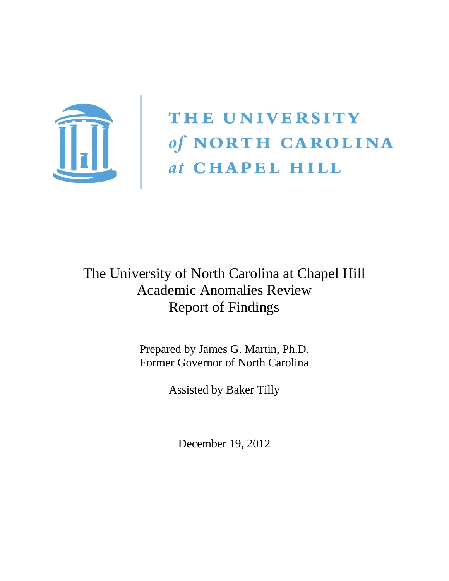

THE UNIVERSITY of NORTH CAROLINA<br>
at CHAPEL HILL

# The University of North Carolina at Chapel Hill Academic Anomalies Review Report of Findings

Prepared by James G. Martin, Ph.D. Former Governor of North Carolina

Assisted by Baker Tilly

December 19, 2012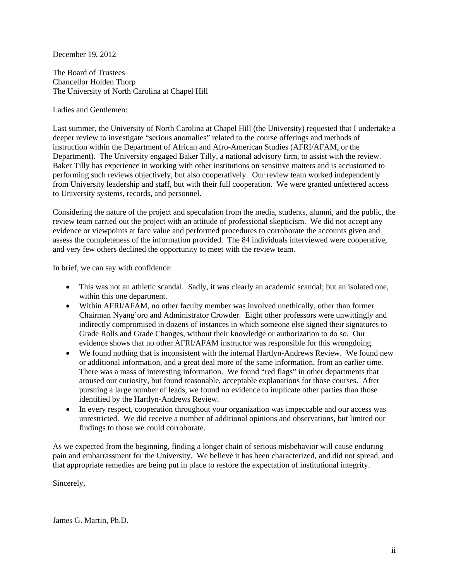December 19, 2012

The Board of Trustees Chancellor Holden Thorp The University of North Carolina at Chapel Hill

Ladies and Gentlemen:

Last summer, the University of North Carolina at Chapel Hill (the University) requested that I undertake a deeper review to investigate "serious anomalies" related to the course offerings and methods of instruction within the Department of African and Afro-American Studies (AFRI/AFAM, or the Department). The University engaged Baker Tilly, a national advisory firm, to assist with the review. Baker Tilly has experience in working with other institutions on sensitive matters and is accustomed to performing such reviews objectively, but also cooperatively. Our review team worked independently from University leadership and staff, but with their full cooperation. We were granted unfettered access to University systems, records, and personnel.

Considering the nature of the project and speculation from the media, students, alumni, and the public, the review team carried out the project with an attitude of professional skepticism. We did not accept any evidence or viewpoints at face value and performed procedures to corroborate the accounts given and assess the completeness of the information provided. The 84 individuals interviewed were cooperative, and very few others declined the opportunity to meet with the review team.

In brief, we can say with confidence:

- This was not an athletic scandal. Sadly, it was clearly an academic scandal; but an isolated one, within this one department.
- Within AFRI/AFAM, no other faculty member was involved unethically, other than former Chairman Nyang'oro and Administrator Crowder. Eight other professors were unwittingly and indirectly compromised in dozens of instances in which someone else signed their signatures to Grade Rolls and Grade Changes, without their knowledge or authorization to do so. Our evidence shows that no other AFRI/AFAM instructor was responsible for this wrongdoing.
- We found nothing that is inconsistent with the internal Hartlyn-Andrews Review. We found new or additional information, and a great deal more of the same information, from an earlier time. There was a mass of interesting information. We found "red flags" in other departments that aroused our curiosity, but found reasonable, acceptable explanations for those courses. After pursuing a large number of leads, we found no evidence to implicate other parties than those identified by the Hartlyn-Andrews Review.
- In every respect, cooperation throughout your organization was impeccable and our access was unrestricted. We did receive a number of additional opinions and observations, but limited our findings to those we could corroborate.

As we expected from the beginning, finding a longer chain of serious misbehavior will cause enduring pain and embarrassment for the University. We believe it has been characterized, and did not spread, and that appropriate remedies are being put in place to restore the expectation of institutional integrity.

Sincerely,

James G. Martin, Ph.D.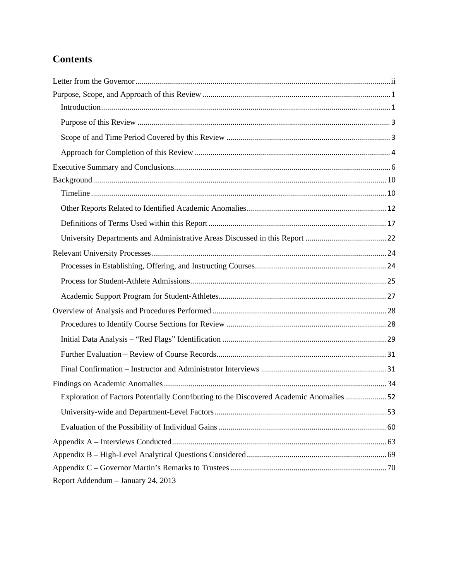# **Contents**

| Exploration of Factors Potentially Contributing to the Discovered Academic Anomalies 52 |  |
|-----------------------------------------------------------------------------------------|--|
|                                                                                         |  |
|                                                                                         |  |
|                                                                                         |  |
|                                                                                         |  |
|                                                                                         |  |
| Report Addendum - January 24, 2013                                                      |  |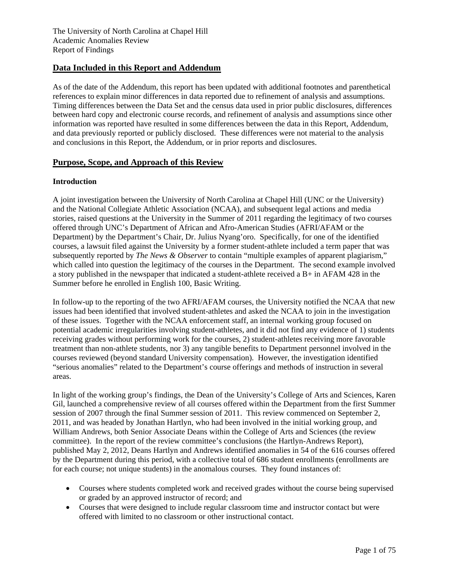# **Data Included in this Report and Addendum**

As of the date of the Addendum, this report has been updated with additional footnotes and parenthetical references to explain minor differences in data reported due to refinement of analysis and assumptions. Timing differences between the Data Set and the census data used in prior public disclosures, differences between hard copy and electronic course records, and refinement of analysis and assumptions since other information was reported have resulted in some differences between the data in this Report, Addendum, and data previously reported or publicly disclosed. These differences were not material to the analysis and conclusions in this Report, the Addendum, or in prior reports and disclosures.

#### **Purpose, Scope, and Approach of this Review**

#### **Introduction**

A joint investigation between the University of North Carolina at Chapel Hill (UNC or the University) and the National Collegiate Athletic Association (NCAA), and subsequent legal actions and media stories, raised questions at the University in the Summer of 2011 regarding the legitimacy of two courses offered through UNC's Department of African and Afro-American Studies (AFRI/AFAM or the Department) by the Department's Chair, Dr. Julius Nyang'oro. Specifically, for one of the identified courses, a lawsuit filed against the University by a former student-athlete included a term paper that was subsequently reported by *The News & Observer* to contain "multiple examples of apparent plagiarism," which called into question the legitimacy of the courses in the Department. The second example involved a story published in the newspaper that indicated a student-athlete received a B+ in AFAM 428 in the Summer before he enrolled in English 100, Basic Writing.

In follow-up to the reporting of the two AFRI/AFAM courses, the University notified the NCAA that new issues had been identified that involved student-athletes and asked the NCAA to join in the investigation of these issues. Together with the NCAA enforcement staff, an internal working group focused on potential academic irregularities involving student-athletes, and it did not find any evidence of 1) students receiving grades without performing work for the courses, 2) student-athletes receiving more favorable treatment than non-athlete students, nor 3) any tangible benefits to Department personnel involved in the courses reviewed (beyond standard University compensation). However, the investigation identified "serious anomalies" related to the Department's course offerings and methods of instruction in several areas.

In light of the working group's findings, the Dean of the University's College of Arts and Sciences, Karen Gil, launched a comprehensive review of all courses offered within the Department from the first Summer session of 2007 through the final Summer session of 2011. This review commenced on September 2, 2011, and was headed by Jonathan Hartlyn, who had been involved in the initial working group, and William Andrews, both Senior Associate Deans within the College of Arts and Sciences (the review committee). In the report of the review committee's conclusions (the Hartlyn-Andrews Report), published May 2, 2012, Deans Hartlyn and Andrews identified anomalies in 54 of the 616 courses offered by the Department during this period, with a collective total of 686 student enrollments (enrollments are for each course; not unique students) in the anomalous courses. They found instances of:

- Courses where students completed work and received grades without the course being supervised or graded by an approved instructor of record; and
- Courses that were designed to include regular classroom time and instructor contact but were offered with limited to no classroom or other instructional contact.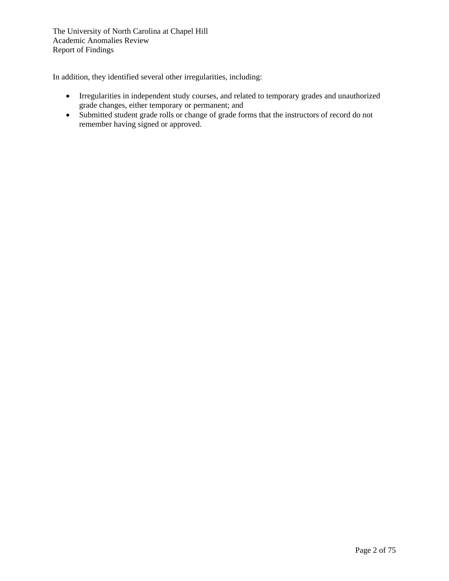In addition, they identified several other irregularities, including:

- Irregularities in independent study courses, and related to temporary grades and unauthorized grade changes, either temporary or permanent; and
- Submitted student grade rolls or change of grade forms that the instructors of record do not remember having signed or approved.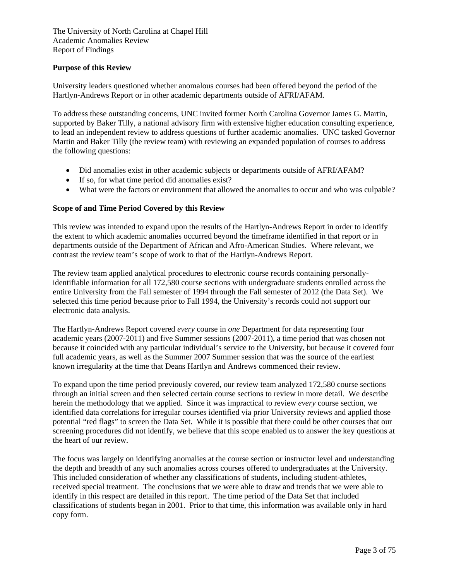#### **Purpose of this Review**

University leaders questioned whether anomalous courses had been offered beyond the period of the Hartlyn-Andrews Report or in other academic departments outside of AFRI/AFAM.

To address these outstanding concerns, UNC invited former North Carolina Governor James G. Martin, supported by Baker Tilly, a national advisory firm with extensive higher education consulting experience, to lead an independent review to address questions of further academic anomalies. UNC tasked Governor Martin and Baker Tilly (the review team) with reviewing an expanded population of courses to address the following questions:

- Did anomalies exist in other academic subjects or departments outside of AFRI/AFAM?
- If so, for what time period did anomalies exist?
- What were the factors or environment that allowed the anomalies to occur and who was culpable?

#### **Scope of and Time Period Covered by this Review**

This review was intended to expand upon the results of the Hartlyn-Andrews Report in order to identify the extent to which academic anomalies occurred beyond the timeframe identified in that report or in departments outside of the Department of African and Afro-American Studies. Where relevant, we contrast the review team's scope of work to that of the Hartlyn-Andrews Report.

The review team applied analytical procedures to electronic course records containing personallyidentifiable information for all 172,580 course sections with undergraduate students enrolled across the entire University from the Fall semester of 1994 through the Fall semester of 2012 (the Data Set). We selected this time period because prior to Fall 1994, the University's records could not support our electronic data analysis.

The Hartlyn-Andrews Report covered *every* course in *one* Department for data representing four academic years (2007-2011) and five Summer sessions (2007-2011), a time period that was chosen not because it coincided with any particular individual's service to the University, but because it covered four full academic years, as well as the Summer 2007 Summer session that was the source of the earliest known irregularity at the time that Deans Hartlyn and Andrews commenced their review.

To expand upon the time period previously covered, our review team analyzed 172,580 course sections through an initial screen and then selected certain course sections to review in more detail. We describe herein the methodology that we applied. Since it was impractical to review *every* course section, we identified data correlations for irregular courses identified via prior University reviews and applied those potential "red flags" to screen the Data Set. While it is possible that there could be other courses that our screening procedures did not identify, we believe that this scope enabled us to answer the key questions at the heart of our review.

The focus was largely on identifying anomalies at the course section or instructor level and understanding the depth and breadth of any such anomalies across courses offered to undergraduates at the University. This included consideration of whether any classifications of students, including student-athletes, received special treatment. The conclusions that we were able to draw and trends that we were able to identify in this respect are detailed in this report. The time period of the Data Set that included classifications of students began in 2001. Prior to that time, this information was available only in hard copy form.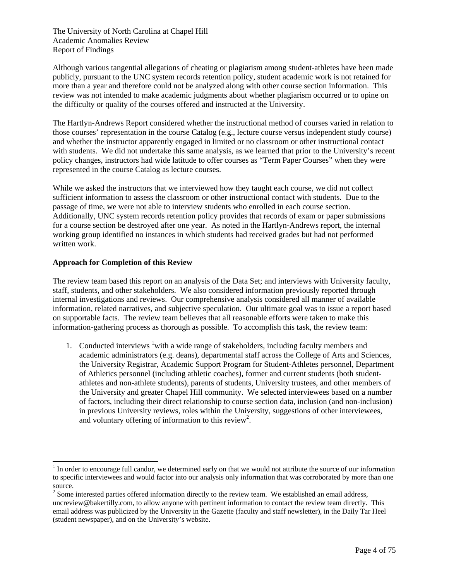Although various tangential allegations of cheating or plagiarism among student-athletes have been made publicly, pursuant to the UNC system records retention policy, student academic work is not retained for more than a year and therefore could not be analyzed along with other course section information. This review was not intended to make academic judgments about whether plagiarism occurred or to opine on the difficulty or quality of the courses offered and instructed at the University.

The Hartlyn-Andrews Report considered whether the instructional method of courses varied in relation to those courses' representation in the course Catalog (e.g., lecture course versus independent study course) and whether the instructor apparently engaged in limited or no classroom or other instructional contact with students. We did not undertake this same analysis, as we learned that prior to the University's recent policy changes, instructors had wide latitude to offer courses as "Term Paper Courses" when they were represented in the course Catalog as lecture courses.

While we asked the instructors that we interviewed how they taught each course, we did not collect sufficient information to assess the classroom or other instructional contact with students. Due to the passage of time, we were not able to interview students who enrolled in each course section. Additionally, UNC system records retention policy provides that records of exam or paper submissions for a course section be destroyed after one year. As noted in the Hartlyn-Andrews report, the internal working group identified no instances in which students had received grades but had not performed written work.

#### **Approach for Completion of this Review**

l

The review team based this report on an analysis of the Data Set; and interviews with University faculty, staff, students, and other stakeholders. We also considered information previously reported through internal investigations and reviews. Our comprehensive analysis considered all manner of available information, related narratives, and subjective speculation. Our ultimate goal was to issue a report based on supportable facts. The review team believes that all reasonable efforts were taken to make this information-gathering process as thorough as possible. To accomplish this task, the review team:

1. Conducted interviews <sup>1</sup> with a wide range of stakeholders, including faculty members and academic administrators (e.g. deans), departmental staff across the College of Arts and Sciences, the University Registrar, Academic Support Program for Student-Athletes personnel, Department of Athletics personnel (including athletic coaches), former and current students (both studentathletes and non-athlete students), parents of students, University trustees, and other members of the University and greater Chapel Hill community. We selected interviewees based on a number of factors, including their direct relationship to course section data, inclusion (and non-inclusion) in previous University reviews, roles within the University, suggestions of other interviewees, and voluntary offering of information to this review<sup>2</sup>.

 $1$  In order to encourage full candor, we determined early on that we would not attribute the source of our information to specific interviewees and would factor into our analysis only information that was corroborated by more than one source.

 $2^{2}$  Some interested parties offered information directly to the review team. We established an email address, uncreview@bakertilly.com, to allow anyone with pertinent information to contact the review team directly. This email address was publicized by the University in the Gazette (faculty and staff newsletter), in the Daily Tar Heel (student newspaper), and on the University's website.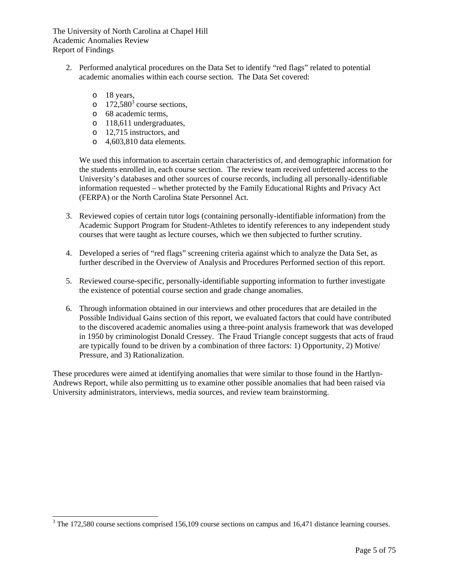- 2. Performed analytical procedures on the Data Set to identify "red flags" related to potential academic anomalies within each course section. The Data Set covered:
	- o 18 years,

l

- o  $172,580^3$  course sections,
- o 68 academic terms,
- o 118,611 undergraduates,
- o 12,715 instructors, and
- o 4,603,810 data elements.

We used this information to ascertain certain characteristics of, and demographic information for the students enrolled in, each course section. The review team received unfettered access to the University's databases and other sources of course records, including all personally-identifiable information requested – whether protected by the Family Educational Rights and Privacy Act (FERPA) or the North Carolina State Personnel Act.

- 3. Reviewed copies of certain tutor logs (containing personally-identifiable information) from the Academic Support Program for Student-Athletes to identify references to any independent study courses that were taught as lecture courses, which we then subjected to further scrutiny.
- 4. Developed a series of "red flags" screening criteria against which to analyze the Data Set, as further described in the Overview of Analysis and Procedures Performed section of this report.
- 5. Reviewed course-specific, personally-identifiable supporting information to further investigate the existence of potential course section and grade change anomalies.
- 6. Through information obtained in our interviews and other procedures that are detailed in the Possible Individual Gains section of this report, we evaluated factors that could have contributed to the discovered academic anomalies using a three-point analysis framework that was developed in 1950 by criminologist Donald Cressey. The Fraud Triangle concept suggests that acts of fraud are typically found to be driven by a combination of three factors: 1) Opportunity, 2) Motive/ Pressure, and 3) Rationalization.

These procedures were aimed at identifying anomalies that were similar to those found in the Hartlyn-Andrews Report, while also permitting us to examine other possible anomalies that had been raised via University administrators, interviews, media sources, and review team brainstorming.

 $3$  The 172,580 course sections comprised 156,109 course sections on campus and 16,471 distance learning courses.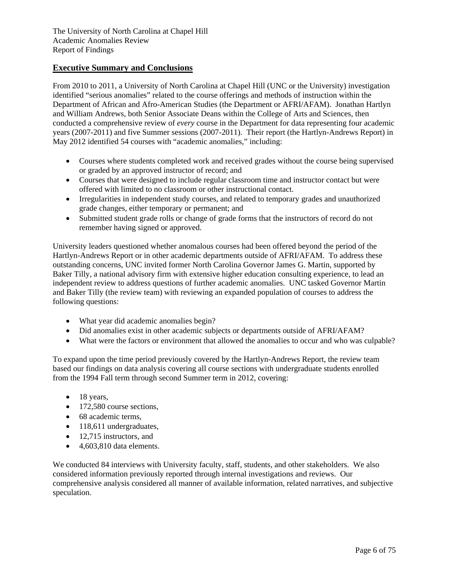# **Executive Summary and Conclusions**

From 2010 to 2011, a University of North Carolina at Chapel Hill (UNC or the University) investigation identified "serious anomalies" related to the course offerings and methods of instruction within the Department of African and Afro-American Studies (the Department or AFRI/AFAM). Jonathan Hartlyn and William Andrews, both Senior Associate Deans within the College of Arts and Sciences, then conducted a comprehensive review of *every* course in the Department for data representing four academic years (2007-2011) and five Summer sessions (2007-2011). Their report (the Hartlyn-Andrews Report) in May 2012 identified 54 courses with "academic anomalies," including:

- Courses where students completed work and received grades without the course being supervised or graded by an approved instructor of record; and
- Courses that were designed to include regular classroom time and instructor contact but were offered with limited to no classroom or other instructional contact.
- Irregularities in independent study courses, and related to temporary grades and unauthorized grade changes, either temporary or permanent; and
- Submitted student grade rolls or change of grade forms that the instructors of record do not remember having signed or approved.

University leaders questioned whether anomalous courses had been offered beyond the period of the Hartlyn-Andrews Report or in other academic departments outside of AFRI/AFAM. To address these outstanding concerns, UNC invited former North Carolina Governor James G. Martin, supported by Baker Tilly, a national advisory firm with extensive higher education consulting experience, to lead an independent review to address questions of further academic anomalies. UNC tasked Governor Martin and Baker Tilly (the review team) with reviewing an expanded population of courses to address the following questions:

- What year did academic anomalies begin?
- Did anomalies exist in other academic subjects or departments outside of AFRI/AFAM?
- What were the factors or environment that allowed the anomalies to occur and who was culpable?

To expand upon the time period previously covered by the Hartlyn-Andrews Report, the review team based our findings on data analysis covering all course sections with undergraduate students enrolled from the 1994 Fall term through second Summer term in 2012, covering:

- $\bullet$  18 years,
- 172,580 course sections,
- 68 academic terms.
- 118,611 undergraduates,
- $\bullet$  12,715 instructors, and
- $\bullet$  4,603,810 data elements.

We conducted 84 interviews with University faculty, staff, students, and other stakeholders. We also considered information previously reported through internal investigations and reviews. Our comprehensive analysis considered all manner of available information, related narratives, and subjective speculation.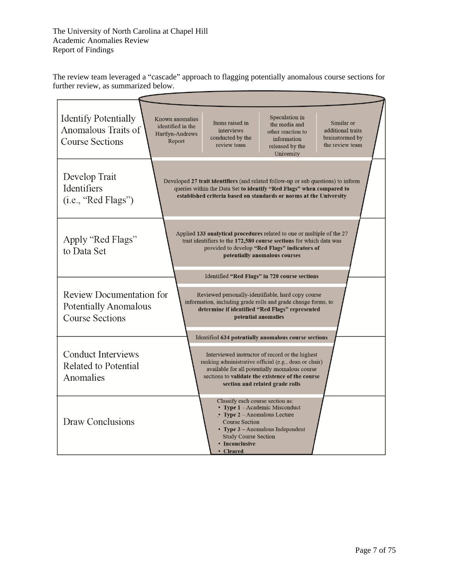The review team leveraged a "cascade" approach to flagging potentially anomalous course sections for further review, as summarized below.

| <b>Identify Potentially</b><br>Anomalous Traits of<br><b>Course Sections</b>              | Known anomalies<br>identified in the<br>Hartlyn-Andrews<br>Report | Items raised in<br>interviews<br>conducted by the<br>review team                                                                                          | Speculation in<br>the media and<br>other reaction to<br>information<br>released by the<br>University                                                                                                                                                                                                      | Similar or<br>additional traits<br>brainstormed by<br>the review team |
|-------------------------------------------------------------------------------------------|-------------------------------------------------------------------|-----------------------------------------------------------------------------------------------------------------------------------------------------------|-----------------------------------------------------------------------------------------------------------------------------------------------------------------------------------------------------------------------------------------------------------------------------------------------------------|-----------------------------------------------------------------------|
| Develop Trait<br><b>Identifiers</b><br>(i.e., "Red Flags")                                |                                                                   |                                                                                                                                                           | Developed 27 trait identifiers (and related follow-up or sub questions) to inform<br>queries within the Data Set to identify "Red Flags" when compared to<br>established criteria based on standards or norms at the University                                                                           |                                                                       |
| Apply "Red Flags"<br>to Data Set                                                          |                                                                   |                                                                                                                                                           | Applied 133 analytical procedures related to one or multiple of the 27<br>trait identifiers to the 172,580 course sections for which data was<br>provided to develop "Red Flags" indicators of<br>potentially anomalous courses                                                                           |                                                                       |
| <b>Review Documentation for</b><br><b>Potentially Anomalous</b><br><b>Course Sections</b> |                                                                   |                                                                                                                                                           | Identified "Red Flags" in 720 course sections<br>Reviewed personally-identifiable, hard copy course<br>information, including grade rolls and grade change forms, to<br>determine if identified "Red Flags" represented<br>potential anomalies                                                            |                                                                       |
| <b>Conduct Interviews</b><br>Related to Potential<br>Anomalies                            |                                                                   |                                                                                                                                                           | Identified 634 potentially anomalous course sections<br>Interviewed instructor of record or the highest<br>ranking administrative official (e.g., dean or chair)<br>available for all potentially anomalous course<br>sections to validate the existence of the course<br>section and related grade rolls |                                                                       |
| Draw Conclusions                                                                          |                                                                   | Classify each course section as:<br>• Type $2 -$ Anomalous Lecture<br><b>Course Section</b><br><b>Study Course Section</b><br>• Inconclusive<br>• Cleared | • Type $1 -$ Academic Misconduct<br>• Type $3$ – Anomalous Independent                                                                                                                                                                                                                                    |                                                                       |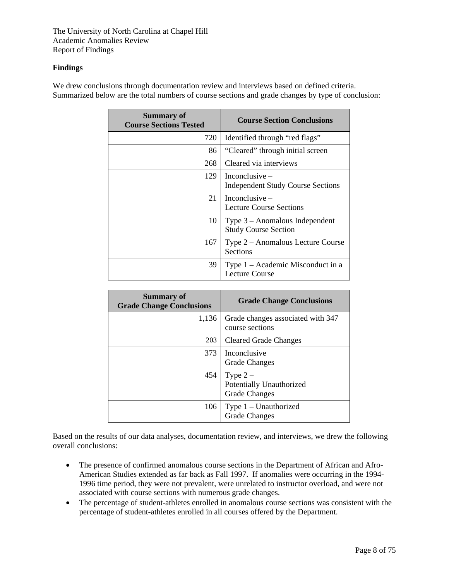#### **Findings**

We drew conclusions through documentation review and interviews based on defined criteria. Summarized below are the total numbers of course sections and grade changes by type of conclusion:

| <b>Summary of</b><br><b>Course Sections Tested</b> | <b>Course Section Conclusions</b>                               |
|----------------------------------------------------|-----------------------------------------------------------------|
| 720                                                | Identified through "red flags"                                  |
| 86                                                 | "Cleared" through initial screen                                |
| 268                                                | Cleared via interviews                                          |
| 129                                                | Inconclusive $-$<br><b>Independent Study Course Sections</b>    |
| 21                                                 | Inconclusive $-$<br><b>Lecture Course Sections</b>              |
| 10                                                 | Type $3 -$ Anomalous Independent<br><b>Study Course Section</b> |
| 167                                                | Type 2 – Anomalous Lecture Course<br>Sections                   |
| 39                                                 | Type 1 – Academic Misconduct in a<br><b>Lecture Course</b>      |

| <b>Summary of</b><br><b>Grade Change Conclusions</b> | <b>Grade Change Conclusions</b>                               |
|------------------------------------------------------|---------------------------------------------------------------|
| 1,136                                                | Grade changes associated with 347<br>course sections          |
| 203                                                  | <b>Cleared Grade Changes</b>                                  |
| 373                                                  | Inconclusive<br><b>Grade Changes</b>                          |
| 454                                                  | Type $2-$<br>Potentially Unauthorized<br><b>Grade Changes</b> |
| 106                                                  | Type 1 – Unauthorized<br>Grade Changes                        |

Based on the results of our data analyses, documentation review, and interviews, we drew the following overall conclusions:

- The presence of confirmed anomalous course sections in the Department of African and Afro-American Studies extended as far back as Fall 1997. If anomalies were occurring in the 1994- 1996 time period, they were not prevalent, were unrelated to instructor overload, and were not associated with course sections with numerous grade changes.
- The percentage of student-athletes enrolled in anomalous course sections was consistent with the percentage of student-athletes enrolled in all courses offered by the Department.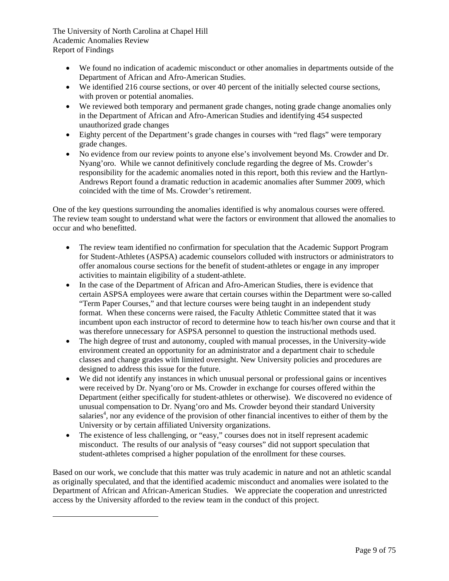l

- We found no indication of academic misconduct or other anomalies in departments outside of the Department of African and Afro-American Studies.
- We identified 216 course sections, or over 40 percent of the initially selected course sections, with proven or potential anomalies.
- We reviewed both temporary and permanent grade changes, noting grade change anomalies only in the Department of African and Afro-American Studies and identifying 454 suspected unauthorized grade changes
- Eighty percent of the Department's grade changes in courses with "red flags" were temporary grade changes.
- No evidence from our review points to anyone else's involvement beyond Ms. Crowder and Dr. Nyang'oro. While we cannot definitively conclude regarding the degree of Ms. Crowder's responsibility for the academic anomalies noted in this report, both this review and the Hartlyn-Andrews Report found a dramatic reduction in academic anomalies after Summer 2009, which coincided with the time of Ms. Crowder's retirement.

One of the key questions surrounding the anomalies identified is why anomalous courses were offered. The review team sought to understand what were the factors or environment that allowed the anomalies to occur and who benefitted.

- The review team identified no confirmation for speculation that the Academic Support Program for Student-Athletes (ASPSA) academic counselors colluded with instructors or administrators to offer anomalous course sections for the benefit of student-athletes or engage in any improper activities to maintain eligibility of a student-athlete.
- In the case of the Department of African and Afro-American Studies, there is evidence that certain ASPSA employees were aware that certain courses within the Department were so-called "Term Paper Courses," and that lecture courses were being taught in an independent study format. When these concerns were raised, the Faculty Athletic Committee stated that it was incumbent upon each instructor of record to determine how to teach his/her own course and that it was therefore unnecessary for ASPSA personnel to question the instructional methods used.
- The high degree of trust and autonomy, coupled with manual processes, in the University-wide environment created an opportunity for an administrator and a department chair to schedule classes and change grades with limited oversight. New University policies and procedures are designed to address this issue for the future.
- We did not identify any instances in which unusual personal or professional gains or incentives were received by Dr. Nyang'oro or Ms. Crowder in exchange for courses offered within the Department (either specifically for student-athletes or otherwise). We discovered no evidence of unusual compensation to Dr. Nyang'oro and Ms. Crowder beyond their standard University salaries<sup>4</sup>, nor any evidence of the provision of other financial incentives to either of them by the University or by certain affiliated University organizations.
- The existence of less challenging, or "easy," courses does not in itself represent academic misconduct. The results of our analysis of "easy courses" did not support speculation that student-athletes comprised a higher population of the enrollment for these courses.

Based on our work, we conclude that this matter was truly academic in nature and not an athletic scandal as originally speculated, and that the identified academic misconduct and anomalies were isolated to the Department of African and African-American Studies. We appreciate the cooperation and unrestricted access by the University afforded to the review team in the conduct of this project.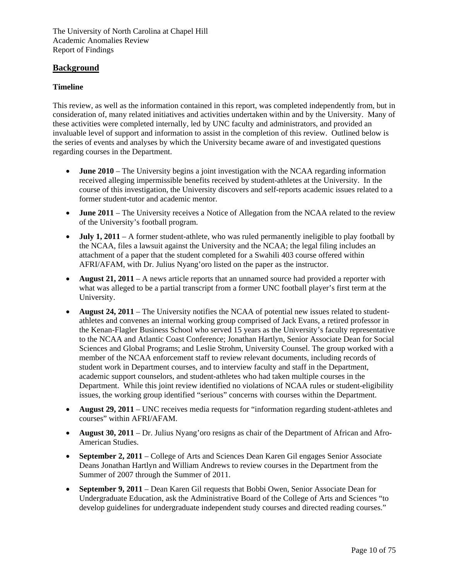# **Background**

#### **Timeline**

This review, as well as the information contained in this report, was completed independently from, but in consideration of, many related initiatives and activities undertaken within and by the University. Many of these activities were completed internally, led by UNC faculty and administrators, and provided an invaluable level of support and information to assist in the completion of this review. Outlined below is the series of events and analyses by which the University became aware of and investigated questions regarding courses in the Department.

- **June 2010** The University begins a joint investigation with the NCAA regarding information received alleging impermissible benefits received by student-athletes at the University. In the course of this investigation, the University discovers and self-reports academic issues related to a former student-tutor and academic mentor.
- **June 2011** The University receives a Notice of Allegation from the NCAA related to the review of the University's football program.
- **July 1, 2011** A former student-athlete, who was ruled permanently ineligible to play football by the NCAA, files a lawsuit against the University and the NCAA; the legal filing includes an attachment of a paper that the student completed for a Swahili 403 course offered within AFRI/AFAM, with Dr. Julius Nyang'oro listed on the paper as the instructor.
- **August 21, 2011** A news article reports that an unnamed source had provided a reporter with what was alleged to be a partial transcript from a former UNC football player's first term at the University.
- **August 24, 2011** The University notifies the NCAA of potential new issues related to studentathletes and convenes an internal working group comprised of Jack Evans, a retired professor in the Kenan-Flagler Business School who served 15 years as the University's faculty representative to the NCAA and Atlantic Coast Conference; Jonathan Hartlyn, Senior Associate Dean for Social Sciences and Global Programs; and Leslie Strohm, University Counsel. The group worked with a member of the NCAA enforcement staff to review relevant documents, including records of student work in Department courses, and to interview faculty and staff in the Department, academic support counselors, and student-athletes who had taken multiple courses in the Department. While this joint review identified no violations of NCAA rules or student-eligibility issues, the working group identified "serious" concerns with courses within the Department.
- **August 29, 2011** UNC receives media requests for "information regarding student-athletes and courses" within AFRI/AFAM.
- **August 30, 2011**  Dr. Julius Nyang'oro resigns as chair of the Department of African and Afro-American Studies.
- **September 2, 2011** College of Arts and Sciences Dean Karen Gil engages Senior Associate Deans Jonathan Hartlyn and William Andrews to review courses in the Department from the Summer of 2007 through the Summer of 2011.
- **September 9, 2011** Dean Karen Gil requests that Bobbi Owen, Senior Associate Dean for Undergraduate Education, ask the Administrative Board of the College of Arts and Sciences "to develop guidelines for undergraduate independent study courses and directed reading courses."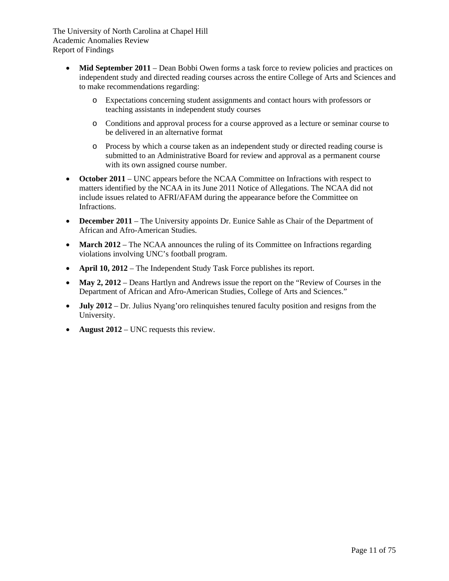- **Mid September 2011** Dean Bobbi Owen forms a task force to review policies and practices on independent study and directed reading courses across the entire College of Arts and Sciences and to make recommendations regarding:
	- o Expectations concerning student assignments and contact hours with professors or teaching assistants in independent study courses
	- o Conditions and approval process for a course approved as a lecture or seminar course to be delivered in an alternative format
	- o Process by which a course taken as an independent study or directed reading course is submitted to an Administrative Board for review and approval as a permanent course with its own assigned course number.
- October 2011 UNC appears before the NCAA Committee on Infractions with respect to matters identified by the NCAA in its June 2011 Notice of Allegations. The NCAA did not include issues related to AFRI/AFAM during the appearance before the Committee on Infractions.
- **December 2011** The University appoints Dr. Eunice Sahle as Chair of the Department of African and Afro-American Studies.
- March 2012 The NCAA announces the ruling of its Committee on Infractions regarding violations involving UNC's football program.
- **April 10, 2012** The Independent Study Task Force publishes its report.
- May 2, 2012 Deans Hartlyn and Andrews issue the report on the "Review of Courses in the Department of African and Afro-American Studies, College of Arts and Sciences."
- **July 2012** Dr. Julius Nyang'oro relinquishes tenured faculty position and resigns from the University.
- **August 2012** UNC requests this review.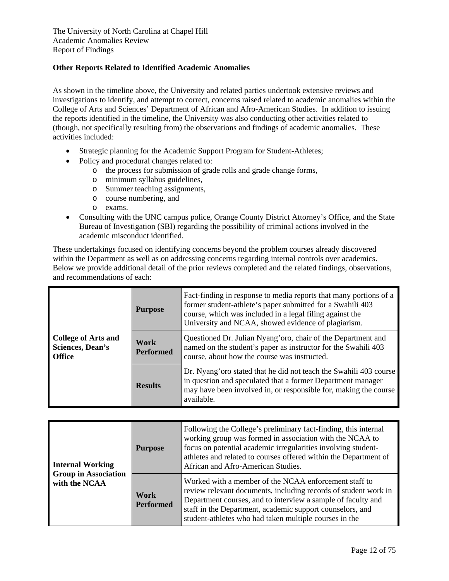#### **Other Reports Related to Identified Academic Anomalies**

As shown in the timeline above, the University and related parties undertook extensive reviews and investigations to identify, and attempt to correct, concerns raised related to academic anomalies within the College of Arts and Sciences' Department of African and Afro-American Studies. In addition to issuing the reports identified in the timeline, the University was also conducting other activities related to (though, not specifically resulting from) the observations and findings of academic anomalies. These activities included:

- Strategic planning for the Academic Support Program for Student-Athletes;
- Policy and procedural changes related to:
	- o the process for submission of grade rolls and grade change forms,
	- o minimum syllabus guidelines,
	- o Summer teaching assignments,
	- o course numbering, and
	- o exams.
- Consulting with the UNC campus police, Orange County District Attorney's Office, and the State Bureau of Investigation (SBI) regarding the possibility of criminal actions involved in the academic misconduct identified.

These undertakings focused on identifying concerns beyond the problem courses already discovered within the Department as well as on addressing concerns regarding internal controls over academics. Below we provide additional detail of the prior reviews completed and the related findings, observations, and recommendations of each:

|                                                                 | <b>Purpose</b>           | Fact-finding in response to media reports that many portions of a<br>former student-athlete's paper submitted for a Swahili 403<br>course, which was included in a legal filing against the<br>University and NCAA, showed evidence of plagiarism. |
|-----------------------------------------------------------------|--------------------------|----------------------------------------------------------------------------------------------------------------------------------------------------------------------------------------------------------------------------------------------------|
| <b>College of Arts and</b><br>Sciences, Dean's<br><b>Office</b> | Work<br><b>Performed</b> | Questioned Dr. Julian Nyang'oro, chair of the Department and<br>named on the student's paper as instructor for the Swahili 403<br>course, about how the course was instructed.                                                                     |
|                                                                 | <b>Results</b>           | Dr. Nyang' oro stated that he did not teach the Swahili 403 course<br>in question and speculated that a former Department manager<br>may have been involved in, or responsible for, making the course<br>available.                                |

| <b>Internal Working</b><br><b>Group in Association</b> | <b>Purpose</b>           | Following the College's preliminary fact-finding, this internal<br>working group was formed in association with the NCAA to<br>focus on potential academic irregularities involving student-<br>athletes and related to courses offered within the Department of<br>African and Afro-American Studies.          |
|--------------------------------------------------------|--------------------------|-----------------------------------------------------------------------------------------------------------------------------------------------------------------------------------------------------------------------------------------------------------------------------------------------------------------|
| with the NCAA                                          | Work<br><b>Performed</b> | Worked with a member of the NCAA enforcement staff to<br>review relevant documents, including records of student work in<br>Department courses, and to interview a sample of faculty and<br>staff in the Department, academic support counselors, and<br>student-athletes who had taken multiple courses in the |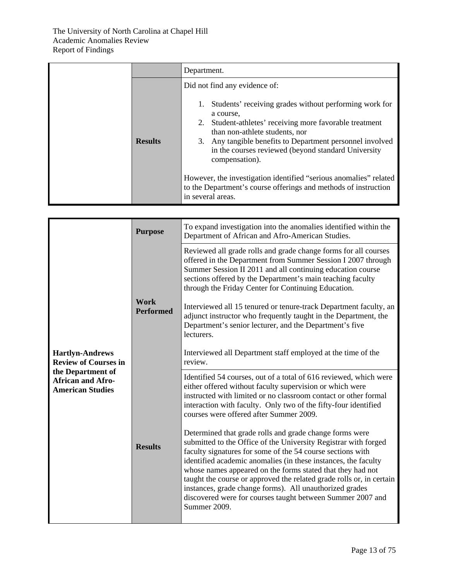|                | Department.                                                                                                                                                                                                                                                                                                                                                                                                                                                                                                   |
|----------------|---------------------------------------------------------------------------------------------------------------------------------------------------------------------------------------------------------------------------------------------------------------------------------------------------------------------------------------------------------------------------------------------------------------------------------------------------------------------------------------------------------------|
| <b>Results</b> | Did not find any evidence of:<br>Students' receiving grades without performing work for<br>1.<br>a course,<br>Student-athletes' receiving more favorable treatment<br>2.<br>than non-athlete students, nor<br>3. Any tangible benefits to Department personnel involved<br>in the courses reviewed (beyond standard University<br>compensation).<br>However, the investigation identified "serious anomalies" related<br>to the Department's course offerings and methods of instruction<br>in several areas. |

| <b>Hartlyn-Andrews</b><br><b>Review of Courses in</b><br>the Department of<br><b>African and Afro-</b><br><b>American Studies</b> | <b>Purpose</b>                  | To expand investigation into the anomalies identified within the<br>Department of African and Afro-American Studies.                                                                                                                                                                                                                                                                                                                                                                                                                                                                                                                                                                                                                                                                                                                                        |
|-----------------------------------------------------------------------------------------------------------------------------------|---------------------------------|-------------------------------------------------------------------------------------------------------------------------------------------------------------------------------------------------------------------------------------------------------------------------------------------------------------------------------------------------------------------------------------------------------------------------------------------------------------------------------------------------------------------------------------------------------------------------------------------------------------------------------------------------------------------------------------------------------------------------------------------------------------------------------------------------------------------------------------------------------------|
|                                                                                                                                   | <b>Work</b><br><b>Performed</b> | Reviewed all grade rolls and grade change forms for all courses<br>offered in the Department from Summer Session I 2007 through<br>Summer Session II 2011 and all continuing education course<br>sections offered by the Department's main teaching faculty<br>through the Friday Center for Continuing Education.<br>Interviewed all 15 tenured or tenure-track Department faculty, an<br>adjunct instructor who frequently taught in the Department, the<br>Department's senior lecturer, and the Department's five<br>lecturers.<br>Interviewed all Department staff employed at the time of the<br>review.                                                                                                                                                                                                                                              |
|                                                                                                                                   | <b>Results</b>                  | Identified 54 courses, out of a total of 616 reviewed, which were<br>either offered without faculty supervision or which were<br>instructed with limited or no classroom contact or other formal<br>interaction with faculty. Only two of the fifty-four identified<br>courses were offered after Summer 2009.<br>Determined that grade rolls and grade change forms were<br>submitted to the Office of the University Registrar with forged<br>faculty signatures for some of the 54 course sections with<br>identified academic anomalies (in these instances, the faculty<br>whose names appeared on the forms stated that they had not<br>taught the course or approved the related grade rolls or, in certain<br>instances, grade change forms). All unauthorized grades<br>discovered were for courses taught between Summer 2007 and<br>Summer 2009. |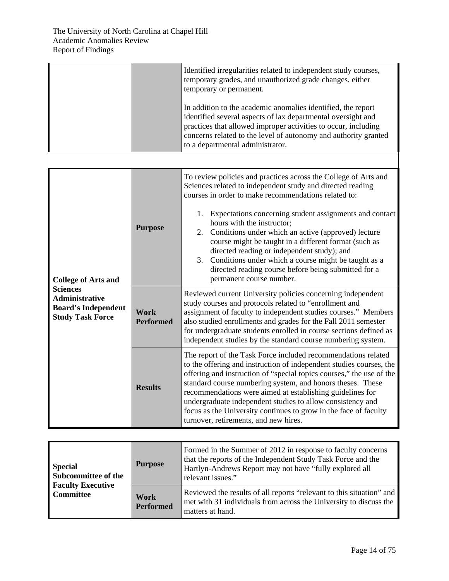|                                                                                                   |                          | Identified irregularities related to independent study courses,<br>temporary grades, and unauthorized grade changes, either<br>temporary or permanent.<br>In addition to the academic anomalies identified, the report<br>identified several aspects of lax departmental oversight and<br>practices that allowed improper activities to occur, including<br>concerns related to the level of autonomy and authority granted<br>to a departmental administrator.                                                                                                                                          |
|---------------------------------------------------------------------------------------------------|--------------------------|----------------------------------------------------------------------------------------------------------------------------------------------------------------------------------------------------------------------------------------------------------------------------------------------------------------------------------------------------------------------------------------------------------------------------------------------------------------------------------------------------------------------------------------------------------------------------------------------------------|
|                                                                                                   |                          |                                                                                                                                                                                                                                                                                                                                                                                                                                                                                                                                                                                                          |
| <b>College of Arts and</b>                                                                        | <b>Purpose</b>           | To review policies and practices across the College of Arts and<br>Sciences related to independent study and directed reading<br>courses in order to make recommendations related to:<br>Expectations concerning student assignments and contact<br>1.<br>hours with the instructor;<br>2. Conditions under which an active (approved) lecture<br>course might be taught in a different format (such as<br>directed reading or independent study); and<br>Conditions under which a course might be taught as a<br>3.<br>directed reading course before being submitted for a<br>permanent course number. |
| <b>Sciences</b><br><b>Administrative</b><br><b>Board's Independent</b><br><b>Study Task Force</b> | Work<br><b>Performed</b> | Reviewed current University policies concerning independent<br>study courses and protocols related to "enrollment and<br>assignment of faculty to independent studies courses." Members<br>also studied enrollments and grades for the Fall 2011 semester<br>for undergraduate students enrolled in course sections defined as<br>independent studies by the standard course numbering system.                                                                                                                                                                                                           |
|                                                                                                   | <b>Results</b>           | The report of the Task Force included recommendations related<br>to the offering and instruction of independent studies courses, the<br>offering and instruction of "special topics courses," the use of the<br>standard course numbering system, and honors theses. These<br>recommendations were aimed at establishing guidelines for<br>undergraduate independent studies to allow consistency and<br>focus as the University continues to grow in the face of faculty<br>turnover, retirements, and new hires.                                                                                       |

| <b>Special</b><br><b>Subcommittee of the</b><br><b>Faculty Executive</b><br><b>Committee</b> | <b>Purpose</b>           | Formed in the Summer of 2012 in response to faculty concerns<br>that the reports of the Independent Study Task Force and the<br>Hartlyn-Andrews Report may not have "fully explored all<br>relevant issues." |
|----------------------------------------------------------------------------------------------|--------------------------|--------------------------------------------------------------------------------------------------------------------------------------------------------------------------------------------------------------|
|                                                                                              | Work<br><b>Performed</b> | Reviewed the results of all reports "relevant to this situation" and<br>met with 31 individuals from across the University to discuss the<br>matters at hand.                                                |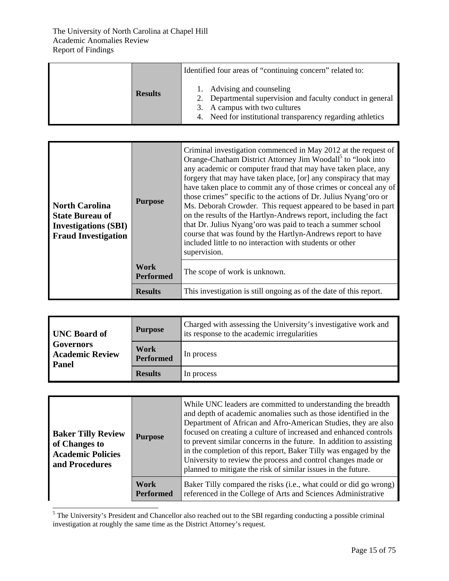|                | Identified four areas of "continuing concern" related to:                                                                                                                               |
|----------------|-----------------------------------------------------------------------------------------------------------------------------------------------------------------------------------------|
| <b>Results</b> | 1. Advising and counseling<br>2. Departmental supervision and faculty conduct in general<br>3. A campus with two cultures<br>4. Need for institutional transparency regarding athletics |

| <b>North Carolina</b><br><b>State Bureau of</b><br><b>Investigations (SBI)</b><br><b>Fraud Investigation</b> | <b>Purpose</b>                  | Criminal investigation commenced in May 2012 at the request of<br>Orange-Chatham District Attorney Jim Woodall <sup>5</sup> to "look into<br>any academic or computer fraud that may have taken place, any<br>forgery that may have taken place, [or] any conspiracy that may<br>have taken place to commit any of those crimes or conceal any of<br>those crimes" specific to the actions of Dr. Julius Nyang'oro or<br>Ms. Deborah Crowder. This request appeared to be based in part<br>on the results of the Hartlyn-Andrews report, including the fact<br>that Dr. Julius Nyang'oro was paid to teach a summer school<br>course that was found by the Hartlyn-Andrews report to have<br>included little to no interaction with students or other<br>supervision. |
|--------------------------------------------------------------------------------------------------------------|---------------------------------|-----------------------------------------------------------------------------------------------------------------------------------------------------------------------------------------------------------------------------------------------------------------------------------------------------------------------------------------------------------------------------------------------------------------------------------------------------------------------------------------------------------------------------------------------------------------------------------------------------------------------------------------------------------------------------------------------------------------------------------------------------------------------|
|                                                                                                              | <b>Work</b><br><b>Performed</b> | The scope of work is unknown.                                                                                                                                                                                                                                                                                                                                                                                                                                                                                                                                                                                                                                                                                                                                         |
|                                                                                                              | <b>Results</b>                  | This investigation is still ongoing as of the date of this report.                                                                                                                                                                                                                                                                                                                                                                                                                                                                                                                                                                                                                                                                                                    |

| <b>UNC Board of</b><br><b>Governors</b><br><b>Academic Review</b><br>Panel | <b>Purpose</b>           | Charged with assessing the University's investigative work and<br>its response to the academic irregularities |
|----------------------------------------------------------------------------|--------------------------|---------------------------------------------------------------------------------------------------------------|
|                                                                            | Work<br><b>Performed</b> | In process                                                                                                    |
|                                                                            | <b>Results</b>           | In process                                                                                                    |

| <b>Baker Tilly Review</b><br>of Changes to<br><b>Academic Policies</b><br>and Procedures | <b>Purpose</b>           | While UNC leaders are committed to understanding the breadth<br>and depth of academic anomalies such as those identified in the<br>Department of African and Afro-American Studies, they are also<br>focused on creating a culture of increased and enhanced controls<br>to prevent similar concerns in the future. In addition to assisting<br>in the completion of this report, Baker Tilly was engaged by the<br>University to review the process and control changes made or<br>planned to mitigate the risk of similar issues in the future. |
|------------------------------------------------------------------------------------------|--------------------------|---------------------------------------------------------------------------------------------------------------------------------------------------------------------------------------------------------------------------------------------------------------------------------------------------------------------------------------------------------------------------------------------------------------------------------------------------------------------------------------------------------------------------------------------------|
|                                                                                          | Work<br><b>Performed</b> | Baker Tilly compared the risks (i.e., what could or did go wrong)<br>referenced in the College of Arts and Sciences Administrative                                                                                                                                                                                                                                                                                                                                                                                                                |

<sup>5</sup> The University's President and Chancellor also reached out to the SBI regarding conducting a possible criminal investigation at roughly the same time as the District Attorney's request.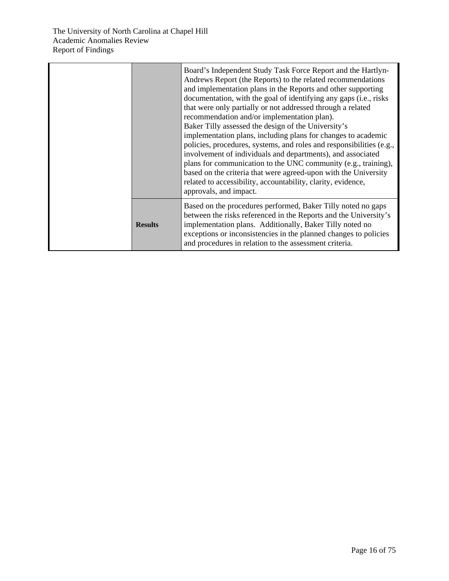|                | Board's Independent Study Task Force Report and the Hartlyn-<br>Andrews Report (the Reports) to the related recommendations<br>and implementation plans in the Reports and other supporting<br>documentation, with the goal of identifying any gaps (i.e., risks<br>that were only partially or not addressed through a related<br>recommendation and/or implementation plan).<br>Baker Tilly assessed the design of the University's<br>implementation plans, including plans for changes to academic<br>policies, procedures, systems, and roles and responsibilities (e.g.,<br>involvement of individuals and departments), and associated<br>plans for communication to the UNC community (e.g., training),<br>based on the criteria that were agreed-upon with the University<br>related to accessibility, accountability, clarity, evidence,<br>approvals, and impact. |
|----------------|------------------------------------------------------------------------------------------------------------------------------------------------------------------------------------------------------------------------------------------------------------------------------------------------------------------------------------------------------------------------------------------------------------------------------------------------------------------------------------------------------------------------------------------------------------------------------------------------------------------------------------------------------------------------------------------------------------------------------------------------------------------------------------------------------------------------------------------------------------------------------|
| <b>Results</b> | Based on the procedures performed, Baker Tilly noted no gaps<br>between the risks referenced in the Reports and the University's<br>implementation plans. Additionally, Baker Tilly noted no<br>exceptions or inconsistencies in the planned changes to policies<br>and procedures in relation to the assessment criteria.                                                                                                                                                                                                                                                                                                                                                                                                                                                                                                                                                   |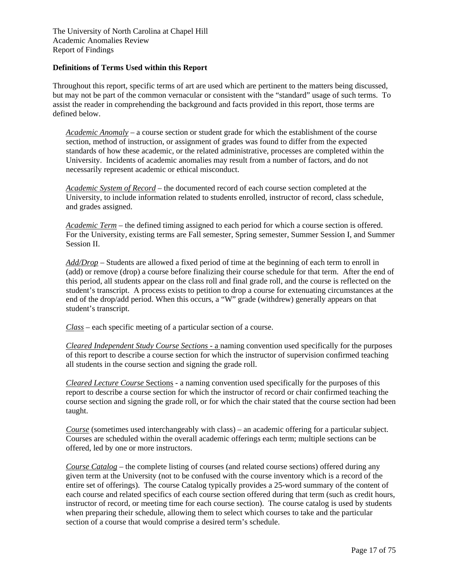#### **Definitions of Terms Used within this Report**

Throughout this report, specific terms of art are used which are pertinent to the matters being discussed, but may not be part of the common vernacular or consistent with the "standard" usage of such terms. To assist the reader in comprehending the background and facts provided in this report, those terms are defined below.

*Academic Anomaly* – a course section or student grade for which the establishment of the course section, method of instruction, or assignment of grades was found to differ from the expected standards of how these academic, or the related administrative, processes are completed within the University. Incidents of academic anomalies may result from a number of factors, and do not necessarily represent academic or ethical misconduct.

*Academic System of Record* – the documented record of each course section completed at the University, to include information related to students enrolled, instructor of record, class schedule, and grades assigned.

*Academic Term* – the defined timing assigned to each period for which a course section is offered. For the University, existing terms are Fall semester, Spring semester, Summer Session I, and Summer Session II.

*Add/Drop* – Students are allowed a fixed period of time at the beginning of each term to enroll in (add) or remove (drop) a course before finalizing their course schedule for that term. After the end of this period, all students appear on the class roll and final grade roll, and the course is reflected on the student's transcript. A process exists to petition to drop a course for extenuating circumstances at the end of the drop/add period. When this occurs, a "W" grade (withdrew) generally appears on that student's transcript.

*Class* – each specific meeting of a particular section of a course.

*Cleared Independent Study Course Sections -* a naming convention used specifically for the purposes of this report to describe a course section for which the instructor of supervision confirmed teaching all students in the course section and signing the grade roll.

*Cleared Lecture Course* Sections - a naming convention used specifically for the purposes of this report to describe a course section for which the instructor of record or chair confirmed teaching the course section and signing the grade roll, or for which the chair stated that the course section had been taught.

*Course* (sometimes used interchangeably with class) – an academic offering for a particular subject. Courses are scheduled within the overall academic offerings each term; multiple sections can be offered, led by one or more instructors.

*Course Catalog* – the complete listing of courses (and related course sections) offered during any given term at the University (not to be confused with the course inventory which is a record of the entire set of offerings). The course Catalog typically provides a 25-word summary of the content of each course and related specifics of each course section offered during that term (such as credit hours, instructor of record, or meeting time for each course section). The course catalog is used by students when preparing their schedule, allowing them to select which courses to take and the particular section of a course that would comprise a desired term's schedule.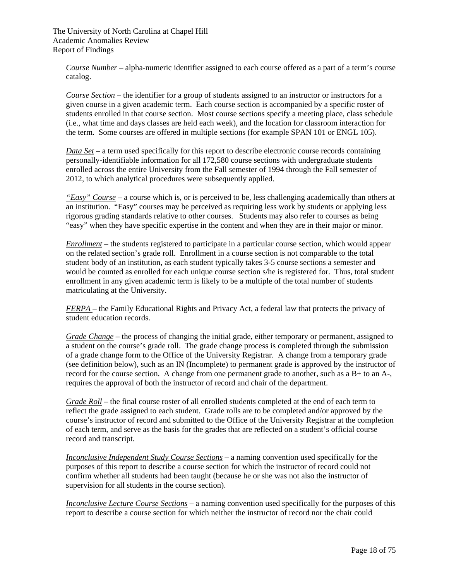*Course Number* – alpha-numeric identifier assigned to each course offered as a part of a term's course catalog.

*Course Section* – the identifier for a group of students assigned to an instructor or instructors for a given course in a given academic term. Each course section is accompanied by a specific roster of students enrolled in that course section. Most course sections specify a meeting place, class schedule (i.e., what time and days classes are held each week), and the location for classroom interaction for the term. Some courses are offered in multiple sections (for example SPAN 101 or ENGL 105).

*Data Set* – a term used specifically for this report to describe electronic course records containing personally-identifiable information for all 172,580 course sections with undergraduate students enrolled across the entire University from the Fall semester of 1994 through the Fall semester of 2012, to which analytical procedures were subsequently applied.

*"Easy" Course* – a course which is, or is perceived to be, less challenging academically than others at an institution. "Easy" courses may be perceived as requiring less work by students or applying less rigorous grading standards relative to other courses. Students may also refer to courses as being "easy" when they have specific expertise in the content and when they are in their major or minor.

*Enrollment –* the students registered to participate in a particular course section, which would appear on the related section's grade roll. Enrollment in a course section is not comparable to the total student body of an institution, as each student typically takes 3-5 course sections a semester and would be counted as enrolled for each unique course section s/he is registered for. Thus, total student enrollment in any given academic term is likely to be a multiple of the total number of students matriculating at the University.

*FERPA* – the Family Educational Rights and Privacy Act, a federal law that protects the privacy of student education records.

*Grade Change* – the process of changing the initial grade, either temporary or permanent, assigned to a student on the course's grade roll. The grade change process is completed through the submission of a grade change form to the Office of the University Registrar. A change from a temporary grade (see definition below), such as an IN (Incomplete) to permanent grade is approved by the instructor of record for the course section. A change from one permanent grade to another, such as a B+ to an A-, requires the approval of both the instructor of record and chair of the department.

*Grade Roll* – the final course roster of all enrolled students completed at the end of each term to reflect the grade assigned to each student. Grade rolls are to be completed and/or approved by the course's instructor of record and submitted to the Office of the University Registrar at the completion of each term, and serve as the basis for the grades that are reflected on a student's official course record and transcript.

*Inconclusive Independent Study Course Sections –* a naming convention used specifically for the purposes of this report to describe a course section for which the instructor of record could not confirm whether all students had been taught (because he or she was not also the instructor of supervision for all students in the course section).

*Inconclusive Lecture Course Sections –* a naming convention used specifically for the purposes of this report to describe a course section for which neither the instructor of record nor the chair could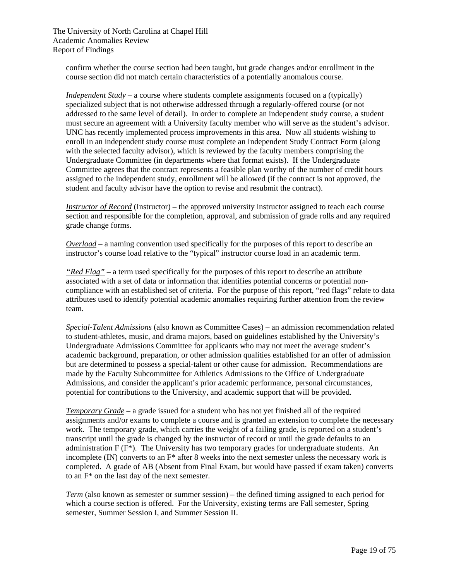confirm whether the course section had been taught, but grade changes and/or enrollment in the course section did not match certain characteristics of a potentially anomalous course.

*Independent Study* – a course where students complete assignments focused on a (typically) specialized subject that is not otherwise addressed through a regularly-offered course (or not addressed to the same level of detail). In order to complete an independent study course, a student must secure an agreement with a University faculty member who will serve as the student's advisor. UNC has recently implemented process improvements in this area. Now all students wishing to enroll in an independent study course must complete an Independent Study Contract Form (along with the selected faculty advisor), which is reviewed by the faculty members comprising the Undergraduate Committee (in departments where that format exists). If the Undergraduate Committee agrees that the contract represents a feasible plan worthy of the number of credit hours assigned to the independent study, enrollment will be allowed (if the contract is not approved, the student and faculty advisor have the option to revise and resubmit the contract).

*Instructor of Record* (Instructor) – the approved university instructor assigned to teach each course section and responsible for the completion, approval, and submission of grade rolls and any required grade change forms.

*Overload* – a naming convention used specifically for the purposes of this report to describe an instructor's course load relative to the "typical" instructor course load in an academic term.

*"Red Flag"* – a term used specifically for the purposes of this report to describe an attribute associated with a set of data or information that identifies potential concerns or potential noncompliance with an established set of criteria. For the purpose of this report, "red flags" relate to data attributes used to identify potential academic anomalies requiring further attention from the review team.

*Special-Talent Admissions* (also known as Committee Cases) – an admission recommendation related to student-athletes, music, and drama majors, based on guidelines established by the University's Undergraduate Admissions Committee for applicants who may not meet the average student's academic background, preparation, or other admission qualities established for an offer of admission but are determined to possess a special-talent or other cause for admission. Recommendations are made by the Faculty Subcommittee for Athletics Admissions to the Office of Undergraduate Admissions, and consider the applicant's prior academic performance, personal circumstances, potential for contributions to the University, and academic support that will be provided.

*Temporary Grade* – a grade issued for a student who has not yet finished all of the required assignments and/or exams to complete a course and is granted an extension to complete the necessary work. The temporary grade, which carries the weight of a failing grade, is reported on a student's transcript until the grade is changed by the instructor of record or until the grade defaults to an administration  $F(F^*)$ . The University has two temporary grades for undergraduate students. An incomplete (IN) converts to an  $F^*$  after 8 weeks into the next semester unless the necessary work is completed. A grade of AB (Absent from Final Exam, but would have passed if exam taken) converts to an F\* on the last day of the next semester.

*Term* (also known as semester or summer session) – the defined timing assigned to each period for which a course section is offered. For the University, existing terms are Fall semester, Spring semester, Summer Session I, and Summer Session II.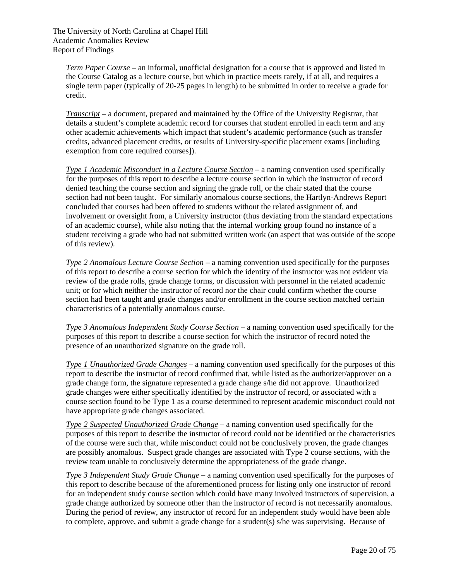*Term Paper Course* – an informal, unofficial designation for a course that is approved and listed in the Course Catalog as a lecture course, but which in practice meets rarely, if at all, and requires a single term paper (typically of 20-25 pages in length) to be submitted in order to receive a grade for credit.

*Transcript* – a document, prepared and maintained by the Office of the University Registrar, that details a student's complete academic record for courses that student enrolled in each term and any other academic achievements which impact that student's academic performance (such as transfer credits, advanced placement credits, or results of University-specific placement exams [including exemption from core required courses]).

*Type 1 Academic Misconduct in a Lecture Course Section* – a naming convention used specifically for the purposes of this report to describe a lecture course section in which the instructor of record denied teaching the course section and signing the grade roll, or the chair stated that the course section had not been taught. For similarly anomalous course sections, the Hartlyn-Andrews Report concluded that courses had been offered to students without the related assignment of, and involvement or oversight from, a University instructor (thus deviating from the standard expectations of an academic course), while also noting that the internal working group found no instance of a student receiving a grade who had not submitted written work (an aspect that was outside of the scope of this review).

*Type 2 Anomalous Lecture Course Section* – a naming convention used specifically for the purposes of this report to describe a course section for which the identity of the instructor was not evident via review of the grade rolls, grade change forms, or discussion with personnel in the related academic unit; or for which neither the instructor of record nor the chair could confirm whether the course section had been taught and grade changes and/or enrollment in the course section matched certain characteristics of a potentially anomalous course.

*Type 3 Anomalous Independent Study Course Section* – a naming convention used specifically for the purposes of this report to describe a course section for which the instructor of record noted the presence of an unauthorized signature on the grade roll.

*Type 1 Unauthorized Grade Changes –* a naming convention used specifically for the purposes of this report to describe the instructor of record confirmed that, while listed as the authorizer/approver on a grade change form, the signature represented a grade change s/he did not approve. Unauthorized grade changes were either specifically identified by the instructor of record, or associated with a course section found to be Type 1 as a course determined to represent academic misconduct could not have appropriate grade changes associated.

*Type 2 Suspected Unauthorized Grade Change* – a naming convention used specifically for the purposes of this report to describe the instructor of record could not be identified or the characteristics of the course were such that, while misconduct could not be conclusively proven, the grade changes are possibly anomalous. Suspect grade changes are associated with Type 2 course sections, with the review team unable to conclusively determine the appropriateness of the grade change.

*Type 3 Independent Study Grade Change* **–** a naming convention used specifically for the purposes of this report to describe because of the aforementioned process for listing only one instructor of record for an independent study course section which could have many involved instructors of supervision, a grade change authorized by someone other than the instructor of record is not necessarily anomalous. During the period of review, any instructor of record for an independent study would have been able to complete, approve, and submit a grade change for a student(s) s/he was supervising. Because of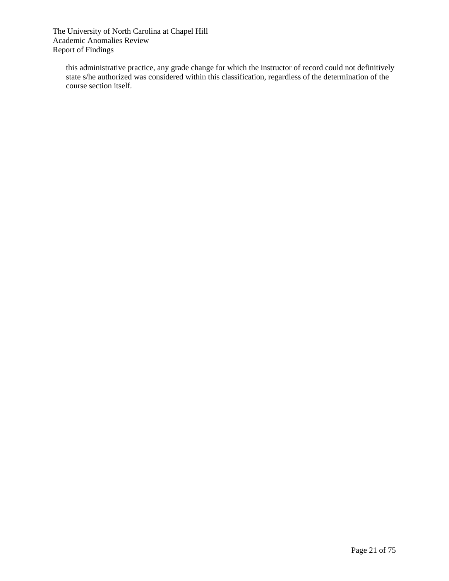this administrative practice, any grade change for which the instructor of record could not definitively state s/he authorized was considered within this classification, regardless of the determination of the course section itself.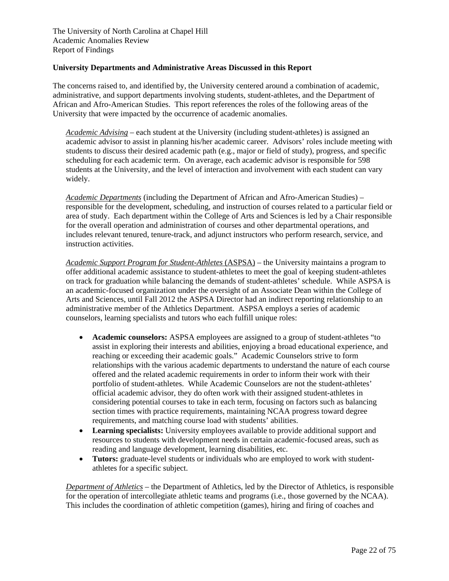#### **University Departments and Administrative Areas Discussed in this Report**

The concerns raised to, and identified by, the University centered around a combination of academic, administrative, and support departments involving students, student-athletes, and the Department of African and Afro-American Studies. This report references the roles of the following areas of the University that were impacted by the occurrence of academic anomalies.

*Academic Advising* – each student at the University (including student-athletes) is assigned an academic advisor to assist in planning his/her academic career. Advisors' roles include meeting with students to discuss their desired academic path (e.g., major or field of study), progress, and specific scheduling for each academic term. On average, each academic advisor is responsible for 598 students at the University, and the level of interaction and involvement with each student can vary widely.

*Academic Departments* (including the Department of African and Afro-American Studies) – responsible for the development, scheduling, and instruction of courses related to a particular field or area of study. Each department within the College of Arts and Sciences is led by a Chair responsible for the overall operation and administration of courses and other departmental operations, and includes relevant tenured, tenure-track, and adjunct instructors who perform research, service, and instruction activities.

*Academic Support Program for Student-Athletes* (ASPSA) – the University maintains a program to offer additional academic assistance to student-athletes to meet the goal of keeping student-athletes on track for graduation while balancing the demands of student-athletes' schedule. While ASPSA is an academic-focused organization under the oversight of an Associate Dean within the College of Arts and Sciences, until Fall 2012 the ASPSA Director had an indirect reporting relationship to an administrative member of the Athletics Department. ASPSA employs a series of academic counselors, learning specialists and tutors who each fulfill unique roles:

- **Academic counselors:** ASPSA employees are assigned to a group of student-athletes "to assist in exploring their interests and abilities, enjoying a broad educational experience, and reaching or exceeding their academic goals." Academic Counselors strive to form relationships with the various academic departments to understand the nature of each course offered and the related academic requirements in order to inform their work with their portfolio of student-athletes. While Academic Counselors are not the student-athletes' official academic advisor, they do often work with their assigned student-athletes in considering potential courses to take in each term, focusing on factors such as balancing section times with practice requirements, maintaining NCAA progress toward degree requirements, and matching course load with students' abilities.
- **Learning specialists:** University employees available to provide additional support and resources to students with development needs in certain academic-focused areas, such as reading and language development, learning disabilities, etc.
- **Tutors:** graduate-level students or individuals who are employed to work with studentathletes for a specific subject.

*Department of Athletics* – the Department of Athletics, led by the Director of Athletics, is responsible for the operation of intercollegiate athletic teams and programs (i.e., those governed by the NCAA). This includes the coordination of athletic competition (games), hiring and firing of coaches and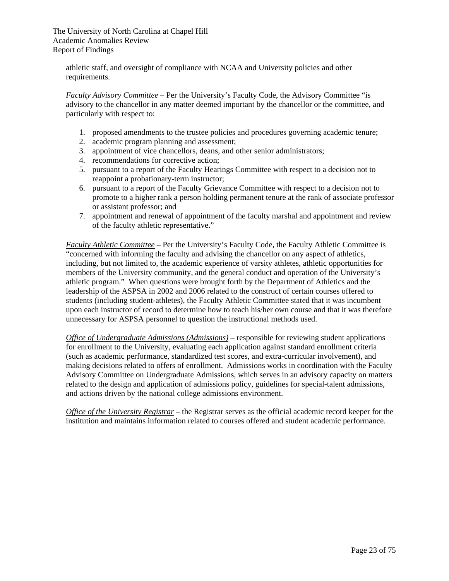athletic staff, and oversight of compliance with NCAA and University policies and other requirements.

*Faculty Advisory Committee* – Per the University's Faculty Code, the Advisory Committee "is advisory to the chancellor in any matter deemed important by the chancellor or the committee, and particularly with respect to:

- 1. proposed amendments to the trustee policies and procedures governing academic tenure;
- 2. academic program planning and assessment;
- 3. appointment of vice chancellors, deans, and other senior administrators;
- 4. recommendations for corrective action;
- 5. pursuant to a report of the Faculty Hearings Committee with respect to a decision not to reappoint a probationary-term instructor;
- 6. pursuant to a report of the Faculty Grievance Committee with respect to a decision not to promote to a higher rank a person holding permanent tenure at the rank of associate professor or assistant professor; and
- 7. appointment and renewal of appointment of the faculty marshal and appointment and review of the faculty athletic representative."

*Faculty Athletic Committee* – Per the University's Faculty Code, the Faculty Athletic Committee is "concerned with informing the faculty and advising the chancellor on any aspect of athletics, including, but not limited to, the academic experience of varsity athletes, athletic opportunities for members of the University community, and the general conduct and operation of the University's athletic program." When questions were brought forth by the Department of Athletics and the leadership of the ASPSA in 2002 and 2006 related to the construct of certain courses offered to students (including student-athletes), the Faculty Athletic Committee stated that it was incumbent upon each instructor of record to determine how to teach his/her own course and that it was therefore unnecessary for ASPSA personnel to question the instructional methods used.

*Office of Undergraduate Admissions (Admissions)* – responsible for reviewing student applications for enrollment to the University, evaluating each application against standard enrollment criteria (such as academic performance, standardized test scores, and extra-curricular involvement), and making decisions related to offers of enrollment. Admissions works in coordination with the Faculty Advisory Committee on Undergraduate Admissions, which serves in an advisory capacity on matters related to the design and application of admissions policy, guidelines for special-talent admissions, and actions driven by the national college admissions environment.

*Office of the University Registrar* – the Registrar serves as the official academic record keeper for the institution and maintains information related to courses offered and student academic performance.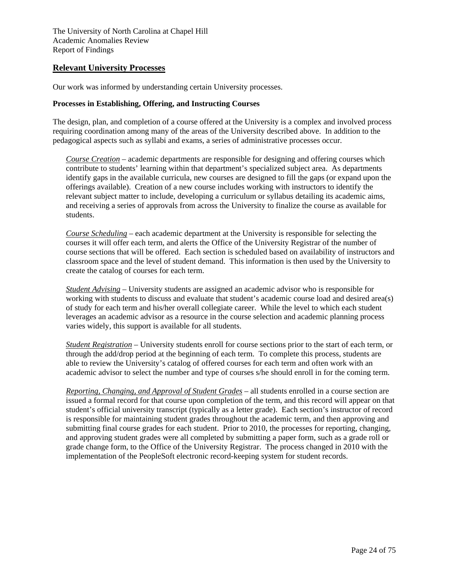#### **Relevant University Processes**

Our work was informed by understanding certain University processes.

#### **Processes in Establishing, Offering, and Instructing Courses**

The design, plan, and completion of a course offered at the University is a complex and involved process requiring coordination among many of the areas of the University described above. In addition to the pedagogical aspects such as syllabi and exams, a series of administrative processes occur.

*Course Creation* – academic departments are responsible for designing and offering courses which contribute to students' learning within that department's specialized subject area. As departments identify gaps in the available curricula, new courses are designed to fill the gaps (or expand upon the offerings available). Creation of a new course includes working with instructors to identify the relevant subject matter to include, developing a curriculum or syllabus detailing its academic aims, and receiving a series of approvals from across the University to finalize the course as available for students.

*Course Scheduling* – each academic department at the University is responsible for selecting the courses it will offer each term, and alerts the Office of the University Registrar of the number of course sections that will be offered. Each section is scheduled based on availability of instructors and classroom space and the level of student demand. This information is then used by the University to create the catalog of courses for each term.

*Student Advising* – University students are assigned an academic advisor who is responsible for working with students to discuss and evaluate that student's academic course load and desired area(s) of study for each term and his/her overall collegiate career. While the level to which each student leverages an academic advisor as a resource in the course selection and academic planning process varies widely, this support is available for all students.

*Student Registration* – University students enroll for course sections prior to the start of each term, or through the add/drop period at the beginning of each term. To complete this process, students are able to review the University's catalog of offered courses for each term and often work with an academic advisor to select the number and type of courses s/he should enroll in for the coming term.

*Reporting, Changing, and Approval of Student Grades* – all students enrolled in a course section are issued a formal record for that course upon completion of the term, and this record will appear on that student's official university transcript (typically as a letter grade). Each section's instructor of record is responsible for maintaining student grades throughout the academic term, and then approving and submitting final course grades for each student. Prior to 2010, the processes for reporting, changing, and approving student grades were all completed by submitting a paper form, such as a grade roll or grade change form, to the Office of the University Registrar. The process changed in 2010 with the implementation of the PeopleSoft electronic record-keeping system for student records.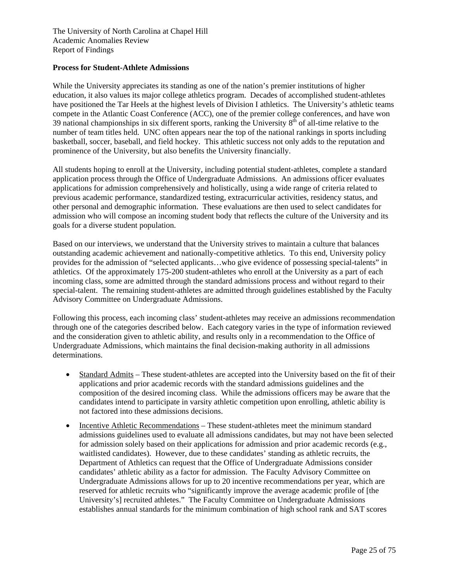#### **Process for Student-Athlete Admissions**

While the University appreciates its standing as one of the nation's premier institutions of higher education, it also values its major college athletics program. Decades of accomplished student-athletes have positioned the Tar Heels at the highest levels of Division I athletics. The University's athletic teams compete in the Atlantic Coast Conference (ACC), one of the premier college conferences, and have won 39 national championships in six different sports, ranking the University  $8<sup>th</sup>$  of all-time relative to the number of team titles held. UNC often appears near the top of the national rankings in sports including basketball, soccer, baseball, and field hockey. This athletic success not only adds to the reputation and prominence of the University, but also benefits the University financially.

All students hoping to enroll at the University, including potential student-athletes, complete a standard application process through the Office of Undergraduate Admissions. An admissions officer evaluates applications for admission comprehensively and holistically, using a wide range of criteria related to previous academic performance, standardized testing, extracurricular activities, residency status, and other personal and demographic information. These evaluations are then used to select candidates for admission who will compose an incoming student body that reflects the culture of the University and its goals for a diverse student population.

Based on our interviews, we understand that the University strives to maintain a culture that balances outstanding academic achievement and nationally-competitive athletics. To this end, University policy provides for the admission of "selected applicants…who give evidence of possessing special-talents" in athletics. Of the approximately 175-200 student-athletes who enroll at the University as a part of each incoming class, some are admitted through the standard admissions process and without regard to their special-talent. The remaining student-athletes are admitted through guidelines established by the Faculty Advisory Committee on Undergraduate Admissions.

Following this process, each incoming class' student-athletes may receive an admissions recommendation through one of the categories described below. Each category varies in the type of information reviewed and the consideration given to athletic ability, and results only in a recommendation to the Office of Undergraduate Admissions, which maintains the final decision-making authority in all admissions determinations.

- Standard Admits These student-athletes are accepted into the University based on the fit of their applications and prior academic records with the standard admissions guidelines and the composition of the desired incoming class. While the admissions officers may be aware that the candidates intend to participate in varsity athletic competition upon enrolling, athletic ability is not factored into these admissions decisions.
- Incentive Athletic Recommendations These student-athletes meet the minimum standard admissions guidelines used to evaluate all admissions candidates, but may not have been selected for admission solely based on their applications for admission and prior academic records (e.g., waitlisted candidates). However, due to these candidates' standing as athletic recruits, the Department of Athletics can request that the Office of Undergraduate Admissions consider candidates' athletic ability as a factor for admission. The Faculty Advisory Committee on Undergraduate Admissions allows for up to 20 incentive recommendations per year, which are reserved for athletic recruits who "significantly improve the average academic profile of [the University's] recruited athletes." The Faculty Committee on Undergraduate Admissions establishes annual standards for the minimum combination of high school rank and SAT scores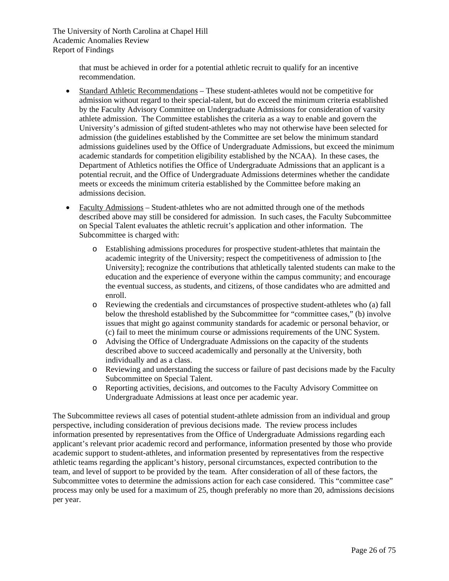> that must be achieved in order for a potential athletic recruit to qualify for an incentive recommendation.

- Standard Athletic Recommendations These student-athletes would not be competitive for admission without regard to their special-talent, but do exceed the minimum criteria established by the Faculty Advisory Committee on Undergraduate Admissions for consideration of varsity athlete admission. The Committee establishes the criteria as a way to enable and govern the University's admission of gifted student-athletes who may not otherwise have been selected for admission (the guidelines established by the Committee are set below the minimum standard admissions guidelines used by the Office of Undergraduate Admissions, but exceed the minimum academic standards for competition eligibility established by the NCAA). In these cases, the Department of Athletics notifies the Office of Undergraduate Admissions that an applicant is a potential recruit, and the Office of Undergraduate Admissions determines whether the candidate meets or exceeds the minimum criteria established by the Committee before making an admissions decision.
- Faculty Admissions Student-athletes who are not admitted through one of the methods described above may still be considered for admission. In such cases, the Faculty Subcommittee on Special Talent evaluates the athletic recruit's application and other information. The Subcommittee is charged with:
	- o Establishing admissions procedures for prospective student-athletes that maintain the academic integrity of the University; respect the competitiveness of admission to [the University]; recognize the contributions that athletically talented students can make to the education and the experience of everyone within the campus community; and encourage the eventual success, as students, and citizens, of those candidates who are admitted and enroll.
	- o Reviewing the credentials and circumstances of prospective student-athletes who (a) fall below the threshold established by the Subcommittee for "committee cases," (b) involve issues that might go against community standards for academic or personal behavior, or (c) fail to meet the minimum course or admissions requirements of the UNC System.
	- o Advising the Office of Undergraduate Admissions on the capacity of the students described above to succeed academically and personally at the University, both individually and as a class.
	- o Reviewing and understanding the success or failure of past decisions made by the Faculty Subcommittee on Special Talent.
	- o Reporting activities, decisions, and outcomes to the Faculty Advisory Committee on Undergraduate Admissions at least once per academic year.

The Subcommittee reviews all cases of potential student-athlete admission from an individual and group perspective, including consideration of previous decisions made. The review process includes information presented by representatives from the Office of Undergraduate Admissions regarding each applicant's relevant prior academic record and performance, information presented by those who provide academic support to student-athletes, and information presented by representatives from the respective athletic teams regarding the applicant's history, personal circumstances, expected contribution to the team, and level of support to be provided by the team. After consideration of all of these factors, the Subcommittee votes to determine the admissions action for each case considered. This "committee case" process may only be used for a maximum of 25, though preferably no more than 20, admissions decisions per year.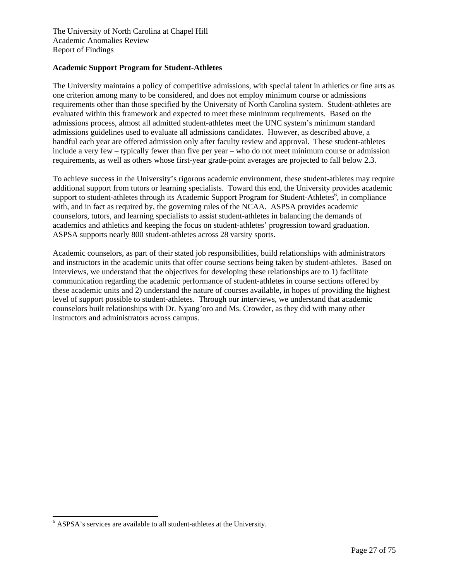#### **Academic Support Program for Student-Athletes**

The University maintains a policy of competitive admissions, with special talent in athletics or fine arts as one criterion among many to be considered, and does not employ minimum course or admissions requirements other than those specified by the University of North Carolina system. Student-athletes are evaluated within this framework and expected to meet these minimum requirements. Based on the admissions process, almost all admitted student-athletes meet the UNC system's minimum standard admissions guidelines used to evaluate all admissions candidates. However, as described above, a handful each year are offered admission only after faculty review and approval. These student-athletes include a very few – typically fewer than five per year – who do not meet minimum course or admission requirements, as well as others whose first-year grade-point averages are projected to fall below 2.3.

To achieve success in the University's rigorous academic environment, these student-athletes may require additional support from tutors or learning specialists. Toward this end, the University provides academic support to student-athletes through its Academic Support Program for Student-Athletes<sup>6</sup>, in compliance with, and in fact as required by, the governing rules of the NCAA. ASPSA provides academic counselors, tutors, and learning specialists to assist student-athletes in balancing the demands of academics and athletics and keeping the focus on student-athletes' progression toward graduation. ASPSA supports nearly 800 student-athletes across 28 varsity sports.

Academic counselors, as part of their stated job responsibilities, build relationships with administrators and instructors in the academic units that offer course sections being taken by student-athletes. Based on interviews, we understand that the objectives for developing these relationships are to 1) facilitate communication regarding the academic performance of student-athletes in course sections offered by these academic units and 2) understand the nature of courses available, in hopes of providing the highest level of support possible to student-athletes. Through our interviews, we understand that academic counselors built relationships with Dr. Nyang'oro and Ms. Crowder, as they did with many other instructors and administrators across campus.

l

<sup>6</sup> ASPSA's services are available to all student-athletes at the University.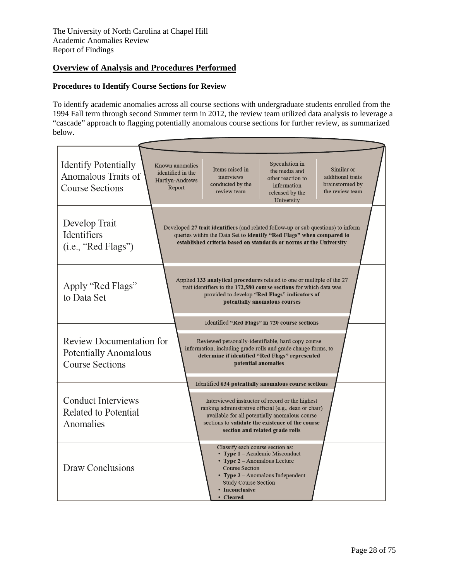# **Overview of Analysis and Procedures Performed**

### **Procedures to Identify Course Sections for Review**

To identify academic anomalies across all course sections with undergraduate students enrolled from the 1994 Fall term through second Summer term in 2012, the review team utilized data analysis to leverage a "cascade" approach to flagging potentially anomalous course sections for further review, as summarized below.

| <b>Identify Potentially</b><br>Anomalous Traits of<br><b>Course Sections</b>              | Speculation in<br>Known anomalies<br>Items raised in<br>Similar or<br>the media and<br>identified in the<br>additional traits<br>interviews<br>other reaction to<br>Hartlyn-Andrews<br>brainstormed by<br>conducted by the<br>information<br>Report<br>review team<br>the review team<br>released by the<br>University |
|-------------------------------------------------------------------------------------------|------------------------------------------------------------------------------------------------------------------------------------------------------------------------------------------------------------------------------------------------------------------------------------------------------------------------|
| Develop Trait<br><b>Identifiers</b><br>(i.e., "Red Flags")                                | Developed 27 trait identifiers (and related follow-up or sub questions) to inform<br>queries within the Data Set to identify "Red Flags" when compared to<br>established criteria based on standards or norms at the University                                                                                        |
| Apply "Red Flags"<br>to Data Set                                                          | Applied 133 analytical procedures related to one or multiple of the 27<br>trait identifiers to the 172,580 course sections for which data was<br>provided to develop "Red Flags" indicators of<br>potentially anomalous courses                                                                                        |
| <b>Review Documentation for</b><br><b>Potentially Anomalous</b><br><b>Course Sections</b> | Identified "Red Flags" in 720 course sections<br>Reviewed personally-identifiable, hard copy course<br>information, including grade rolls and grade change forms, to<br>determine if identified "Red Flags" represented<br>potential anomalies                                                                         |
| <b>Conduct Interviews</b><br>Related to Potential<br>Anomalies                            | Identified 634 potentially anomalous course sections<br>Interviewed instructor of record or the highest<br>ranking administrative official (e.g., dean or chair)<br>available for all potentially anomalous course<br>sections to validate the existence of the course<br>section and related grade rolls              |
| Draw Conclusions                                                                          | Classify each course section as:<br>• Type $1 -$ Academic Misconduct<br>• Type $2 -$ Anomalous Lecture<br><b>Course Section</b><br>• Type $3$ – Anomalous Independent<br><b>Study Course Section</b><br>• Inconclusive<br>• Cleared                                                                                    |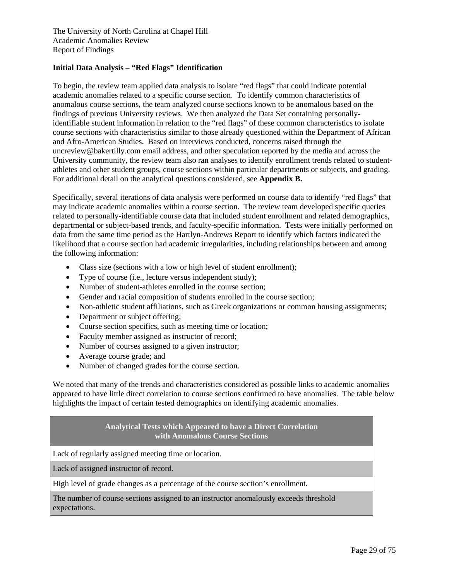#### **Initial Data Analysis – "Red Flags" Identification**

To begin, the review team applied data analysis to isolate "red flags" that could indicate potential academic anomalies related to a specific course section. To identify common characteristics of anomalous course sections, the team analyzed course sections known to be anomalous based on the findings of previous University reviews. We then analyzed the Data Set containing personallyidentifiable student information in relation to the "red flags" of these common characteristics to isolate course sections with characteristics similar to those already questioned within the Department of African and Afro-American Studies. Based on interviews conducted, concerns raised through the uncreview@bakertilly.com email address, and other speculation reported by the media and across the University community, the review team also ran analyses to identify enrollment trends related to studentathletes and other student groups, course sections within particular departments or subjects, and grading. For additional detail on the analytical questions considered, see **Appendix B.**

Specifically, several iterations of data analysis were performed on course data to identify "red flags" that may indicate academic anomalies within a course section. The review team developed specific queries related to personally-identifiable course data that included student enrollment and related demographics, departmental or subject-based trends, and faculty-specific information. Tests were initially performed on data from the same time period as the Hartlyn-Andrews Report to identify which factors indicated the likelihood that a course section had academic irregularities, including relationships between and among the following information:

- Class size (sections with a low or high level of student enrollment);
- Type of course (i.e., lecture versus independent study);
- Number of student-athletes enrolled in the course section;
- Gender and racial composition of students enrolled in the course section;
- Non-athletic student affiliations, such as Greek organizations or common housing assignments;
- Department or subject offering;
- Course section specifics, such as meeting time or location;
- Faculty member assigned as instructor of record;
- Number of courses assigned to a given instructor;
- Average course grade; and
- Number of changed grades for the course section.

We noted that many of the trends and characteristics considered as possible links to academic anomalies appeared to have little direct correlation to course sections confirmed to have anomalies. The table below highlights the impact of certain tested demographics on identifying academic anomalies.

#### **Analytical Tests which Appeared to have a Direct Correlation with Anomalous Course Sections**

Lack of regularly assigned meeting time or location.

Lack of assigned instructor of record.

High level of grade changes as a percentage of the course section's enrollment.

The number of course sections assigned to an instructor anomalously exceeds threshold expectations.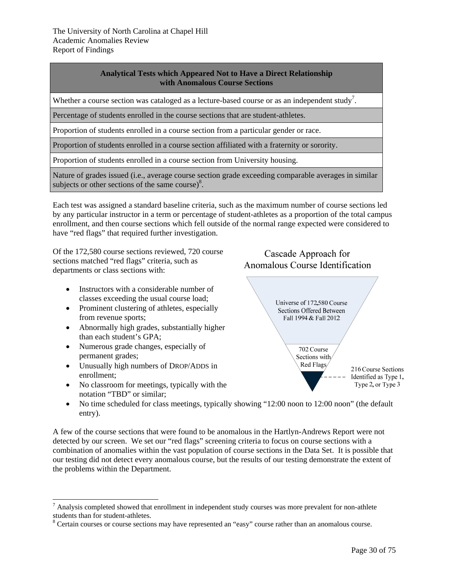# **Analytical Tests which Appeared Not to Have a Direct Relationship with Anomalous Course Sections**

Whether a course section was cataloged as a lecture-based course or as an independent study<sup>7</sup>.

Percentage of students enrolled in the course sections that are student-athletes.

Proportion of students enrolled in a course section from a particular gender or race.

Proportion of students enrolled in a course section affiliated with a fraternity or sorority.

Proportion of students enrolled in a course section from University housing.

Nature of grades issued (i.e., average course section grade exceeding comparable averages in similar subjects or other sections of the same course) $8$ .

Each test was assigned a standard baseline criteria, such as the maximum number of course sections led by any particular instructor in a term or percentage of student-athletes as a proportion of the total campus enrollment, and then course sections which fell outside of the normal range expected were considered to have "red flags" that required further investigation.

Of the 172,580 course sections reviewed, 720 course sections matched "red flags" criteria, such as departments or class sections with:

- Instructors with a considerable number of classes exceeding the usual course load;
- Prominent clustering of athletes, especially from revenue sports;
- Abnormally high grades, substantially higher than each student's GPA;
- Numerous grade changes, especially of permanent grades;
- Unusually high numbers of DROP/ADDS in enrollment;
- No classroom for meetings, typically with the notation "TBD" or similar;





• No time scheduled for class meetings, typically showing "12:00 noon to 12:00 noon" (the default entry).

A few of the course sections that were found to be anomalous in the Hartlyn-Andrews Report were not detected by our screen. We set our "red flags" screening criteria to focus on course sections with a combination of anomalies within the vast population of course sections in the Data Set. It is possible that our testing did not detect every anomalous course, but the results of our testing demonstrate the extent of the problems within the Department.

<sup>&</sup>lt;sup>7</sup> Analysis completed showed that enrollment in independent study courses was more prevalent for non-athlete students than for student-athletes.

<sup>&</sup>lt;sup>8</sup> Certain courses or course sections may have represented an "easy" course rather than an anomalous course.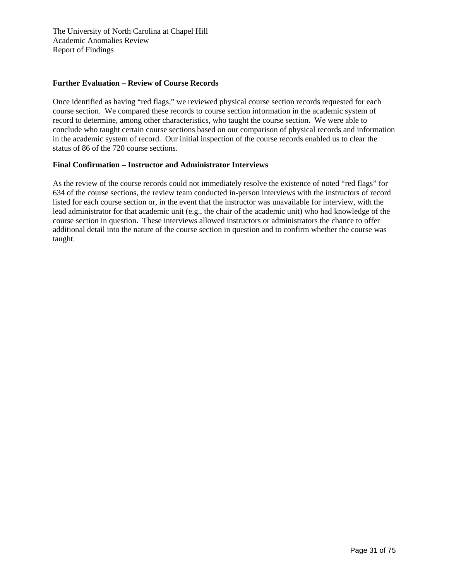#### **Further Evaluation – Review of Course Records**

Once identified as having "red flags," we reviewed physical course section records requested for each course section. We compared these records to course section information in the academic system of record to determine, among other characteristics, who taught the course section. We were able to conclude who taught certain course sections based on our comparison of physical records and information in the academic system of record. Our initial inspection of the course records enabled us to clear the status of 86 of the 720 course sections.

#### **Final Confirmation – Instructor and Administrator Interviews**

As the review of the course records could not immediately resolve the existence of noted "red flags" for 634 of the course sections, the review team conducted in-person interviews with the instructors of record listed for each course section or, in the event that the instructor was unavailable for interview, with the lead administrator for that academic unit (e.g., the chair of the academic unit) who had knowledge of the course section in question. These interviews allowed instructors or administrators the chance to offer additional detail into the nature of the course section in question and to confirm whether the course was taught.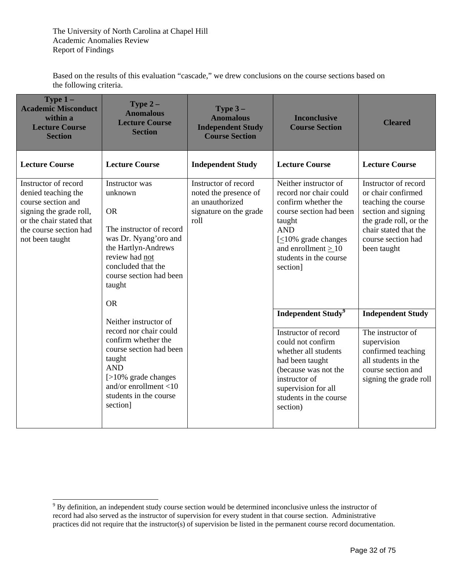Based on the results of this evaluation "cascade," we drew conclusions on the course sections based on the following criteria.

| Type $1-$<br><b>Academic Misconduct</b><br>within a<br><b>Lecture Course</b><br><b>Section</b>                                                                        | <b>Type 2 –</b><br><b>Anomalous</b><br><b>Lecture Course</b><br><b>Section</b>                                                                                                                                        | <b>Type 3-</b><br><b>Anomalous</b><br><b>Independent Study</b><br><b>Course Section</b>            | <b>Inconclusive</b><br><b>Course Section</b>                                                                                                                                                                                 | <b>Cleared</b>                                                                                                                                                                   |
|-----------------------------------------------------------------------------------------------------------------------------------------------------------------------|-----------------------------------------------------------------------------------------------------------------------------------------------------------------------------------------------------------------------|----------------------------------------------------------------------------------------------------|------------------------------------------------------------------------------------------------------------------------------------------------------------------------------------------------------------------------------|----------------------------------------------------------------------------------------------------------------------------------------------------------------------------------|
| <b>Lecture Course</b>                                                                                                                                                 | <b>Lecture Course</b>                                                                                                                                                                                                 | <b>Independent Study</b>                                                                           | <b>Lecture Course</b>                                                                                                                                                                                                        | <b>Lecture Course</b>                                                                                                                                                            |
| Instructor of record<br>denied teaching the<br>course section and<br>signing the grade roll,<br>or the chair stated that<br>the course section had<br>not been taught | Instructor was<br>unknown<br><b>OR</b><br>The instructor of record<br>was Dr. Nyang'oro and<br>the Hartlyn-Andrews<br>review had not<br>concluded that the<br>course section had been<br>taught<br><b>OR</b>          | Instructor of record<br>noted the presence of<br>an unauthorized<br>signature on the grade<br>roll | Neither instructor of<br>record nor chair could<br>confirm whether the<br>course section had been<br>taught<br><b>AND</b><br>$\leq 10\%$ grade changes<br>and enrollment $> 10$<br>students in the course<br>section]        | Instructor of record<br>or chair confirmed<br>teaching the course<br>section and signing<br>the grade roll, or the<br>chair stated that the<br>course section had<br>been taught |
|                                                                                                                                                                       | Neither instructor of<br>record nor chair could<br>confirm whether the<br>course section had been<br>taught<br><b>AND</b><br>$[>10\%$ grade changes<br>and/or enrollment $<$ 10<br>students in the course<br>section] |                                                                                                    | Independent Study <sup>9</sup><br>Instructor of record<br>could not confirm<br>whether all students<br>had been taught<br>(because was not the<br>instructor of<br>supervision for all<br>students in the course<br>section) | <b>Independent Study</b><br>The instructor of<br>supervision<br>confirmed teaching<br>all students in the<br>course section and<br>signing the grade roll                        |

<sup>&</sup>lt;sup>9</sup> By definition, an independent study course section would be determined inconclusive unless the instructor of record had also served as the instructor of supervision for every student in that course section. Administrative practices did not require that the instructor(s) of supervision be listed in the permanent course record documentation.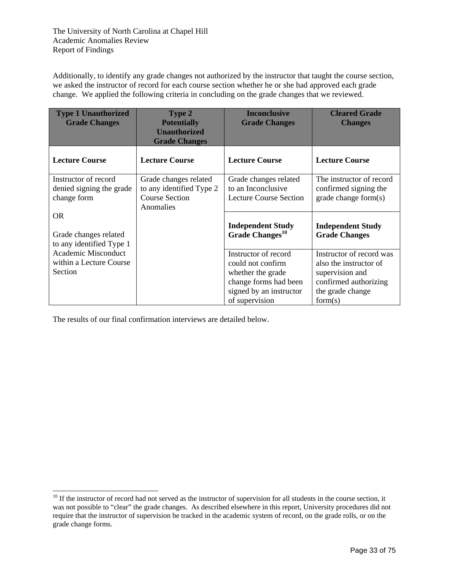Additionally, to identify any grade changes not authorized by the instructor that taught the course section, we asked the instructor of record for each course section whether he or she had approved each grade change. We applied the following criteria in concluding on the grade changes that we reviewed.

| <b>Type 1 Unauthorized</b><br><b>Grade Changes</b>               | <b>Type 2</b><br><b>Potentially</b><br><b>Unauthorized</b><br><b>Grade Changes</b>      | <b>Inconclusive</b><br><b>Grade Changes</b>                                                                                          | <b>Cleared Grade</b><br><b>Changes</b>                                                                                        |
|------------------------------------------------------------------|-----------------------------------------------------------------------------------------|--------------------------------------------------------------------------------------------------------------------------------------|-------------------------------------------------------------------------------------------------------------------------------|
| <b>Lecture Course</b>                                            | <b>Lecture Course</b>                                                                   | <b>Lecture Course</b>                                                                                                                | <b>Lecture Course</b>                                                                                                         |
| Instructor of record<br>denied signing the grade<br>change form  | Grade changes related<br>to any identified Type 2<br><b>Course Section</b><br>Anomalies | Grade changes related<br>to an Inconclusive<br><b>Lecture Course Section</b>                                                         | The instructor of record<br>confirmed signing the<br>grade change form(s)                                                     |
| <b>OR</b><br>Grade changes related<br>to any identified Type 1   |                                                                                         | <b>Independent Study</b><br>Grade Changes <sup>10</sup>                                                                              | <b>Independent Study</b><br><b>Grade Changes</b>                                                                              |
| <b>Academic Misconduct</b><br>within a Lecture Course<br>Section |                                                                                         | Instructor of record<br>could not confirm<br>whether the grade<br>change forms had been<br>signed by an instructor<br>of supervision | Instructor of record was<br>also the instructor of<br>supervision and<br>confirmed authorizing<br>the grade change<br>form(s) |

The results of our final confirmation interviews are detailed below.

l

 $10$  If the instructor of record had not served as the instructor of supervision for all students in the course section, it was not possible to "clear" the grade changes. As described elsewhere in this report, University procedures did not require that the instructor of supervision be tracked in the academic system of record, on the grade rolls, or on the grade change forms.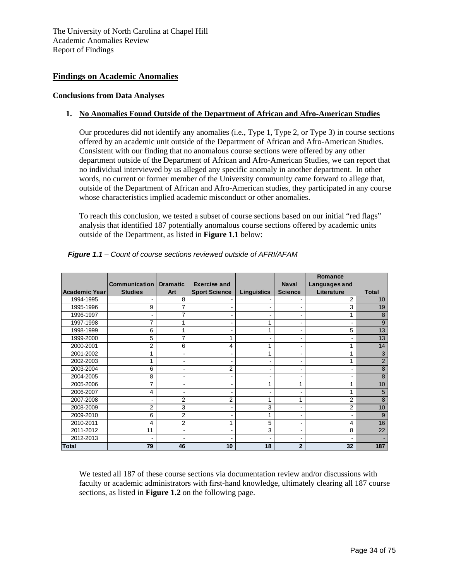## **Findings on Academic Anomalies**

### **Conclusions from Data Analyses**

## **1. No Anomalies Found Outside of the Department of African and Afro-American Studies**

Our procedures did not identify any anomalies (i.e., Type 1, Type 2, or Type 3) in course sections offered by an academic unit outside of the Department of African and Afro-American Studies. Consistent with our finding that no anomalous course sections were offered by any other department outside of the Department of African and Afro-American Studies, we can report that no individual interviewed by us alleged any specific anomaly in another department. In other words, no current or former member of the University community came forward to allege that, outside of the Department of African and Afro-American studies, they participated in any course whose characteristics implied academic misconduct or other anomalies.

To reach this conclusion, we tested a subset of course sections based on our initial "red flags" analysis that identified 187 potentially anomalous course sections offered by academic units outside of the Department, as listed in **Figure 1.1** below:

|               |                      |                 |                      |             |                | Romance        |                |
|---------------|----------------------|-----------------|----------------------|-------------|----------------|----------------|----------------|
|               | <b>Communication</b> | <b>Dramatic</b> | <b>Exercise and</b>  |             | <b>Naval</b>   | Languages and  |                |
| Academic Year | <b>Studies</b>       | Art             | <b>Sport Science</b> | Linguistics | <b>Science</b> | Literature     | <b>Total</b>   |
| 1994-1995     |                      | 8               |                      |             |                | 2              | 10             |
| 1995-1996     | 9                    |                 |                      |             |                | 3              | 19             |
| 1996-1997     |                      | 7               |                      |             |                | 1              | 8              |
| 1997-1998     | $\overline{7}$       |                 | ۰                    | 4           |                | $\blacksquare$ | 9              |
| 1998-1999     | 6                    |                 |                      |             |                | 5              | 13             |
| 1999-2000     | 5                    |                 |                      |             |                | $\blacksquare$ | 13             |
| 2000-2001     | $\overline{2}$       | 6               | 4                    | 4           |                | 1              | 14             |
| 2001-2002     | 1                    |                 |                      |             |                | 1              | 3              |
| 2002-2003     | 1                    |                 |                      |             |                | 1              | $\overline{2}$ |
| 2003-2004     | 6                    |                 | $\overline{2}$       |             |                | ٠              | 8              |
| 2004-2005     | 8                    |                 |                      |             |                | ٠              | 8              |
| 2005-2006     | 7                    |                 |                      |             |                | 1              | 10             |
| 2006-2007     | 4                    | ٠               | ۰                    |             |                | 1              | 5              |
| 2007-2008     |                      | 2               | $\overline{2}$       |             |                | 2              | 8              |
| 2008-2009     | 2                    | 3               |                      | 3           |                | 2              | 10             |
| 2009-2010     | 6                    | 2               |                      | 1           |                | ۰              | 9              |
| 2010-2011     | 4                    | $\overline{2}$  | 1                    | 5           |                | 4              | 16             |
| 2011-2012     | 11                   |                 |                      | 3           |                | 8              | 22             |
| 2012-2013     |                      |                 |                      |             |                |                |                |
| <b>Total</b>  | 79                   | 46              | 10                   | 18          | $\overline{2}$ | 32             | 187            |

*Figure 1.1 – Count of course sections reviewed outside of AFRI/AFAM* 

We tested all 187 of these course sections via documentation review and/or discussions with faculty or academic administrators with first-hand knowledge, ultimately clearing all 187 course sections, as listed in **Figure 1.2** on the following page.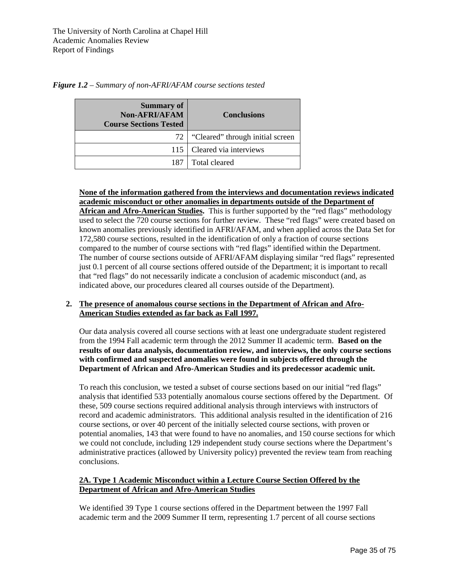|   |              | Summary of<br>.<br>. |  |
|---|--------------|----------------------|--|
| ີ | -<br>$\cdot$ |                      |  |

*Figure 1.2 – Summary of non-AFRI/AFAM course sections tested*

| <b>Summary of</b><br><b>Non-AFRI/AFAM</b><br><b>Course Sections Tested</b> | <b>Conclusions</b>               |
|----------------------------------------------------------------------------|----------------------------------|
| 72 I                                                                       | "Cleared" through initial screen |
|                                                                            | 115   Cleared via interviews     |
| 187                                                                        | Total cleared                    |

**None of the information gathered from the interviews and documentation reviews indicated academic misconduct or other anomalies in departments outside of the Department of African and Afro-American Studies.** This is further supported by the "red flags" methodology

used to select the 720 course sections for further review. These "red flags" were created based on known anomalies previously identified in AFRI/AFAM, and when applied across the Data Set for 172,580 course sections, resulted in the identification of only a fraction of course sections compared to the number of course sections with "red flags" identified within the Department. The number of course sections outside of AFRI/AFAM displaying similar "red flags" represented just 0.1 percent of all course sections offered outside of the Department; it is important to recall that "red flags" do not necessarily indicate a conclusion of academic misconduct (and, as indicated above, our procedures cleared all courses outside of the Department).

## **2. The presence of anomalous course sections in the Department of African and Afro-American Studies extended as far back as Fall 1997.**

Our data analysis covered all course sections with at least one undergraduate student registered from the 1994 Fall academic term through the 2012 Summer II academic term. **Based on the results of our data analysis, documentation review, and interviews, the only course sections with confirmed and suspected anomalies were found in subjects offered through the Department of African and Afro-American Studies and its predecessor academic unit.**

To reach this conclusion, we tested a subset of course sections based on our initial "red flags" analysis that identified 533 potentially anomalous course sections offered by the Department. Of these, 509 course sections required additional analysis through interviews with instructors of record and academic administrators. This additional analysis resulted in the identification of 216 course sections, or over 40 percent of the initially selected course sections, with proven or potential anomalies, 143 that were found to have no anomalies, and 150 course sections for which we could not conclude, including 129 independent study course sections where the Department's administrative practices (allowed by University policy) prevented the review team from reaching conclusions.

## **2A. Type 1 Academic Misconduct within a Lecture Course Section Offered by the Department of African and Afro-American Studies**

We identified 39 Type 1 course sections offered in the Department between the 1997 Fall academic term and the 2009 Summer II term, representing 1.7 percent of all course sections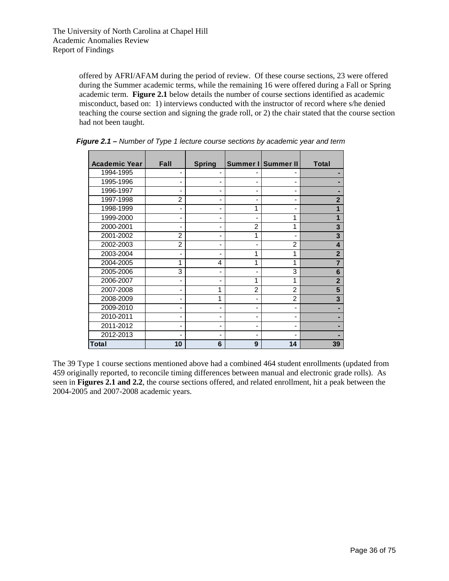offered by AFRI/AFAM during the period of review. Of these course sections, 23 were offered during the Summer academic terms, while the remaining 16 were offered during a Fall or Spring academic term. **Figure 2.1** below details the number of course sections identified as academic misconduct, based on: 1) interviews conducted with the instructor of record where s/he denied teaching the course section and signing the grade roll, or 2) the chair stated that the course section had not been taught.

| <b>Academic Year</b> | <b>Fall</b>    | <b>Spring</b> |                | Summer I Summer II | <b>Total</b>            |
|----------------------|----------------|---------------|----------------|--------------------|-------------------------|
| 1994-1995            |                |               |                |                    |                         |
| 1995-1996            |                |               |                |                    |                         |
| 1996-1997            |                |               |                |                    |                         |
| 1997-1998            | $\overline{2}$ |               |                |                    | $\mathbf{2}$            |
| 1998-1999            |                |               | 1              |                    |                         |
| 1999-2000            |                |               |                |                    | 1                       |
| 2000-2001            |                |               | $\overline{2}$ | 1                  | 3                       |
| 2001-2002            | $\overline{2}$ |               | 1              |                    | 3                       |
| 2002-2003            | $\overline{2}$ |               |                | 2                  | $\overline{\mathbf{4}}$ |
| 2003-2004            |                |               | 1              | 1                  | $\overline{2}$          |
| 2004-2005            | 1              | 4             | 1              | 1                  | $\overline{7}$          |
| 2005-2006            | 3              |               |                | 3                  | 6                       |
| 2006-2007            |                |               | 1              | 1                  | $\overline{2}$          |
| 2007-2008            |                |               | $\mathfrak{p}$ | $\mathfrak{p}$     | 5                       |
| 2008-2009            |                |               |                | 2                  | 3                       |
| 2009-2010            |                |               |                |                    |                         |
| 2010-2011            | ٠              |               |                |                    |                         |
| 2011-2012            |                |               |                |                    |                         |
| 2012-2013            |                |               |                |                    |                         |
| Total                | 10             | 6             | 9              | 14                 | 39                      |

*Figure 2.1 – Number of Type 1 lecture course sections by academic year and term* 

The 39 Type 1 course sections mentioned above had a combined 464 student enrollments (updated from 459 originally reported, to reconcile timing differences between manual and electronic grade rolls). As seen in **Figures 2.1 and 2.2**, the course sections offered, and related enrollment, hit a peak between the 2004-2005 and 2007-2008 academic years.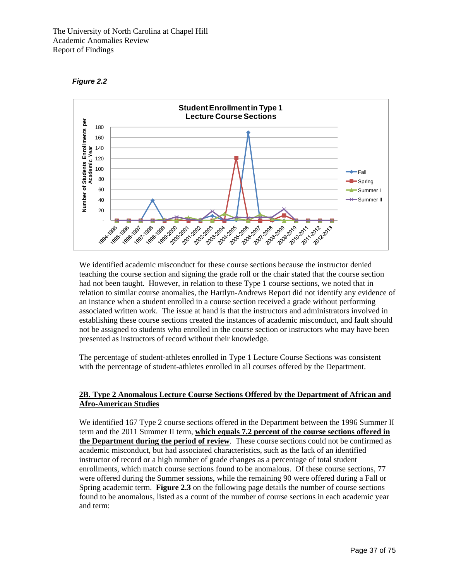



We identified academic misconduct for these course sections because the instructor denied teaching the course section and signing the grade roll or the chair stated that the course section had not been taught. However, in relation to these Type 1 course sections, we noted that in relation to similar course anomalies, the Hartlyn-Andrews Report did not identify any evidence of an instance when a student enrolled in a course section received a grade without performing associated written work. The issue at hand is that the instructors and administrators involved in establishing these course sections created the instances of academic misconduct, and fault should not be assigned to students who enrolled in the course section or instructors who may have been presented as instructors of record without their knowledge.

The percentage of student-athletes enrolled in Type 1 Lecture Course Sections was consistent with the percentage of student-athletes enrolled in all courses offered by the Department.

## **2B. Type 2 Anomalous Lecture Course Sections Offered by the Department of African and Afro-American Studies**

We identified 167 Type 2 course sections offered in the Department between the 1996 Summer II term and the 2011 Summer II term, **which equals 7.2 percent of the course sections offered in the Department during the period of review**. These course sections could not be confirmed as academic misconduct, but had associated characteristics, such as the lack of an identified instructor of record or a high number of grade changes as a percentage of total student enrollments, which match course sections found to be anomalous. Of these course sections, 77 were offered during the Summer sessions, while the remaining 90 were offered during a Fall or Spring academic term. **Figure 2.3** on the following page details the number of course sections found to be anomalous, listed as a count of the number of course sections in each academic year and term: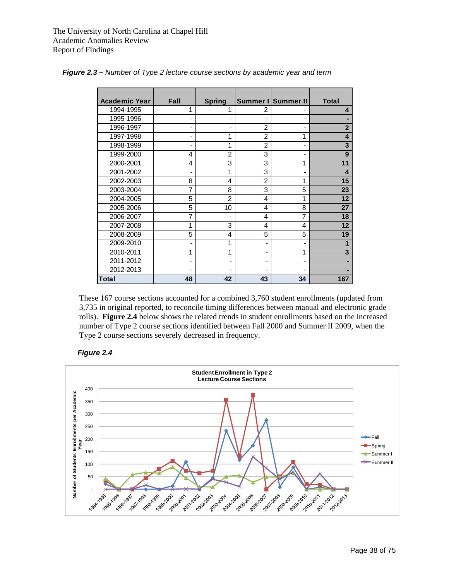| <b>Academic Year</b> | Fall | <b>Spring</b>                |                | Summer I Summer II | <b>Total</b>   |
|----------------------|------|------------------------------|----------------|--------------------|----------------|
| 1994-1995            | 1    |                              | 2              |                    | 4              |
| 1995-1996            |      |                              |                |                    |                |
| 1996-1997            |      |                              | $\overline{2}$ |                    | $\overline{2}$ |
| 1997-1998            |      | 1                            | $\mathfrak{p}$ | 1                  | 4              |
| 1998-1999            |      | 1                            | $\overline{2}$ |                    | 3              |
| 1999-2000            | 4    | $\overline{2}$               | 3              |                    | 9              |
| 2000-2001            | 4    | 3                            | 3              | 1                  | 11             |
| 2001-2002            |      | 1                            | 3              |                    | 4              |
| 2002-2003            | 8    | 4                            | $\overline{2}$ | 1                  | 15             |
| 2003-2004            | 7    | 8                            | 3              | 5                  | 23             |
| 2004-2005            | 5    | $\overline{2}$               | 4              | 1                  | 12             |
| 2005-2006            | 5    | 10                           | 4              | 8                  | 27             |
| 2006-2007            | 7    |                              | 4              | 7                  | 18             |
| 2007-2008            |      | 3                            | 4              | 4                  | 12             |
| 2008-2009            | 5    | 4                            | 5              | 5                  | 19             |
| 2009-2010            |      | 1                            |                |                    | 1              |
| 2010-2011            |      | 1                            |                | 1                  | 3              |
| 2011-2012            |      | $\qquad \qquad \blacksquare$ |                |                    |                |
| 2012-2013            |      |                              |                |                    |                |
| <b>Total</b>         | 48   | 42                           | 43             | 34                 | 167            |

*Figure 2.3 – Number of Type 2 lecture course sections by academic year and term* 

These 167 course sections accounted for a combined 3,760 student enrollments (updated from 3,735 in original reported, to reconcile timing differences between manual and electronic grade rolls). **Figure 2.4** below shows the related trends in student enrollments based on the increased number of Type 2 course sections identified between Fall 2000 and Summer II 2009, when the Type 2 course sections severely decreased in frequency.



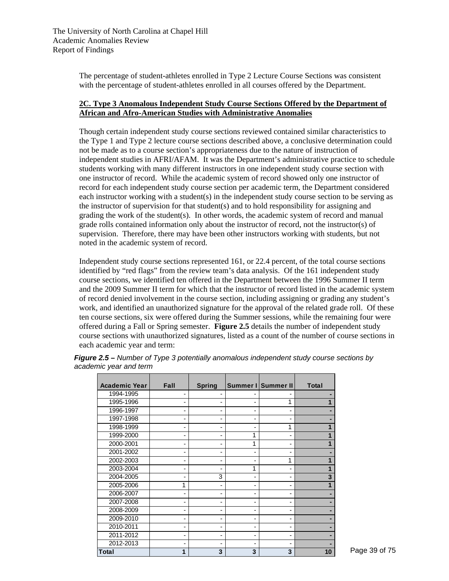The percentage of student-athletes enrolled in Type 2 Lecture Course Sections was consistent with the percentage of student-athletes enrolled in all courses offered by the Department.

## **2C. Type 3 Anomalous Independent Study Course Sections Offered by the Department of African and Afro-American Studies with Administrative Anomalies**

Though certain independent study course sections reviewed contained similar characteristics to the Type 1 and Type 2 lecture course sections described above, a conclusive determination could not be made as to a course section's appropriateness due to the nature of instruction of independent studies in AFRI/AFAM. It was the Department's administrative practice to schedule students working with many different instructors in one independent study course section with one instructor of record. While the academic system of record showed only one instructor of record for each independent study course section per academic term, the Department considered each instructor working with a student(s) in the independent study course section to be serving as the instructor of supervision for that student(s) and to hold responsibility for assigning and grading the work of the student(s). In other words, the academic system of record and manual grade rolls contained information only about the instructor of record, not the instructor(s) of supervision. Therefore, there may have been other instructors working with students, but not noted in the academic system of record.

Independent study course sections represented 161, or 22.4 percent, of the total course sections identified by "red flags" from the review team's data analysis. Of the 161 independent study course sections, we identified ten offered in the Department between the 1996 Summer II term and the 2009 Summer II term for which that the instructor of record listed in the academic system of record denied involvement in the course section, including assigning or grading any student's work, and identified an unauthorized signature for the approval of the related grade roll. Of these ten course sections, six were offered during the Summer sessions, while the remaining four were offered during a Fall or Spring semester. **Figure 2.5** details the number of independent study course sections with unauthorized signatures, listed as a count of the number of course sections in each academic year and term:

| <b>Academic Year</b> | Fall | <b>Spring</b> |   | Summer I Summer II | Total |
|----------------------|------|---------------|---|--------------------|-------|
| 1994-1995            |      |               |   |                    |       |
| 1995-1996            |      |               |   | 1                  |       |
| 1996-1997            |      |               |   |                    |       |
| 1997-1998            |      |               |   |                    |       |
| 1998-1999            |      |               |   | 1                  |       |
| 1999-2000            |      |               |   |                    |       |
| 2000-2001            |      |               |   |                    |       |
| 2001-2002            |      |               |   |                    |       |
| 2002-2003            |      |               |   | 1                  |       |
| 2003-2004            |      |               |   |                    |       |
| 2004-2005            |      | 3             |   |                    | 3     |
| 2005-2006            | 1    |               |   |                    |       |
| 2006-2007            |      |               |   |                    |       |
| 2007-2008            |      |               |   |                    |       |
| 2008-2009            |      |               |   |                    |       |
| 2009-2010            |      |               |   |                    |       |
| 2010-2011            |      |               |   |                    |       |
| 2011-2012            |      |               |   |                    |       |
| 2012-2013            |      |               |   |                    |       |
| <b>Total</b>         |      | 3             | 3 | 3                  | 10    |

*Figure 2.5 – Number of Type 3 potentially anomalous independent study course sections by academic year and term*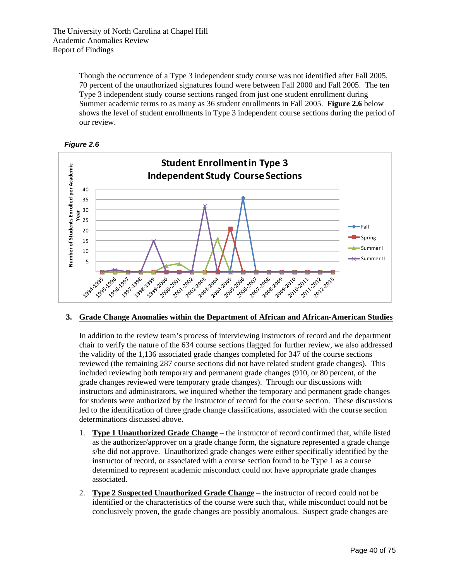> Though the occurrence of a Type 3 independent study course was not identified after Fall 2005, 70 percent of the unauthorized signatures found were between Fall 2000 and Fall 2005. The ten Type 3 independent study course sections ranged from just one student enrollment during Summer academic terms to as many as 36 student enrollments in Fall 2005. **Figure 2.6** below shows the level of student enrollments in Type 3 independent course sections during the period of our review.





## **3. Grade Change Anomalies within the Department of African and African-American Studies**

In addition to the review team's process of interviewing instructors of record and the department chair to verify the nature of the 634 course sections flagged for further review, we also addressed the validity of the 1,136 associated grade changes completed for 347 of the course sections reviewed (the remaining 287 course sections did not have related student grade changes). This included reviewing both temporary and permanent grade changes (910, or 80 percent, of the grade changes reviewed were temporary grade changes). Through our discussions with instructors and administrators, we inquired whether the temporary and permanent grade changes for students were authorized by the instructor of record for the course section. These discussions led to the identification of three grade change classifications, associated with the course section determinations discussed above.

- 1. **Type 1 Unauthorized Grade Change** the instructor of record confirmed that, while listed as the authorizer/approver on a grade change form, the signature represented a grade change s/he did not approve. Unauthorized grade changes were either specifically identified by the instructor of record, or associated with a course section found to be Type 1 as a course determined to represent academic misconduct could not have appropriate grade changes associated.
- 2. **Type 2 Suspected Unauthorized Grade Change** the instructor of record could not be identified or the characteristics of the course were such that, while misconduct could not be conclusively proven, the grade changes are possibly anomalous. Suspect grade changes are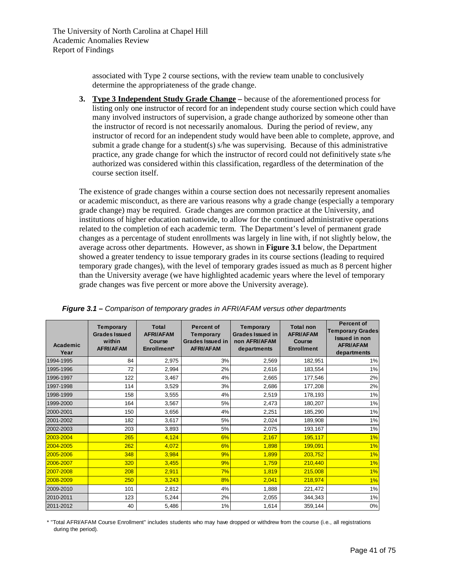associated with Type 2 course sections, with the review team unable to conclusively determine the appropriateness of the grade change.

**3. Type 3 Independent Study Grade Change –** because of the aforementioned process for listing only one instructor of record for an independent study course section which could have many involved instructors of supervision, a grade change authorized by someone other than the instructor of record is not necessarily anomalous. During the period of review, any instructor of record for an independent study would have been able to complete, approve, and submit a grade change for a student(s)  $s$ /he was supervising. Because of this administrative practice, any grade change for which the instructor of record could not definitively state s/he authorized was considered within this classification, regardless of the determination of the course section itself.

The existence of grade changes within a course section does not necessarily represent anomalies or academic misconduct, as there are various reasons why a grade change (especially a temporary grade change) may be required. Grade changes are common practice at the University, and institutions of higher education nationwide, to allow for the continued administrative operations related to the completion of each academic term. The Department's level of permanent grade changes as a percentage of student enrollments was largely in line with, if not slightly below, the average across other departments. However, as shown in **Figure 3.1** below, the Department showed a greater tendency to issue temporary grades in its course sections (leading to required temporary grade changes), with the level of temporary grades issued as much as 8 percent higher than the University average (we have highlighted academic years where the level of temporary grade changes was five percent or more above the University average).

| Academic<br>Year | <b>Temporary</b><br><b>Grades Issued</b><br>within<br><b>AFRI/AFAM</b> | <b>Total</b><br><b>AFRI/AFAM</b><br>Course<br>Enrollment* | <b>Percent of</b><br><b>Temporary</b><br><b>Grades Issued in</b><br><b>AFRI/AFAM</b> | <b>Temporary</b><br><b>Grades Issued in</b><br>non AFRI/AFAM<br>departments | <b>Total non</b><br><b>AFRI/AFAM</b><br>Course<br><b>Enrollment</b> | <b>Percent of</b><br><b>Temporary Grades</b><br><b>Issued in non</b><br><b>AFRI/AFAM</b><br>departments |
|------------------|------------------------------------------------------------------------|-----------------------------------------------------------|--------------------------------------------------------------------------------------|-----------------------------------------------------------------------------|---------------------------------------------------------------------|---------------------------------------------------------------------------------------------------------|
| 1994-1995        | 84                                                                     | 2,975                                                     | 3%                                                                                   | 2,569                                                                       | 182,951                                                             | 1%                                                                                                      |
| 1995-1996        | 72                                                                     | 2,994                                                     | 2%                                                                                   | 2,616                                                                       | 183,554                                                             | 1%                                                                                                      |
| 1996-1997        | 122                                                                    | 3,467                                                     | 4%                                                                                   | 2,665                                                                       | 177,546                                                             | 2%                                                                                                      |
| 1997-1998        | 114                                                                    | 3,529                                                     | 3%                                                                                   | 2,686                                                                       | 177,208                                                             | 2%                                                                                                      |
| 1998-1999        | 158                                                                    | 3,555                                                     | 4%                                                                                   | 2,519                                                                       | 178,193                                                             | 1%                                                                                                      |
| 1999-2000        | 164                                                                    | 3,567                                                     | 5%                                                                                   | 2,473                                                                       | 180,207                                                             | 1%                                                                                                      |
| 2000-2001        | 150                                                                    | 3,656                                                     | 4%                                                                                   | 2,251                                                                       | 185,290                                                             | 1%                                                                                                      |
| 2001-2002        | 182                                                                    | 3,617                                                     | 5%                                                                                   | 2,024                                                                       | 189,908                                                             | 1%                                                                                                      |
| 2002-2003        | 203                                                                    | 3,893                                                     | 5%                                                                                   | 2,075                                                                       | 193,167                                                             | 1%                                                                                                      |
| 2003-2004        | 265                                                                    | 4,124                                                     | 6%                                                                                   | 2,167                                                                       | 195,117                                                             | 1%                                                                                                      |
| 2004-2005        | 262                                                                    | 4,072                                                     | 6%                                                                                   | 1,898                                                                       | 199,091                                                             | 1%                                                                                                      |
| 2005-2006        | 348                                                                    | 3,984                                                     | 9%                                                                                   | 1,899                                                                       | 203,752                                                             | 1%                                                                                                      |
| 2006-2007        | 320                                                                    | 3,455                                                     | 9%                                                                                   | 1.759                                                                       | 210,440                                                             | 1%                                                                                                      |
| 2007-2008        | 208                                                                    | 2,911                                                     | 7%                                                                                   | 1,819                                                                       | 215,008                                                             | 1%                                                                                                      |
| 2008-2009        | 250                                                                    | 3,243                                                     | 8%                                                                                   | 2.041                                                                       | 218,974                                                             | 1%                                                                                                      |
| 2009-2010        | 101                                                                    | 2,812                                                     | 4%                                                                                   | 1.888                                                                       | 221,472                                                             | 1%                                                                                                      |
| 2010-2011        | 123                                                                    | 5,244                                                     | 2%                                                                                   | 2,055                                                                       | 344,343                                                             | 1%                                                                                                      |
| 2011-2012        | 40                                                                     | 5,486                                                     | 1%                                                                                   | 1,614                                                                       | 359,144                                                             | 0%                                                                                                      |

*Figure 3.1 – Comparison of temporary grades in AFRI/AFAM versus other departments* 

\* "Total AFRI/AFAM Course Enrollment" includes students who may have dropped or withdrew from the course (i.e., all registrations during the period).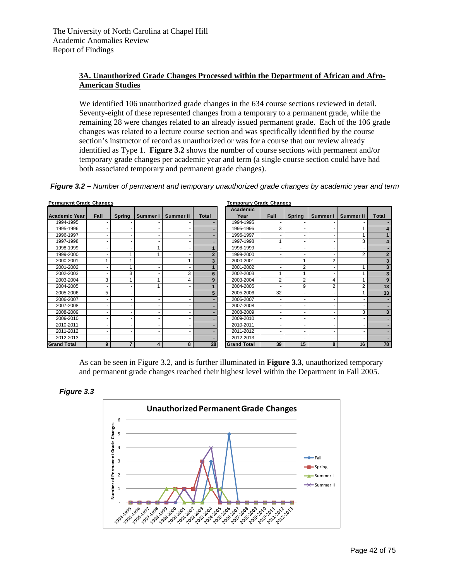## **3A. Unauthorized Grade Changes Processed within the Department of African and Afro-American Studies**

We identified 106 unauthorized grade changes in the 634 course sections reviewed in detail. Seventy-eight of these represented changes from a temporary to a permanent grade, while the remaining 28 were changes related to an already issued permanent grade. Each of the 106 grade changes was related to a lecture course section and was specifically identified by the course section's instructor of record as unauthorized or was for a course that our review already identified as Type 1. **Figure 3.2** shows the number of course sections with permanent and/or temporary grade changes per academic year and term (a single course section could have had both associated temporary and permanent grade changes).

*Figure 3.2 – Number of permanent and temporary unauthorized grade changes by academic year and term* 

| <b>Permanent Grade Changes</b> |      |                |          |                  |                | <b>Temporary Grade Changes</b> |                |                |          |                  |                |
|--------------------------------|------|----------------|----------|------------------|----------------|--------------------------------|----------------|----------------|----------|------------------|----------------|
|                                |      |                |          |                  |                | Academic                       |                |                |          |                  |                |
| <b>Academic Year</b>           | Fall | <b>Spring</b>  | Summer I | <b>Summer II</b> | Total          | Year                           | Fall           | <b>Spring</b>  | Summer I | <b>Summer II</b> | Total          |
| 1994-1995                      |      |                |          |                  |                | 1994-1995                      |                |                |          |                  |                |
| 1995-1996                      |      |                |          |                  |                | 1995-1996                      | 3              |                |          |                  |                |
| 1996-1997                      |      |                |          |                  |                | 1996-1997                      |                |                |          |                  |                |
| 1997-1998                      |      |                |          |                  |                | 1997-1998                      |                |                |          | 3                |                |
| 1998-1999                      |      |                |          |                  |                | 1998-1999                      |                |                |          |                  |                |
| 1999-2000                      |      |                |          |                  | $\overline{2}$ | 1999-2000                      |                |                |          | 2                | $\overline{2}$ |
| 2000-2001                      |      |                |          |                  | 3              | 2000-2001                      |                |                | 2        |                  | 3              |
| 2001-2002                      |      |                |          |                  |                | 2001-2002                      |                | $\overline{2}$ |          |                  |                |
| 2002-2003                      |      | 3              |          | 3                | 6              | 2002-2003                      |                |                |          |                  |                |
| 2003-2004                      | 3    |                |          | 4                | 9              | 2003-2004                      | $\overline{2}$ | 2              | 4        |                  | 9              |
| 2004-2005                      |      |                |          |                  |                | 2004-2005                      |                | 9              | 2        | $\overline{2}$   | 13             |
| 2005-2006                      | 5    |                |          |                  | 5              | 2005-2006                      | 32             |                |          |                  | 33             |
| 2006-2007                      |      |                |          |                  |                | 2006-2007                      | ٠              |                |          |                  |                |
| 2007-2008                      |      |                |          |                  |                | 2007-2008                      |                |                |          |                  |                |
| 2008-2009                      |      |                |          |                  |                | 2008-2009                      |                |                |          | 3                | 3              |
| 2009-2010                      |      |                |          |                  |                | 2009-2010                      |                |                |          |                  |                |
| 2010-2011                      |      |                |          |                  |                | 2010-2011                      |                |                |          |                  |                |
| 2011-2012                      |      |                |          |                  |                | 2011-2012                      | ٠              |                |          |                  |                |
| 2012-2013                      |      |                |          |                  |                | 2012-2013                      |                |                |          |                  |                |
| <b>Grand Total</b>             | 9    | $\overline{7}$ | 4        | 8                | 28             | <b>Grand Total</b>             | 39             | 15             | 8        | 16               | 78             |

As can be seen in Figure 3.2, and is further illuminated in **Figure 3.3**, unauthorized temporary and permanent grade changes reached their highest level within the Department in Fall 2005.



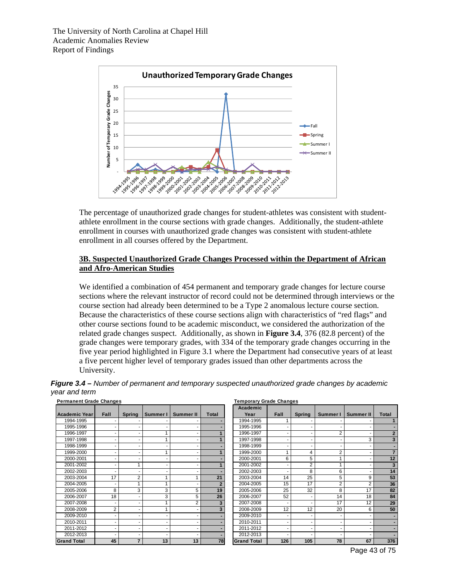

The percentage of unauthorized grade changes for student-athletes was consistent with studentathlete enrollment in the course sections with grade changes. Additionally, the student-athlete enrollment in courses with unauthorized grade changes was consistent with student-athlete enrollment in all courses offered by the Department.

### **3B. Suspected Unauthorized Grade Changes Processed within the Department of African and Afro-American Studies**

We identified a combination of 454 permanent and temporary grade changes for lecture course sections where the relevant instructor of record could not be determined through interviews or the course section had already been determined to be a Type 2 anomalous lecture course section. Because the characteristics of these course sections align with characteristics of "red flags" and other course sections found to be academic misconduct, we considered the authorization of the related grade changes suspect. Additionally, as shown in **Figure 3.4**, 376 (82.8 percent) of the grade changes were temporary grades, with 334 of the temporary grade changes occurring in the five year period highlighted in Figure 3.1 where the Department had consecutive years of at least a five percent higher level of temporary grades issued than other departments across the University.

|                      |                |               | <b>Permanent Grade Changes</b> |                  |                |                    |      |                |  |  |  |  |
|----------------------|----------------|---------------|--------------------------------|------------------|----------------|--------------------|------|----------------|--|--|--|--|
|                      |                |               |                                |                  |                | Academic           |      |                |  |  |  |  |
| <b>Academic Year</b> | Fall           | <b>Spring</b> | Summer I                       | <b>Summer II</b> | <b>Total</b>   | Year               | Fall | S <sub>1</sub> |  |  |  |  |
| 1994-1995            |                |               |                                |                  |                | 1994-1995          |      |                |  |  |  |  |
| 1995-1996            |                |               |                                | ۰                |                | 1995-1996          |      |                |  |  |  |  |
| 1996-1997            |                |               |                                | ۰                |                | 1996-1997          |      |                |  |  |  |  |
| 1997-1998            |                |               |                                | ٠                |                | 1997-1998          |      |                |  |  |  |  |
| 1998-1999            |                |               |                                | ۰                |                | 1998-1999          |      |                |  |  |  |  |
| 1999-2000            |                |               |                                | ۰                |                | 1999-2000          |      |                |  |  |  |  |
| 2000-2001            |                |               |                                | ۰                |                | 2000-2001          | 6    |                |  |  |  |  |
| 2001-2002            |                | 1             |                                | ٠                |                | 2001-2002          |      |                |  |  |  |  |
| 2002-2003            |                |               |                                | ۰                |                | 2002-2003          |      |                |  |  |  |  |
| 2003-2004            | 17             | 2             |                                |                  | 21             | 2003-2004          | 14   |                |  |  |  |  |
| 2004-2005            |                |               |                                |                  | $\overline{2}$ | 2004-2005          | 15   |                |  |  |  |  |
| 2005-2006            | 8              | 3             | 3                              | 5                | 19             | 2005-2006          | 25   |                |  |  |  |  |
| 2006-2007            | 18             | ۰             | 3                              | 5                | 26             | 2006-2007          | 52   |                |  |  |  |  |
| 2007-2008            |                |               |                                | $\overline{2}$   | 3              | 2007-2008          |      |                |  |  |  |  |
| 2008-2009            | $\overline{2}$ |               |                                |                  | 3              | 2008-2009          | 12   |                |  |  |  |  |
| 2009-2010            |                |               |                                | ۰                |                | 2009-2010          |      |                |  |  |  |  |
| 2010-2011            |                |               |                                | ۰                |                | 2010-2011          |      |                |  |  |  |  |
| 2011-2012            |                |               |                                | ۰                |                | 2011-2012          |      |                |  |  |  |  |
| 2012-2013            |                |               |                                | ۰                |                | 2012-2013          |      |                |  |  |  |  |
| <b>Grand Total</b>   | 45             | 7             | 13                             | 13               | 78             | <b>Grand Total</b> | 126  |                |  |  |  |  |

*Figure 3.4 – Number of permanent and temporary suspected unauthorized grade changes by academic year and term* 

| <b>Academic Year</b> | <b>Fall</b>    | <b>Spring</b> | Summer I | Summer II      | Total | Academic<br>Year   | Fall | <b>Spring</b> | Summer I       | Summer II      | <b>Total</b>             |
|----------------------|----------------|---------------|----------|----------------|-------|--------------------|------|---------------|----------------|----------------|--------------------------|
| 1994-1995            |                |               |          |                |       | 1994-1995          |      |               |                |                | 1                        |
| 1995-1996            |                |               |          |                |       | 1995-1996          |      |               |                |                |                          |
| 1996-1997            |                |               |          |                |       | 1996-1997          |      |               | $\overline{2}$ |                | $\overline{2}$           |
| 1997-1998            |                |               |          |                |       | 1997-1998          |      |               |                |                | $\overline{\mathbf{3}}$  |
| 1998-1999            |                |               |          |                |       | 1998-1999          |      |               | ۰              |                | $\blacksquare$           |
| 1999-2000            |                |               |          |                |       | 1999-2000          | 1    | 4             | $\overline{2}$ |                | $\overline{7}$           |
| 2000-2001            |                |               |          |                |       | 2000-2001          | 6    | 5             | 1              |                | 12                       |
| 2001-2002            |                |               |          |                |       | 2001-2002          |      | 2             | 1              |                | 3                        |
| 2002-2003            |                |               |          |                |       | 2002-2003          |      | 8             | 6              |                | 14                       |
| 2003-2004            | 17             | 2             |          |                | 21    | 2003-2004          | 14   | 25            | 5              | 9              | 53                       |
| 2004-2005            |                |               |          |                |       | 2004-2005          | 15   | 17            | $\overline{2}$ | $\overline{2}$ | 36                       |
| 2005-2006            | 8              | 3             | 3        | 5              | 19    | 2005-2006          | 25   | 32            | 8              | 17             | 82                       |
| 2006-2007            | 18             |               | 3        | 5              | 26    | 2006-2007          | 52   |               | 14             | 18             | 84                       |
| 2007-2008            |                |               |          | $\overline{2}$ | 3     | 2007-2008          |      |               | 17             | 12             | 29                       |
| 2008-2009            | $\overline{2}$ |               |          |                |       | 2008-2009          | 12   | 12            | 20             | 6              | 50                       |
| 2009-2010            |                |               |          |                |       | 2009-2010          |      |               |                |                |                          |
| 2010-2011            |                |               |          |                |       | 2010-2011          |      |               | ۰              |                |                          |
| 2011-2012            |                |               |          |                |       | 2011-2012          |      |               |                |                | $\overline{\phantom{a}}$ |
| 2012-2013            |                |               |          |                |       | 2012-2013          |      |               |                |                | $\overline{\phantom{a}}$ |
| <b>Grand Total</b>   | 45             |               | 13       | 13             | 78    | <b>Grand Total</b> | 126  | 105           | 78             | 67             | 376                      |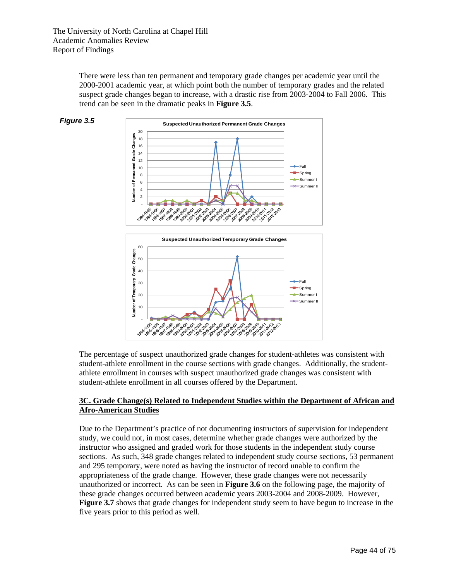There were less than ten permanent and temporary grade changes per academic year until the 2000-2001 academic year, at which point both the number of temporary grades and the related suspect grade changes began to increase, with a drastic rise from 2003-2004 to Fall 2006. This trend can be seen in the dramatic peaks in **Figure 3.5**.





The percentage of suspect unauthorized grade changes for student-athletes was consistent with student-athlete enrollment in the course sections with grade changes. Additionally, the studentathlete enrollment in courses with suspect unauthorized grade changes was consistent with student-athlete enrollment in all courses offered by the Department.

ڴۿڗۼڗػۄڂۿڿڿۿۑۿڔۿٷۿڲۄۿۄۿۄۿۄۿۄۿۄۿۄۿڿۿٙ؋<br>ڝ<sup>ڐ</sup>ؠڂڒۣؖٷڂۄڂۿۄۿۄۿۄۿۄۿۄۿۄۿۄۿۄۿۄۿۄۿۄۿۄۿۄۿ

## **3C. Grade Change(s) Related to Independent Studies within the Department of African and Afro-American Studies**

Due to the Department's practice of not documenting instructors of supervision for independent study, we could not, in most cases, determine whether grade changes were authorized by the instructor who assigned and graded work for those students in the independent study course sections. As such, 348 grade changes related to independent study course sections, 53 permanent and 295 temporary, were noted as having the instructor of record unable to confirm the appropriateness of the grade change. However, these grade changes were not necessarily unauthorized or incorrect. As can be seen in **Figure 3.6** on the following page, the majority of these grade changes occurred between academic years 2003-2004 and 2008-2009. However, **Figure 3.7** shows that grade changes for independent study seem to have begun to increase in the five years prior to this period as well.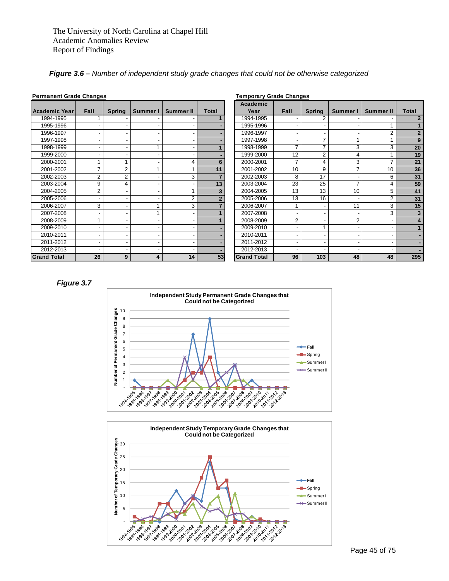|  |  |  | Figure 3.6 – Number of independent study grade changes that could not be otherwise categorized |
|--|--|--|------------------------------------------------------------------------------------------------|
|  |  |  |                                                                                                |

| <b>Permanent Grade Changes</b> |      |               |          |                  |                | Temporary Grade Changes |                 |                          |          |                  |                         |
|--------------------------------|------|---------------|----------|------------------|----------------|-------------------------|-----------------|--------------------------|----------|------------------|-------------------------|
| Academic Year                  | Fall | <b>Spring</b> | Summer I | <b>Summer II</b> | Total          | Academic<br>Year        | <b>Fall</b>     | <b>Spring</b>            | Summer I | <b>Summer II</b> | Total                   |
| 1994-1995                      |      |               |          |                  |                | 1994-1995               |                 | 2                        |          |                  | $\overline{2}$          |
| 1995-1996                      |      |               |          |                  |                | 1995-1996               |                 |                          |          |                  |                         |
| 1996-1997                      |      |               |          |                  |                | 1996-1997               |                 |                          |          |                  | $\overline{\mathbf{c}}$ |
| 1997-1998                      |      |               |          |                  |                | 1997-1998               |                 | 7                        |          |                  | 9                       |
| 1998-1999                      |      |               |          |                  |                | 1998-1999               |                 | $\overline{\phantom{a}}$ | 3        | 3                | 20                      |
| 1999-2000                      |      |               |          |                  |                | 1999-2000               | 12              | $\overline{2}$           | 4        |                  | 19                      |
| 2000-2001                      |      |               |          | 4                | 6              | 2000-2001               | 7               | 4                        | 3        |                  | 21                      |
| 2001-2002                      |      | 2             |          |                  | 11             | 2001-2002               | 10 <sup>°</sup> | 9                        |          | 10               | 36                      |
| 2002-2003                      | 2    | 2             |          | 3                |                | 2002-2003               | 8               | 17                       |          | 6                | 31                      |
| 2003-2004                      | 9    | 4             |          |                  | 13             | 2003-2004               | 23              | 25                       |          |                  | 59                      |
| 2004-2005                      | 2    |               |          |                  | 3              | 2004-2005               | 13              | 13                       | 10       | 5                | 41                      |
| 2005-2006                      |      |               |          | $\overline{2}$   | $\overline{2}$ | 2005-2006               | 13              | 16                       |          |                  | 31                      |
| 2006-2007                      | 3    |               |          | 3                |                | 2006-2007               |                 |                          | 11       | 3                | 15                      |
| 2007-2008                      |      |               |          |                  |                | 2007-2008               |                 |                          |          | 3                | 3                       |
| 2008-2009                      |      |               |          |                  |                | 2008-2009               | $\overline{2}$  |                          | 2        |                  | 4                       |
| 2009-2010                      |      |               |          |                  |                | 2009-2010               |                 |                          |          |                  |                         |
| 2010-2011                      |      |               |          |                  |                | 2010-2011               |                 |                          |          |                  |                         |
| 2011-2012                      |      |               |          |                  |                | 2011-2012               |                 |                          |          |                  |                         |
| 2012-2013                      |      |               |          |                  |                | 2012-2013               |                 |                          |          |                  |                         |
| <b>Grand Total</b>             | 26   | 9             | 4        | 14               | 53             | <b>Grand Total</b>      | 96              | 103                      | 48       | 48               | 295                     |

**Academic**  Year | Fall | Spring | Summer I | Summer II | Total 1994-1995 1 - - - **1** 1994-1995 - 2 - - **2** 1995-1996 **| -| -| -| -| -| -| 1995-1996 | -| -| -|** 1 | 1 1996-1997 - - - - **-** 1996-1997 - - - 2 **2** 1997-1998 **| -| -| -| -| -| -| 1997-1998 | -| 7** | 1 | 1 | 9 1998-1999 - - 1 - **1** 1998-1999 7 7 3 3 **20** 1999-2000 **| -| -| -| -| -| -| 19**99-2000 | 12 | 2 | 4 | 1 | 1**9** 2000-2001 1 1 - 4 **6** 2000-2001 7 4 3 7 **21** 2001-2002 7 2 1 1 **11** 2001-2002 10 9 7 10 **36** 2002-2003 2 2 - 3 **7** 2002-2003 8 17 - 6 **31** 2003-2004 9 4 - - **13** 2003-2004 23 25 7 4 **59** 2004-2005 2 - - 1 **3** 2004-2005 13 13 10 5 **41** 2005-2006 - - - 2 **2** 2005-2006 13 16 - 2 **31** 2006-2007 3 - 1 3 **7** 2006-2007 1 - 11 3 **15** 2007-2008 | - | - | 1 | - | 1 | 2007-2008 | - | - | - | 3 | 3 2008-2009 1 - - - **1** 2008-2009 2 - 2 - **4** 2009-2010 - - - - **-** 2009-2010 - 1 - - **1** 2010-2011 - - - - **-** 2010-2011 - - - - **-** 2011-2012 - - - - **-** 2011-2012 - - - - **-** 2012-2013 **| -| -| -| -| -| 2012-2013 | -| -| -|** -| -| -

#### **Permanent Grade Changes Temporary Grade Changes**

#### *Figure 3.7*



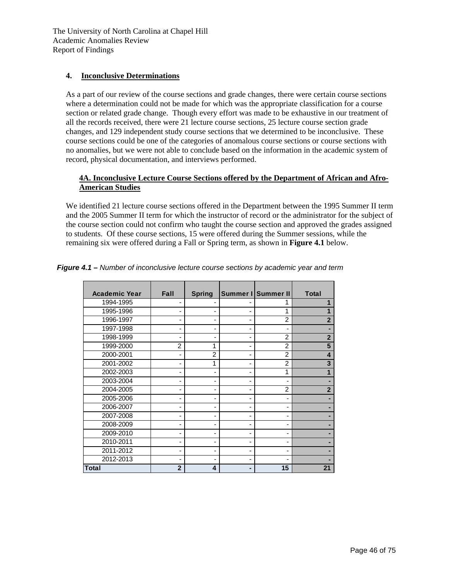### **4. Inconclusive Determinations**

As a part of our review of the course sections and grade changes, there were certain course sections where a determination could not be made for which was the appropriate classification for a course section or related grade change. Though every effort was made to be exhaustive in our treatment of all the records received, there were 21 lecture course sections, 25 lecture course section grade changes, and 129 independent study course sections that we determined to be inconclusive. These course sections could be one of the categories of anomalous course sections or course sections with no anomalies, but we were not able to conclude based on the information in the academic system of record, physical documentation, and interviews performed.

## **4A. Inconclusive Lecture Course Sections offered by the Department of African and Afro-American Studies**

We identified 21 lecture course sections offered in the Department between the 1995 Summer II term and the 2005 Summer II term for which the instructor of record or the administrator for the subject of the course section could not confirm who taught the course section and approved the grades assigned to students. Of these course sections, 15 were offered during the Summer sessions, while the remaining six were offered during a Fall or Spring term, as shown in **Figure 4.1** below.

| <b>Academic Year</b> | Fall           | <b>Spring</b>  |   | Summer I Summer II | <b>Total</b>   |
|----------------------|----------------|----------------|---|--------------------|----------------|
| 1994-1995            |                |                |   |                    | 1              |
| 1995-1996            |                |                |   | 1                  |                |
| 1996-1997            |                | -              |   | $\overline{2}$     | $\overline{2}$ |
| 1997-1998            |                |                |   |                    |                |
| 1998-1999            |                |                |   | $\overline{2}$     | $\overline{2}$ |
| 1999-2000            | $\overline{2}$ | 1              | - | $\overline{2}$     | 5              |
| 2000-2001            | -              | $\overline{2}$ |   | $\overline{2}$     | 4              |
| 2001-2002            |                | 1              |   | $\overline{2}$     | 3              |
| 2002-2003            |                |                |   | 1                  | 1              |
| 2003-2004            |                |                |   |                    |                |
| 2004-2005            |                | -              |   | $\overline{2}$     | $\overline{2}$ |
| 2005-2006            |                |                |   |                    |                |
| 2006-2007            |                |                |   |                    |                |
| 2007-2008            |                | -              |   |                    |                |
| 2008-2009            | -              | -              |   |                    |                |
| 2009-2010            | -              | -              |   |                    |                |
| 2010-2011            |                |                |   |                    |                |
| 2011-2012            |                | -              |   |                    |                |
| 2012-2013            |                |                |   |                    |                |
| Total                | $\overline{2}$ | $\overline{4}$ |   | 15                 | 21             |

*Figure 4.1 – Number of inconclusive lecture course sections by academic year and term*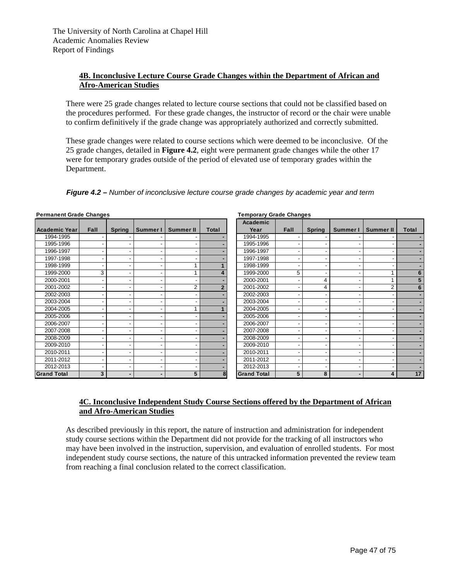## **4B. Inconclusive Lecture Course Grade Changes within the Department of African and Afro-American Studies**

There were 25 grade changes related to lecture course sections that could not be classified based on the procedures performed. For these grade changes, the instructor of record or the chair were unable to confirm definitively if the grade change was appropriately authorized and correctly submitted.

These grade changes were related to course sections which were deemed to be inconclusive. Of the 25 grade changes, detailed in **Figure 4.2**, eight were permanent grade changes while the other 17 were for temporary grades outside of the period of elevated use of temporary grades within the Department.

### *Figure 4.2 – Number of inconclusive lecture course grade changes by academic year and term*

| <b>Academic Year</b> | Fall | <b>Spring</b> | Summer I | Summer II | Total        | Academic<br>Year   | Fall | <b>Spring</b> | Summer I | <b>Summer II</b> | Total |
|----------------------|------|---------------|----------|-----------|--------------|--------------------|------|---------------|----------|------------------|-------|
| 1994-1995            |      |               |          |           |              | 1994-1995          |      |               |          |                  |       |
| 1995-1996            |      |               |          |           |              | 1995-1996          |      |               |          |                  |       |
| 1996-1997            |      |               |          |           |              | 1996-1997          |      |               |          |                  |       |
| 1997-1998            |      |               |          |           |              | 1997-1998          |      |               |          |                  |       |
| 1998-1999            |      |               |          |           |              | 1998-1999          |      |               |          |                  |       |
| 1999-2000            | 3    |               |          |           | 4            | 1999-2000          | 5    |               |          |                  |       |
| 2000-2001            |      |               |          |           |              | 2000-2001          |      | 4             |          |                  |       |
| 2001-2002            |      |               |          |           | $\mathbf{2}$ | 2001-2002          |      | 4             |          | 2                |       |
| 2002-2003            |      |               |          |           |              | 2002-2003          |      |               |          |                  |       |
| 2003-2004            |      |               |          |           |              | 2003-2004          |      |               |          |                  |       |
| 2004-2005            |      |               |          |           |              | 2004-2005          |      |               |          |                  |       |
| 2005-2006            |      |               |          |           |              | 2005-2006          |      |               |          |                  |       |
| 2006-2007            |      |               |          |           |              | 2006-2007          |      |               |          | ٠                |       |
| 2007-2008            |      |               |          |           |              | 2007-2008          |      |               |          |                  |       |
| 2008-2009            |      |               |          |           |              | 2008-2009          |      |               |          |                  |       |
| 2009-2010            |      |               |          |           |              | 2009-2010          |      |               |          |                  |       |
| 2010-2011            |      |               |          |           |              | 2010-2011          |      |               |          |                  |       |
| 2011-2012            |      |               |          |           |              | 2011-2012          |      |               |          |                  |       |
| 2012-2013            |      |               |          |           |              | 2012-2013          |      |               |          |                  |       |
| <b>Grand Total</b>   | 3    |               |          | 5         | 8            | <b>Grand Total</b> | 5    | 8             |          | 4                |       |

**Permanent Grade Changes Temporary Grade Changes**

| Academic           |      |               |          |                  |              |
|--------------------|------|---------------|----------|------------------|--------------|
| Year               | Fall | <b>Spring</b> | Summer I | <b>Summer II</b> | <b>Total</b> |
| 1994-1995          |      |               |          |                  |              |
| 1995-1996          |      |               | -        |                  |              |
| 1996-1997          |      |               | -        |                  |              |
| 1997-1998          |      |               | -        | -                |              |
| 1998-1999          |      |               | -        | -                |              |
| 1999-2000          | 5    |               | -        | 1                | 6            |
| 2000-2001          |      | 4             | -        | 1                | 5            |
| 2001-2002          | -    | 4             | -        | $\overline{2}$   | 6            |
| 2002-2003          |      |               | -        |                  |              |
| 2003-2004          |      |               | -        |                  |              |
| 2004-2005          |      |               | -        |                  |              |
| 2005-2006          |      |               | -        | -                |              |
| 2006-2007          |      |               | -        |                  |              |
| 2007-2008          |      |               | -        |                  |              |
| 2008-2009          | -    |               | -        |                  |              |
| 2009-2010          |      |               | -        |                  |              |
| 2010-2011          |      |               | -        |                  |              |
| 2011-2012          |      |               | -        |                  |              |
| 2012-2013          |      |               | -        |                  |              |
| <b>Grand Total</b> | 5    | 8             |          | 4                | 17           |

### **4C. Inconclusive Independent Study Course Sections offered by the Department of African and Afro-American Studies**

As described previously in this report, the nature of instruction and administration for independent study course sections within the Department did not provide for the tracking of all instructors who may have been involved in the instruction, supervision, and evaluation of enrolled students. For most independent study course sections, the nature of this untracked information prevented the review team from reaching a final conclusion related to the correct classification.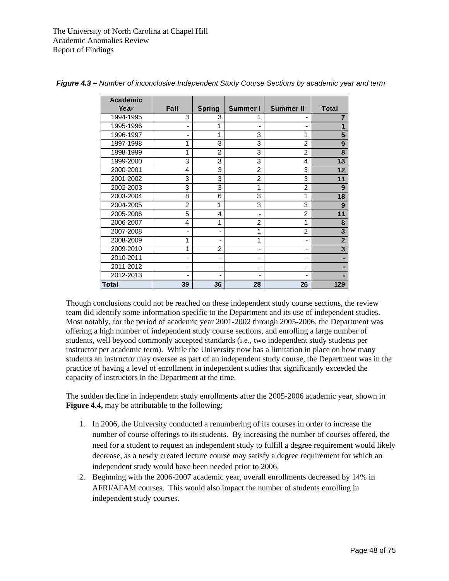| <b>Academic</b> |                |                |                              |                          |                         |
|-----------------|----------------|----------------|------------------------------|--------------------------|-------------------------|
| Year            | Fall           | <b>Spring</b>  | Summer I                     | <b>Summer II</b>         | <b>Total</b>            |
| 1994-1995       | 3              | 3              |                              |                          | 7                       |
| 1995-1996       | $\overline{a}$ | 1              | $\qquad \qquad \blacksquare$ | $\overline{\phantom{a}}$ | 1                       |
| 1996-1997       | -              | 1              | 3                            | 1                        | 5                       |
| 1997-1998       | 1              | 3              | 3                            | $\overline{2}$           | 9                       |
| 1998-1999       | 1              | $\overline{2}$ | 3                            | $\overline{2}$           | 8                       |
| 1999-2000       | 3              | 3              | 3                            | 4                        | 13                      |
| 2000-2001       | 4              | 3              | $\overline{2}$               | 3                        | 12                      |
| 2001-2002       | 3              | 3              | $\overline{2}$               | 3                        | 11                      |
| 2002-2003       | 3              | 3              | 1                            | $\overline{2}$           | 9                       |
| 2003-2004       | 8              | 6              | 3                            | 1                        | 18                      |
| 2004-2005       | 2              | 1              | 3                            | 3                        | 9                       |
| 2005-2006       | 5              | 4              | -                            | $\overline{2}$           | 11                      |
| 2006-2007       | 4              | 1              | $\overline{2}$               | 1                        | 8                       |
| 2007-2008       | -              | -              | 1                            | 2                        | $\overline{\mathbf{3}}$ |
| 2008-2009       | 1              | -              | 1                            | $\overline{\phantom{a}}$ | $\mathbf{2}$            |
| 2009-2010       | 1              | 2              | $\overline{\phantom{0}}$     | $\overline{\phantom{a}}$ | $\overline{\mathbf{3}}$ |
| 2010-2011       | -              | -              | -                            | $\overline{\phantom{a}}$ |                         |
| 2011-2012       | -              | -              | -                            |                          |                         |
| 2012-2013       | -              | -              | -                            | $\overline{\phantom{a}}$ |                         |
| Total           | 39             | 36             | 28                           | 26                       | 129                     |

*Figure 4.3 – Number of inconclusive Independent Study Course Sections by academic year and term* 

Though conclusions could not be reached on these independent study course sections, the review team did identify some information specific to the Department and its use of independent studies. Most notably, for the period of academic year 2001-2002 through 2005-2006, the Department was offering a high number of independent study course sections, and enrolling a large number of students, well beyond commonly accepted standards (i.e., two independent study students per instructor per academic term). While the University now has a limitation in place on how many students an instructor may oversee as part of an independent study course, the Department was in the practice of having a level of enrollment in independent studies that significantly exceeded the capacity of instructors in the Department at the time.

The sudden decline in independent study enrollments after the 2005-2006 academic year, shown in **Figure 4.4,** may be attributable to the following:

- 1. In 2006, the University conducted a renumbering of its courses in order to increase the number of course offerings to its students. By increasing the number of courses offered, the need for a student to request an independent study to fulfill a degree requirement would likely decrease, as a newly created lecture course may satisfy a degree requirement for which an independent study would have been needed prior to 2006.
- 2. Beginning with the 2006-2007 academic year, overall enrollments decreased by 14% in AFRI/AFAM courses. This would also impact the number of students enrolling in independent study courses.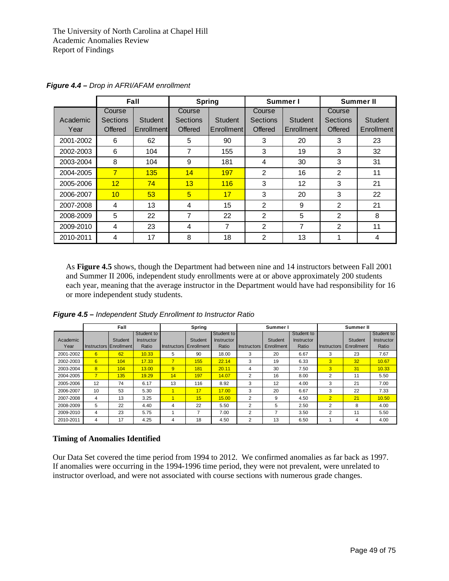|           |          | Fall       |          | <b>Spring</b>  |                | Summer I       | Summer II      |            |  |
|-----------|----------|------------|----------|----------------|----------------|----------------|----------------|------------|--|
|           | Course   |            | Course   |                | Course         |                | Course         |            |  |
| Academic  | Sections | Student    | Sections | <b>Student</b> | Sections       | <b>Student</b> | Sections       | Student    |  |
| Year      | Offered  | Enrollment | Offered  | Enrollment     | Offered        | Enrollment     | Offered        | Enrollment |  |
| 2001-2002 | 6        | 62         | 5        | 90             | 3              | 20             | 3              | 23         |  |
| 2002-2003 | 6        | 104        | 7        | 155            | 3              | 19             | 3              | 32         |  |
| 2003-2004 | 8        | 104        | 9        | 181            | $\overline{4}$ | 30             | 3              | 31         |  |
| 2004-2005 | 7        | 135        | 14       | 197            | $\overline{2}$ | 16             | 2              | 11         |  |
| 2005-2006 | 12       | 74         | 13       | 116            | 3              | 12             | 3              | 21         |  |
| 2006-2007 | 10       | 53         | 5        | 17             | 3              | 20             | 3              | 22         |  |
| 2007-2008 | 4        | 13         | 4        | 15             | $\overline{2}$ | 9              | 2              | 21         |  |
| 2008-2009 | 5        | 22         | 7        | 22             | 2              | 5              | $\overline{2}$ | 8          |  |
| 2009-2010 | 4        | 23         | 4        | 7              | $\overline{2}$ | 7              | $\overline{2}$ | 11         |  |
| 2010-2011 | 4        | 17         | 8        | 18             | 2              | 13             |                | 4          |  |

*Figure 4.4 – Drop in AFRI/AFAM enrollment* 

As **Figure 4.5** shows, though the Department had between nine and 14 instructors between Fall 2001 and Summer II 2006, independent study enrollments were at or above approximately 200 students each year, meaning that the average instructor in the Department would have had responsibility for 16 or more independent study students.

*Figure 4.5 – Independent Study Enrollment to Instructor Ratio* 

|           | Fall                   |         |                   | Spring         |                        |                   | Summer I           |            |            | Summer II      |                |                   |
|-----------|------------------------|---------|-------------------|----------------|------------------------|-------------------|--------------------|------------|------------|----------------|----------------|-------------------|
|           |                        |         | Student to        |                |                        | Student to        |                    |            | Student to |                |                | Student to        |
| Academic  |                        | Student | <b>Instructor</b> |                | Student                | <b>Instructor</b> |                    | Student    | Instructor |                | <b>Student</b> | <b>Instructor</b> |
| Year      | Instructors Enrollment |         | Ratio             |                | Instructors Enrollment | Ratio             | <b>Instructors</b> | Enrollment | Ratio      | Instructors    | Enrollment     | Ratio             |
| 2001-2002 | 6                      | 62      | 10.33             | 5.             | 90                     | 18.00             | 3                  | 20         | 6.67       | 3              | 23             | 7.67              |
| 2002-2003 | 6                      | 104     | 17.33             | $\overline{7}$ | 155                    | 22.14             | 3                  | 19         | 6.33       | 3              | 32             | 10.67             |
| 2003-2004 | 8                      | 104     | 13.00             | $\overline{9}$ | 181                    | 20.11             | 4                  | 30         | 7.50       | 3              | 31             | 10.33             |
| 2004-2005 | $\overline{7}$         | 135     | 19.29             | 14             | 197                    | 14.07             | 2                  | 16         | 8.00       | 2              | 11             | 5.50              |
| 2005-2006 | 12                     | 74      | 6.17              | 13             | 116                    | 8.92              | 3                  | 12         | 4.00       | 3              | 21             | 7.00              |
| 2006-2007 | 10                     | 53      | 5.30              |                | 17                     | 17.00             | 3                  | 20         | 6.67       | 3              | 22             | 7.33              |
| 2007-2008 | 4                      | 13      | 3.25              |                | 15                     | 15.00             | 2                  | 9          | 4.50       | $\overline{2}$ | 21             | 10.50             |
| 2008-2009 | 5                      | 22      | 4.40              | 4              | 22                     | 5.50              | 2                  | 5          | 2.50       | 2              | 8              | 4.00              |
| 2009-2010 | 4                      | 23      | 5.75              |                | $\overline{ }$         | 7.00              | 2                  |            | 3.50       | 2              | 11             | 5.50              |
| 2010-2011 | 4                      | 17      | 4.25              | 4              | 18                     | 4.50              | 2                  | 13         | 6.50       |                | 4              | 4.00              |

#### **Timing of Anomalies Identified**

Our Data Set covered the time period from 1994 to 2012. We confirmed anomalies as far back as 1997. If anomalies were occurring in the 1994-1996 time period, they were not prevalent, were unrelated to instructor overload, and were not associated with course sections with numerous grade changes.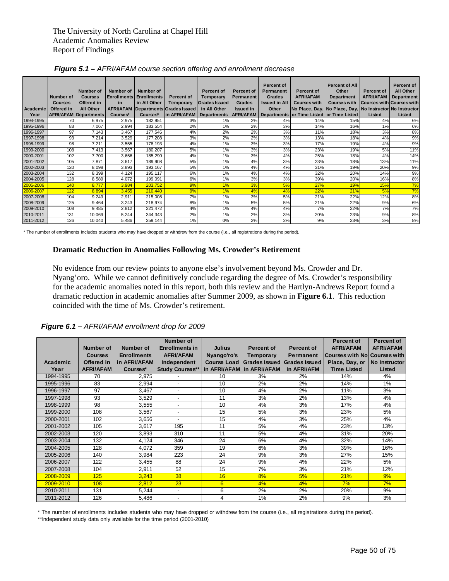|           | Number of<br><b>Courses</b> | Number of<br><b>Courses</b><br>Offered in | <b>Number of</b><br><b>Enrollments</b><br>in | Number of<br><b>Enrollments</b><br>in All Other | <b>Percent of</b><br><b>Temporary</b> | <b>Percent of</b><br>Temporary<br>Grades Issued | <b>Percent of</b><br><b>Permanent</b><br><b>Grades</b> | <b>Percent of</b><br><b>Permanent</b><br>Grades<br><b>Issued in All</b> | <b>Percent of</b><br><b>AFRI/AFAM</b><br><b>Courses with</b> | <b>Percent of All</b><br>Other<br><b>Department</b><br><b>Courses with</b> | <b>Percent of</b><br><b>AFRI/AFAM</b><br>Courses with Courses with | Percent of<br><b>All Other</b><br><b>Department</b> |
|-----------|-----------------------------|-------------------------------------------|----------------------------------------------|-------------------------------------------------|---------------------------------------|-------------------------------------------------|--------------------------------------------------------|-------------------------------------------------------------------------|--------------------------------------------------------------|----------------------------------------------------------------------------|--------------------------------------------------------------------|-----------------------------------------------------|
| Academic  | Offered in                  | <b>All Other</b>                          | <b>AFRI/AFAM</b>                             |                                                 | Departments Grades Issued             | in All Other                                    | <b>Issued in</b>                                       | Other                                                                   |                                                              | No Place, Day, No Place, Day, No Instructor No Instructor                  |                                                                    |                                                     |
| Year      |                             | <b>AFRI/AFAM Departments</b>              | Courses*                                     | Courses*                                        | in AFRI/AFAM                          | <b>Departments</b>                              | <b>AFRI/AFAM</b>                                       |                                                                         |                                                              | Departments or Time Listed or Time Listed                                  | Listed                                                             | Listed                                              |
| 1994-1995 | 70                          | 6,975                                     | 2,975                                        | 182,951                                         | 3%                                    | 1%                                              | 2%                                                     | 4%                                                                      | 14%                                                          | 15%                                                                        | 4%                                                                 | 6%                                                  |
| 1995-1996 | 83                          | 7,067                                     | 2,994                                        | 183,554                                         | 2%                                    | 1%                                              | 2%                                                     | 3%                                                                      | 14%                                                          | 16%                                                                        | 1%                                                                 | 6%                                                  |
| 1996-1997 | 97                          | 7.143                                     | 3.467                                        | 177,546                                         | 4%                                    | 2%                                              | 2%                                                     | 3%                                                                      | 11%                                                          | 18%                                                                        | 3%                                                                 | 8%                                                  |
| 1997-1998 | 93                          | 7.214                                     | 3,529                                        | 177,208                                         | 3%                                    | 2%                                              | 2%                                                     | 3%                                                                      | 13%                                                          | 18%                                                                        | 4%                                                                 | 9%                                                  |
| 1998-1999 | 98                          | 7,211                                     | 3,555                                        | 178,193                                         | 4%                                    | 1%                                              | 3%                                                     | 3%                                                                      | 17%                                                          | 19%                                                                        | 4%                                                                 | 9%                                                  |
| 1999-2000 | 108                         | 7,413                                     | 3,567                                        | 180,207                                         | 5%                                    | 1%                                              | 3%                                                     | 3%                                                                      | 23%                                                          | 19%                                                                        | 5%                                                                 | 11%                                                 |
| 2000-2001 | 102                         | 7.700                                     | 3,656                                        | 185,290                                         | 4%                                    | 1%                                              | 3%                                                     | 4%                                                                      | 25%                                                          | 18%                                                                        | 4%                                                                 | 14%                                                 |
| 2001-2002 | 105                         | 7,871                                     | 3,617                                        | 189,908                                         | 5%                                    | 1%                                              | 4%                                                     | 3%                                                                      | 23%                                                          | 18%                                                                        | 13%                                                                | 11%                                                 |
| 2002-2003 | 120                         | 8,098                                     | 3,893                                        | 193,167                                         | 5%                                    | 1%                                              | 4%                                                     | 4%                                                                      | 31%                                                          | 19%                                                                        | 20%                                                                | 9%                                                  |
| 2003-2004 | 132                         | 8,399                                     | 4,124                                        | 195,117                                         | 6%                                    | 1%                                              | 4%                                                     | 4%                                                                      | 32%                                                          | 20%                                                                        | 14%                                                                | 9%                                                  |
| 2004-2005 | 128                         | 8,589                                     | 4,072                                        | 199,091                                         | 6%                                    | 1%                                              | 3%                                                     | 3%                                                                      | 39%                                                          | 20%                                                                        | 16%                                                                | 8%                                                  |
| 2005-2006 | 140                         | 8.777                                     | 3,984                                        | 203,752                                         | 9%                                    | 1%                                              | 3%                                                     | 5%                                                                      | 27%                                                          | 19%                                                                        | 15%                                                                | 7%                                                  |
| 2006-2007 | 122                         | 8,894                                     | 3,455                                        | 210,440                                         | 9%                                    | 1%                                              | 4%                                                     | 4%                                                                      | 22%                                                          | 21%                                                                        | 5%                                                                 | 7%                                                  |
| 2007-2008 | 104                         | 9,249                                     | 2,911                                        | 215,008                                         | 7%                                    | 1%                                              | 3%                                                     | 5%                                                                      | 21%                                                          | 22%                                                                        | 12%                                                                | 8%                                                  |
| 2008-2009 | 125                         | 9,464                                     | 3,243                                        | 218,974                                         | 8%                                    | 1%                                              | 5%                                                     | 5%                                                                      | 21%                                                          | 22%                                                                        | 9%                                                                 | 6%                                                  |
| 2009-2010 | 108                         | 9,485                                     | 2,812                                        | 221,472                                         | 4%                                    | 1%                                              | 4%                                                     | 4%                                                                      | 7%                                                           | 22%                                                                        | 7%                                                                 | 7%                                                  |
| 2010-2011 | 131                         | 10,069                                    | 5,244                                        | 344,343                                         | 2%                                    | 1%                                              | 2%                                                     | 3%                                                                      | 20%                                                          | 23%                                                                        | 9%                                                                 | $8\%$                                               |
| 2011-2012 | 126                         | 10,040                                    | 5,486                                        | 359,144                                         | 1%                                    | 0%                                              | 2%                                                     | 2%                                                                      | 9%                                                           | 23%                                                                        | 3%                                                                 | 8%                                                  |

\* The number of enrollments includes students who may have dropped or withdrew from the course (i.e., all registrations during the period).

### **Dramatic Reduction in Anomalies Following Ms. Crowder's Retirement**

No evidence from our review points to anyone else's involvement beyond Ms. Crowder and Dr. Nyang'oro. While we cannot definitively conclude regarding the degree of Ms. Crowder's responsibility for the academic anomalies noted in this report, both this review and the Hartlyn-Andrews Report found a dramatic reduction in academic anomalies after Summer 2009, as shown in **Figure 6.1**. This reduction coincided with the time of Ms. Crowder's retirement.

|  | Figure 6.1 - AFRI/AFAM enrollment drop for 2009 |  |  |
|--|-------------------------------------------------|--|--|
|  |                                                 |  |  |

|           |                  |                    | Number of                |                           |                   |                                         | <b>Percent of</b>            | <b>Percent of</b> |
|-----------|------------------|--------------------|--------------------------|---------------------------|-------------------|-----------------------------------------|------------------------------|-------------------|
|           | Number of        | <b>Number of</b>   | <b>Enrollments in</b>    | <b>Julius</b>             | <b>Percent of</b> | <b>Percent of</b>                       | <b>AFRI/AFAM</b>             | <b>AFRI/AFAM</b>  |
|           | <b>Courses</b>   | <b>Enrollments</b> | <b>AFRI/AFAM</b>         | Nyango'ro's               | Temporary         | <b>Permanent</b>                        | Courses with No Courses with |                   |
| Academic  | Offered in       | lin AFRI/AFAM      | Independent              |                           |                   | Course Load Grades Issued Grades Issued | Place, Day, or               | No Instructor     |
| Year      | <b>AFRI/AFAM</b> | Courses*           | <b>Study Courses**</b>   | in AFRI/AFAM in AFRI/AFAM |                   | in AFRI/AFM                             | <b>Time Listed</b>           | Listed            |
| 1994-1995 | 70               | 2,975              |                          | 10                        | 3%                | 2%                                      | 14%                          | 4%                |
| 1995-1996 | 83               | 2,994              | $\blacksquare$           | 10                        | 2%                | 2%                                      | 14%                          | 1%                |
| 1996-1997 | 97               | 3,467              | $\overline{\phantom{a}}$ | 10                        | 4%                | 2%                                      | 11%                          | 3%                |
| 1997-1998 | 93               | 3,529              | $\overline{\phantom{a}}$ | 11                        | 3%                | 2%                                      | 13%                          | 4%                |
| 1998-1999 | 98               | 3,555              |                          | 10                        | 4%                | 3%                                      | 17%                          | 4%                |
| 1999-2000 | 108              | 3,567              |                          | 15                        | 5%                | 3%                                      | 23%                          | 5%                |
| 2000-2001 | 102              | 3,656              | $\blacksquare$           | 15                        | 4%                | 3%                                      | 25%                          | 4%                |
| 2001-2002 | 105              | 3,617              | 195                      | 11                        | 5%                | 4%                                      | 23%                          | 13%               |
| 2002-2003 | 120              | 3,893              | 310                      | 11                        | 5%                | 4%                                      | 31%                          | 20%               |
| 2003-2004 | 132              | 4,124              | 346                      | 24                        | 6%                | 4%                                      | 32%                          | 14%               |
| 2004-2005 | 128              | 4,072              | 359                      | 19                        | 6%                | 3%                                      | 39%                          | 16%               |
| 2005-2006 | 140              | 3,984              | 223                      | 24                        | 9%                | 3%                                      | 27%                          | 15%               |
| 2006-2007 | 122              | 3,455              | 88                       | 24                        | 9%                | 4%                                      | 22%                          | 5%                |
| 2007-2008 | 104              | 2,911              | 52                       | 15                        | 7%                | 3%                                      | 21%                          | 12%               |
| 2008-2009 | 125              | 3,243              | 38                       | 16                        | 8%                | 5%                                      | 21%                          | 9%                |
| 2009-2010 | 108              | 2,812              | 23                       | 6                         | 4%                | 4%                                      | 7%                           | 7%                |
| 2010-2011 | 131              | 5,244              | $\overline{\phantom{a}}$ | 6                         | 2%                | 2%                                      | 20%                          | 9%                |
| 2011-2012 | 126              | 5,486              |                          | 4                         | 1%                | 2%                                      | 9%                           | 3%                |

\* The number of enrollments includes students who may have dropped or withdrew from the course (i.e., all registrations during the period).

\*\*Independent study data only available for the time period (2001-2010)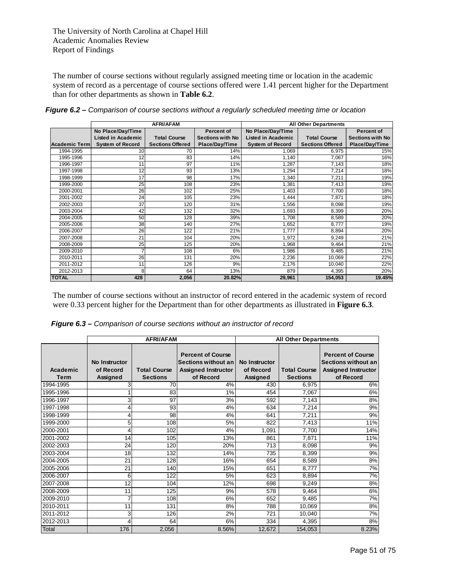The number of course sections without regularly assigned meeting time or location in the academic system of record as a percentage of course sections offered were 1.41 percent higher for the Department than for other departments as shown in **Table 6.2**.

|                      |                           | <b>AFRI/AFAM</b>        |                         |                           | <b>All Other Departments</b> |                         |
|----------------------|---------------------------|-------------------------|-------------------------|---------------------------|------------------------------|-------------------------|
|                      | No Place/Day/Time         |                         | <b>Percent of</b>       | No Place/Day/Time         |                              | <b>Percent of</b>       |
|                      | <b>Listed in Academic</b> | <b>Total Course</b>     | <b>Sections with No</b> | <b>Listed in Academic</b> | <b>Total Course</b>          | <b>Sections with No</b> |
| <b>Academic Term</b> | <b>System of Record</b>   | <b>Sections Offered</b> | Place/Day/Time          | <b>System of Record</b>   | <b>Sections Offered</b>      | Place/Day/Time          |
| 1994-1995            | 10                        | 70                      | 14%                     | 1,069                     | 6,975                        | 15%                     |
| 1995-1996            | 12                        | 83                      | 14%                     | 1,140                     | 7,067                        | 16%                     |
| 1996-1997            | 11                        | 97                      | 11%                     | 1,287                     | 7,143                        | 18%                     |
| 1997-1998            | 12                        | 93                      | 13%                     | 1,294                     | 7,214                        | 18%                     |
| 1998-1999            | 17                        | 98                      | 17%                     | 1,340                     | 7,211                        | 19%                     |
| 1999-2000            | 25                        | 108                     | 23%                     | 1,381                     | 7,413                        | 19%                     |
| 2000-2001            | 26                        | 102                     | 25%                     | 1,403                     | 7,700                        | 18%                     |
| 2001-2002            | 24                        | 105                     | 23%                     | 1,444                     | 7,871                        | 18%                     |
| 2002-2003            | 37                        | 120                     | 31%                     | 1,556                     | 8,098                        | 19%                     |
| 2003-2004            | 42                        | 132                     | 32%                     | 1,693                     | 8,399                        | 20%                     |
| 2004-2005            | 50                        | 128                     | 39%                     | 1,708                     | 8,589                        | 20%                     |
| 2005-2006            | 38                        | 140                     | 27%                     | 1,652                     | 8,777                        | 19%                     |
| 2006-2007            | 26                        | 122                     | 21%                     | 1,777                     | 8,894                        | 20%                     |
| 2007-2008            | 21                        | 104                     | 20%                     | 1,972                     | 9,249                        | 21%                     |
| 2008-2009            | 25                        | 125                     | 20%                     | 1,968                     | 9,464                        | 21%                     |
| 2009-2010            | 7                         | 108                     | 6%                      | 1,986                     | 9,485                        | 21%                     |
| 2010-2011            | 26                        | 131                     | 20%                     | 2,236                     | 10,069                       | 22%                     |
| 2011-2012            | 11                        | 126                     | 9%                      | 2,176                     | 10,040                       | 22%                     |
| 2012-2013            | 8                         | 64                      | 13%                     | 879                       | 4,395                        | 20%                     |
| <b>TOTAL</b>         | 428                       | 2,056                   | 20.82%                  | 29,961                    | 154,053                      | 19.45%                  |

*Figure 6.2 – Comparison of course sections without a regularly scheduled meeting time or location* 

The number of course sections without an instructor of record entered in the academic system of record were 0.33 percent higher for the Department than for other departments as illustrated in **Figure 6.3**.

*Figure 6.3 – Comparison of course sections without an instructor of record* 

|                  |                                        | <b>AFRI/AFAM</b>                       |                                                                                            | <b>All Other Departments</b>           |                                        |                                                                                            |  |  |
|------------------|----------------------------------------|----------------------------------------|--------------------------------------------------------------------------------------------|----------------------------------------|----------------------------------------|--------------------------------------------------------------------------------------------|--|--|
| Academic<br>Term | No Instructor<br>of Record<br>Assigned | <b>Total Course</b><br><b>Sections</b> | <b>Percent of Course</b><br>Sections without an<br><b>Assigned Instructor</b><br>of Record | No Instructor<br>of Record<br>Assigned | <b>Total Course</b><br><b>Sections</b> | <b>Percent of Course</b><br>Sections without an<br><b>Assigned Instructor</b><br>of Record |  |  |
| 1994-1995        | 3                                      | 70                                     | 4%                                                                                         | 430                                    | 6,975                                  | 6%                                                                                         |  |  |
| 1995-1996        |                                        | 83                                     | 1%                                                                                         | 454                                    | 7,067                                  | 6%                                                                                         |  |  |
| 1996-1997        | 3                                      | 97                                     | 3%                                                                                         | 592                                    | 7,143                                  | 8%                                                                                         |  |  |
| 1997-1998        | 4                                      | 93                                     | 4%                                                                                         | 634                                    | 7,214                                  | 9%                                                                                         |  |  |
| 1998-1999        | 4                                      | 98                                     | 4%                                                                                         | 641                                    | 7,211                                  | 9%                                                                                         |  |  |
| 1999-2000        | 5                                      | 108                                    | 5%                                                                                         | 822                                    | 7,413                                  | 11%                                                                                        |  |  |
| 2000-2001        | 4                                      | 102                                    | 4%                                                                                         | 1.091                                  | 7,700                                  | 14%                                                                                        |  |  |
| 2001-2002        | 14                                     | 105                                    | 13%                                                                                        | 861                                    | 7,871                                  | 11%                                                                                        |  |  |
| 2002-2003        | 24                                     | 120                                    | 20%                                                                                        | 713                                    | 8,098                                  | 9%                                                                                         |  |  |
| 2003-2004        | 18                                     | 132                                    | 14%                                                                                        | 735                                    | 8,399                                  | 9%                                                                                         |  |  |
| 2004-2005        | 21                                     | 128                                    | 16%                                                                                        | 654                                    | 8,589                                  | 8%                                                                                         |  |  |
| 2005-2006        | 21                                     | 140                                    | 15%                                                                                        | 651                                    | 8,777                                  | 7%                                                                                         |  |  |
| 2006-2007        | 6                                      | 122                                    | 5%                                                                                         | 623                                    | 8,894                                  | 7%                                                                                         |  |  |
| 2007-2008        | 12                                     | 104                                    | 12%                                                                                        | 698                                    | 9,249                                  | 8%                                                                                         |  |  |
| 2008-2009        | 11                                     | 125                                    | 9%                                                                                         | 578                                    | 9,464                                  | 6%                                                                                         |  |  |
| 2009-2010        | 7                                      | 108                                    | 6%                                                                                         | 652                                    | 9,485                                  | 7%                                                                                         |  |  |
| 2010-2011        | 11                                     | 131                                    | 8%                                                                                         | 788                                    | 10,069                                 | 8%                                                                                         |  |  |
| 2011-2012        | 3                                      | 126                                    | 2%                                                                                         | 721                                    | 10,040                                 | 7%                                                                                         |  |  |
| 2012-2013        | 4                                      | 64                                     | 6%                                                                                         | 334                                    | 4,395                                  | 8%                                                                                         |  |  |
| Total            | 176                                    | 2,056                                  | 8.56%                                                                                      | 12,672                                 | 154,053                                | 8.23%                                                                                      |  |  |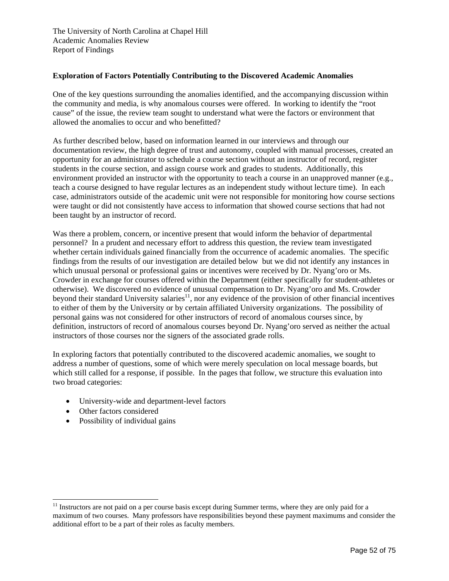### **Exploration of Factors Potentially Contributing to the Discovered Academic Anomalies**

One of the key questions surrounding the anomalies identified, and the accompanying discussion within the community and media, is why anomalous courses were offered. In working to identify the "root cause" of the issue, the review team sought to understand what were the factors or environment that allowed the anomalies to occur and who benefitted?

As further described below, based on information learned in our interviews and through our documentation review, the high degree of trust and autonomy, coupled with manual processes, created an opportunity for an administrator to schedule a course section without an instructor of record, register students in the course section, and assign course work and grades to students. Additionally, this environment provided an instructor with the opportunity to teach a course in an unapproved manner (e.g., teach a course designed to have regular lectures as an independent study without lecture time). In each case, administrators outside of the academic unit were not responsible for monitoring how course sections were taught or did not consistently have access to information that showed course sections that had not been taught by an instructor of record.

Was there a problem, concern, or incentive present that would inform the behavior of departmental personnel? In a prudent and necessary effort to address this question, the review team investigated whether certain individuals gained financially from the occurrence of academic anomalies. The specific findings from the results of our investigation are detailed below but we did not identify any instances in which unusual personal or professional gains or incentives were received by Dr. Nyang'oro or Ms. Crowder in exchange for courses offered within the Department (either specifically for student-athletes or otherwise). We discovered no evidence of unusual compensation to Dr. Nyang'oro and Ms. Crowder beyond their standard University salaries<sup>11</sup>, nor any evidence of the provision of other financial incentives to either of them by the University or by certain affiliated University organizations. The possibility of personal gains was not considered for other instructors of record of anomalous courses since, by definition, instructors of record of anomalous courses beyond Dr. Nyang'oro served as neither the actual instructors of those courses nor the signers of the associated grade rolls.

In exploring factors that potentially contributed to the discovered academic anomalies, we sought to address a number of questions, some of which were merely speculation on local message boards, but which still called for a response, if possible. In the pages that follow, we structure this evaluation into two broad categories:

- University-wide and department-level factors
- Other factors considered

l

• Possibility of individual gains

<sup>&</sup>lt;sup>11</sup> Instructors are not paid on a per course basis except during Summer terms, where they are only paid for a maximum of two courses. Many professors have responsibilities beyond these payment maximums and consider the additional effort to be a part of their roles as faculty members.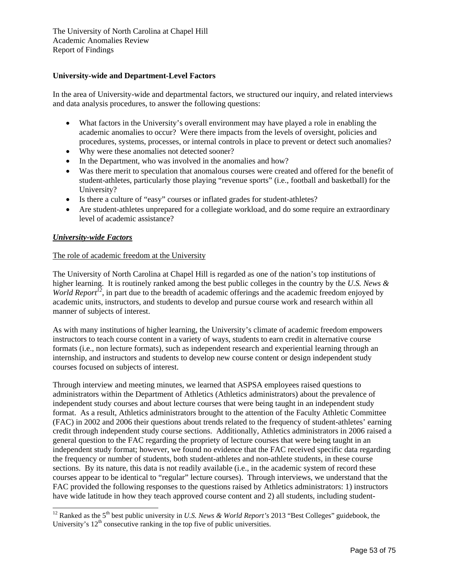### **University-wide and Department-Level Factors**

In the area of University-wide and departmental factors, we structured our inquiry, and related interviews and data analysis procedures, to answer the following questions:

- What factors in the University's overall environment may have played a role in enabling the academic anomalies to occur? Were there impacts from the levels of oversight, policies and procedures, systems, processes, or internal controls in place to prevent or detect such anomalies?
- Why were these anomalies not detected sooner?
- In the Department, who was involved in the anomalies and how?
- Was there merit to speculation that anomalous courses were created and offered for the benefit of student-athletes, particularly those playing "revenue sports" (i.e., football and basketball) for the University?
- Is there a culture of "easy" courses or inflated grades for student-athletes?
- Are student-athletes unprepared for a collegiate workload, and do some require an extraordinary level of academic assistance?

### *University-wide Factors*

l

### The role of academic freedom at the University

The University of North Carolina at Chapel Hill is regarded as one of the nation's top institutions of higher learning. It is routinely ranked among the best public colleges in the country by the *U.S. News & World Report*<sup>12</sup>, in part due to the breadth of academic offerings and the academic freedom enjoyed by academic units, instructors, and students to develop and pursue course work and research within all manner of subjects of interest.

As with many institutions of higher learning, the University's climate of academic freedom empowers instructors to teach course content in a variety of ways, students to earn credit in alternative course formats (i.e., non lecture formats), such as independent research and experiential learning through an internship, and instructors and students to develop new course content or design independent study courses focused on subjects of interest.

Through interview and meeting minutes, we learned that ASPSA employees raised questions to administrators within the Department of Athletics (Athletics administrators) about the prevalence of independent study courses and about lecture courses that were being taught in an independent study format. As a result, Athletics administrators brought to the attention of the Faculty Athletic Committee (FAC) in 2002 and 2006 their questions about trends related to the frequency of student-athletes' earning credit through independent study course sections. Additionally, Athletics administrators in 2006 raised a general question to the FAC regarding the propriety of lecture courses that were being taught in an independent study format; however, we found no evidence that the FAC received specific data regarding the frequency or number of students, both student-athletes and non-athlete students, in these course sections. By its nature, this data is not readily available (i.e., in the academic system of record these courses appear to be identical to "regular" lecture courses). Through interviews, we understand that the FAC provided the following responses to the questions raised by Athletics administrators: 1) instructors have wide latitude in how they teach approved course content and 2) all students, including student-

<sup>&</sup>lt;sup>12</sup> Ranked as the 5<sup>th</sup> best public university in *U.S. News & World Report's* 2013 "Best Colleges" guidebook, the University's  $12<sup>th</sup>$  consecutive ranking in the top five of public universities.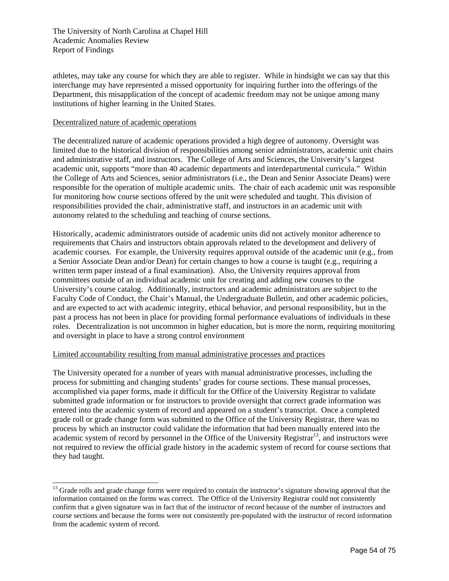athletes, may take any course for which they are able to register. While in hindsight we can say that this interchange may have represented a missed opportunity for inquiring further into the offerings of the Department, this misapplication of the concept of academic freedom may not be unique among many institutions of higher learning in the United States.

#### Decentralized nature of academic operations

l

The decentralized nature of academic operations provided a high degree of autonomy. Oversight was limited due to the historical division of responsibilities among senior administrators, academic unit chairs and administrative staff, and instructors. The College of Arts and Sciences, the University's largest academic unit, supports "more than 40 academic departments and interdepartmental curricula." Within the College of Arts and Sciences, senior administrators (i.e., the Dean and Senior Associate Deans) were responsible for the operation of multiple academic units. The chair of each academic unit was responsible for monitoring how course sections offered by the unit were scheduled and taught. This division of responsibilities provided the chair, administrative staff, and instructors in an academic unit with autonomy related to the scheduling and teaching of course sections.

Historically, academic administrators outside of academic units did not actively monitor adherence to requirements that Chairs and instructors obtain approvals related to the development and delivery of academic courses. For example, the University requires approval outside of the academic unit (e.g., from a Senior Associate Dean and/or Dean) for certain changes to how a course is taught (e.g., requiring a written term paper instead of a final examination). Also, the University requires approval from committees outside of an individual academic unit for creating and adding new courses to the University's course catalog. Additionally, instructors and academic administrators are subject to the Faculty Code of Conduct, the Chair's Manual, the Undergraduate Bulletin, and other academic policies, and are expected to act with academic integrity, ethical behavior, and personal responsibility, but in the past a process has not been in place for providing formal performance evaluations of individuals in these roles. Decentralization is not uncommon in higher education, but is more the norm, requiring monitoring and oversight in place to have a strong control environment

### Limited accountability resulting from manual administrative processes and practices

The University operated for a number of years with manual administrative processes, including the process for submitting and changing students' grades for course sections. These manual processes, accomplished via paper forms, made it difficult for the Office of the University Registrar to validate submitted grade information or for instructors to provide oversight that correct grade information was entered into the academic system of record and appeared on a student's transcript. Once a completed grade roll or grade change form was submitted to the Office of the University Registrar, there was no process by which an instructor could validate the information that had been manually entered into the  $\alpha$  academic system of record by personnel in the Office of the University Registrar<sup>13</sup>, and instructors were not required to review the official grade history in the academic system of record for course sections that they had taught.

<sup>&</sup>lt;sup>13</sup> Grade rolls and grade change forms were required to contain the instructor's signature showing approval that the information contained on the forms was correct. The Office of the University Registrar could not consistently confirm that a given signature was in fact that of the instructor of record because of the number of instructors and course sections and because the forms were not consistently pre-populated with the instructor of record information from the academic system of record.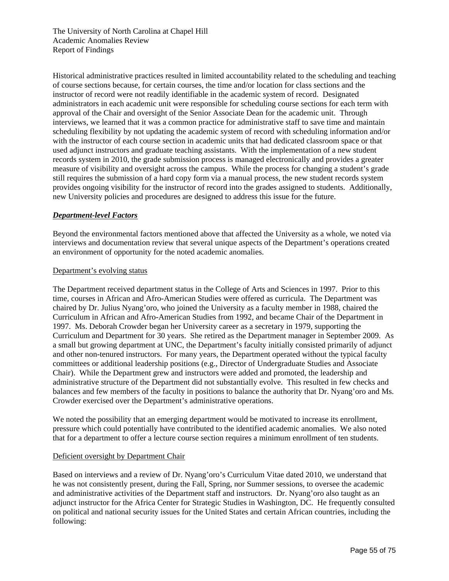Historical administrative practices resulted in limited accountability related to the scheduling and teaching of course sections because, for certain courses, the time and/or location for class sections and the instructor of record were not readily identifiable in the academic system of record. Designated administrators in each academic unit were responsible for scheduling course sections for each term with approval of the Chair and oversight of the Senior Associate Dean for the academic unit. Through interviews, we learned that it was a common practice for administrative staff to save time and maintain scheduling flexibility by not updating the academic system of record with scheduling information and/or with the instructor of each course section in academic units that had dedicated classroom space or that used adjunct instructors and graduate teaching assistants. With the implementation of a new student records system in 2010, the grade submission process is managed electronically and provides a greater measure of visibility and oversight across the campus. While the process for changing a student's grade still requires the submission of a hard copy form via a manual process, the new student records system provides ongoing visibility for the instructor of record into the grades assigned to students. Additionally, new University policies and procedures are designed to address this issue for the future.

### *Department-level Factors*

Beyond the environmental factors mentioned above that affected the University as a whole, we noted via interviews and documentation review that several unique aspects of the Department's operations created an environment of opportunity for the noted academic anomalies.

#### Department's evolving status

The Department received department status in the College of Arts and Sciences in 1997. Prior to this time, courses in African and Afro-American Studies were offered as curricula. The Department was chaired by Dr. Julius Nyang'oro, who joined the University as a faculty member in 1988, chaired the Curriculum in African and Afro-American Studies from 1992, and became Chair of the Department in 1997. Ms. Deborah Crowder began her University career as a secretary in 1979, supporting the Curriculum and Department for 30 years. She retired as the Department manager in September 2009. As a small but growing department at UNC, the Department's faculty initially consisted primarily of adjunct and other non-tenured instructors. For many years, the Department operated without the typical faculty committees or additional leadership positions (e.g., Director of Undergraduate Studies and Associate Chair). While the Department grew and instructors were added and promoted, the leadership and administrative structure of the Department did not substantially evolve. This resulted in few checks and balances and few members of the faculty in positions to balance the authority that Dr. Nyang'oro and Ms. Crowder exercised over the Department's administrative operations.

We noted the possibility that an emerging department would be motivated to increase its enrollment, pressure which could potentially have contributed to the identified academic anomalies. We also noted that for a department to offer a lecture course section requires a minimum enrollment of ten students.

### Deficient oversight by Department Chair

Based on interviews and a review of Dr. Nyang'oro's Curriculum Vitae dated 2010, we understand that he was not consistently present, during the Fall, Spring, nor Summer sessions, to oversee the academic and administrative activities of the Department staff and instructors. Dr. Nyang'oro also taught as an adjunct instructor for the Africa Center for Strategic Studies in Washington, DC. He frequently consulted on political and national security issues for the United States and certain African countries, including the following: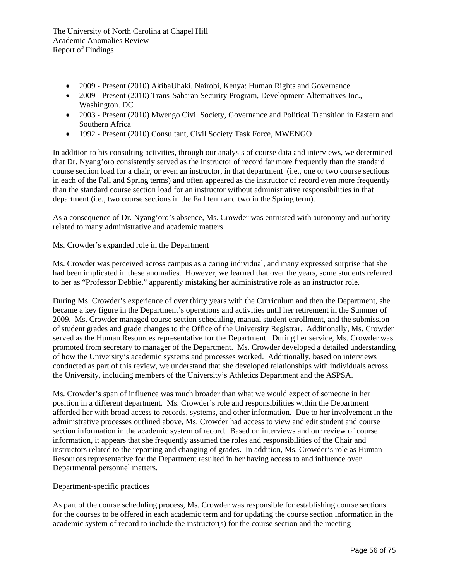- 2009 Present (2010) AkibaUhaki, Nairobi, Kenya: Human Rights and Governance
- 2009 Present (2010) Trans-Saharan Security Program, Development Alternatives Inc., Washington. DC
- 2003 Present (2010) Mwengo Civil Society, Governance and Political Transition in Eastern and Southern Africa
- 1992 Present (2010) Consultant, Civil Society Task Force, MWENGO

In addition to his consulting activities, through our analysis of course data and interviews, we determined that Dr. Nyang'oro consistently served as the instructor of record far more frequently than the standard course section load for a chair, or even an instructor, in that department (i.e., one or two course sections in each of the Fall and Spring terms) and often appeared as the instructor of record even more frequently than the standard course section load for an instructor without administrative responsibilities in that department (i.e., two course sections in the Fall term and two in the Spring term).

As a consequence of Dr. Nyang'oro's absence, Ms. Crowder was entrusted with autonomy and authority related to many administrative and academic matters.

#### Ms. Crowder's expanded role in the Department

Ms. Crowder was perceived across campus as a caring individual, and many expressed surprise that she had been implicated in these anomalies. However, we learned that over the years, some students referred to her as "Professor Debbie," apparently mistaking her administrative role as an instructor role.

During Ms. Crowder's experience of over thirty years with the Curriculum and then the Department, she became a key figure in the Department's operations and activities until her retirement in the Summer of 2009. Ms. Crowder managed course section scheduling, manual student enrollment, and the submission of student grades and grade changes to the Office of the University Registrar. Additionally, Ms. Crowder served as the Human Resources representative for the Department. During her service, Ms. Crowder was promoted from secretary to manager of the Department. Ms. Crowder developed a detailed understanding of how the University's academic systems and processes worked. Additionally, based on interviews conducted as part of this review, we understand that she developed relationships with individuals across the University, including members of the University's Athletics Department and the ASPSA.

Ms. Crowder's span of influence was much broader than what we would expect of someone in her position in a different department. Ms. Crowder's role and responsibilities within the Department afforded her with broad access to records, systems, and other information. Due to her involvement in the administrative processes outlined above, Ms. Crowder had access to view and edit student and course section information in the academic system of record. Based on interviews and our review of course information, it appears that she frequently assumed the roles and responsibilities of the Chair and instructors related to the reporting and changing of grades. In addition, Ms. Crowder's role as Human Resources representative for the Department resulted in her having access to and influence over Departmental personnel matters.

#### Department-specific practices

As part of the course scheduling process, Ms. Crowder was responsible for establishing course sections for the courses to be offered in each academic term and for updating the course section information in the academic system of record to include the instructor(s) for the course section and the meeting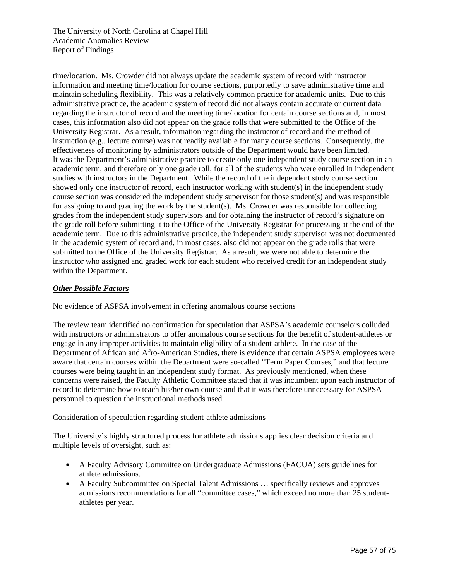time/location. Ms. Crowder did not always update the academic system of record with instructor information and meeting time/location for course sections, purportedly to save administrative time and maintain scheduling flexibility. This was a relatively common practice for academic units. Due to this administrative practice, the academic system of record did not always contain accurate or current data regarding the instructor of record and the meeting time/location for certain course sections and, in most cases, this information also did not appear on the grade rolls that were submitted to the Office of the University Registrar. As a result, information regarding the instructor of record and the method of instruction (e.g., lecture course) was not readily available for many course sections. Consequently, the effectiveness of monitoring by administrators outside of the Department would have been limited. It was the Department's administrative practice to create only one independent study course section in an academic term, and therefore only one grade roll, for all of the students who were enrolled in independent studies with instructors in the Department. While the record of the independent study course section showed only one instructor of record, each instructor working with student(s) in the independent study course section was considered the independent study supervisor for those student(s) and was responsible for assigning to and grading the work by the student(s). Ms. Crowder was responsible for collecting grades from the independent study supervisors and for obtaining the instructor of record's signature on the grade roll before submitting it to the Office of the University Registrar for processing at the end of the academic term. Due to this administrative practice, the independent study supervisor was not documented in the academic system of record and, in most cases, also did not appear on the grade rolls that were submitted to the Office of the University Registrar. As a result, we were not able to determine the instructor who assigned and graded work for each student who received credit for an independent study within the Department.

## *Other Possible Factors*

### No evidence of ASPSA involvement in offering anomalous course sections

The review team identified no confirmation for speculation that ASPSA's academic counselors colluded with instructors or administrators to offer anomalous course sections for the benefit of student-athletes or engage in any improper activities to maintain eligibility of a student-athlete. In the case of the Department of African and Afro-American Studies, there is evidence that certain ASPSA employees were aware that certain courses within the Department were so-called "Term Paper Courses," and that lecture courses were being taught in an independent study format. As previously mentioned, when these concerns were raised, the Faculty Athletic Committee stated that it was incumbent upon each instructor of record to determine how to teach his/her own course and that it was therefore unnecessary for ASPSA personnel to question the instructional methods used.

#### Consideration of speculation regarding student-athlete admissions

The University's highly structured process for athlete admissions applies clear decision criteria and multiple levels of oversight, such as:

- A Faculty Advisory Committee on Undergraduate Admissions (FACUA) sets guidelines for athlete admissions.
- A Faculty Subcommittee on Special Talent Admissions … specifically reviews and approves admissions recommendations for all "committee cases," which exceed no more than 25 studentathletes per year.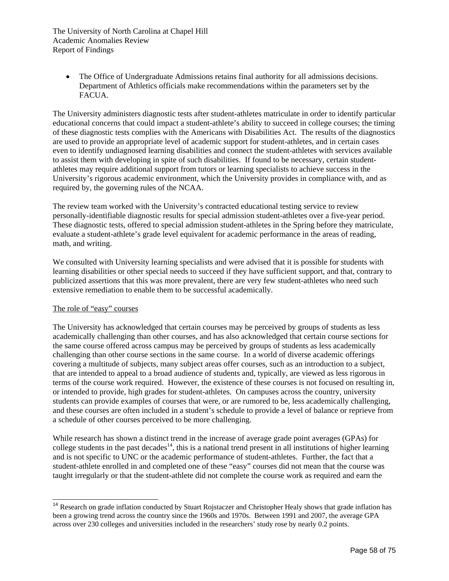The Office of Undergraduate Admissions retains final authority for all admissions decisions. Department of Athletics officials make recommendations within the parameters set by the FACUA.

The University administers diagnostic tests after student-athletes matriculate in order to identify particular educational concerns that could impact a student-athlete's ability to succeed in college courses; the timing of these diagnostic tests complies with the Americans with Disabilities Act. The results of the diagnostics are used to provide an appropriate level of academic support for student-athletes, and in certain cases even to identify undiagnosed learning disabilities and connect the student-athletes with services available to assist them with developing in spite of such disabilities. If found to be necessary, certain studentathletes may require additional support from tutors or learning specialists to achieve success in the University's rigorous academic environment, which the University provides in compliance with, and as required by, the governing rules of the NCAA.

The review team worked with the University's contracted educational testing service to review personally-identifiable diagnostic results for special admission student-athletes over a five-year period. These diagnostic tests, offered to special admission student-athletes in the Spring before they matriculate, evaluate a student-athlete's grade level equivalent for academic performance in the areas of reading, math, and writing.

We consulted with University learning specialists and were advised that it is possible for students with learning disabilities or other special needs to succeed if they have sufficient support, and that, contrary to publicized assertions that this was more prevalent, there are very few student-athletes who need such extensive remediation to enable them to be successful academically.

#### The role of "easy" courses

l

The University has acknowledged that certain courses may be perceived by groups of students as less academically challenging than other courses, and has also acknowledged that certain course sections for the same course offered across campus may be perceived by groups of students as less academically challenging than other course sections in the same course. In a world of diverse academic offerings covering a multitude of subjects, many subject areas offer courses, such as an introduction to a subject, that are intended to appeal to a broad audience of students and, typically, are viewed as less rigorous in terms of the course work required. However, the existence of these courses is not focused on resulting in, or intended to provide, high grades for student-athletes. On campuses across the country, university students can provide examples of courses that were, or are rumored to be, less academically challenging, and these courses are often included in a student's schedule to provide a level of balance or reprieve from a schedule of other courses perceived to be more challenging.

While research has shown a distinct trend in the increase of average grade point averages (GPAs) for college students in the past decades<sup>14</sup>, this is a national trend present in all institutions of higher learning and is not specific to UNC or the academic performance of student-athletes. Further, the fact that a student-athlete enrolled in and completed one of these "easy" courses did not mean that the course was taught irregularly or that the student-athlete did not complete the course work as required and earn the

<sup>&</sup>lt;sup>14</sup> Research on grade inflation conducted by Stuart Rojstaczer and Christopher Healy shows that grade inflation has been a growing trend across the country since the 1960s and 1970s. Between 1991 and 2007, the average GPA across over 230 colleges and universities included in the researchers' study rose by nearly 0.2 points.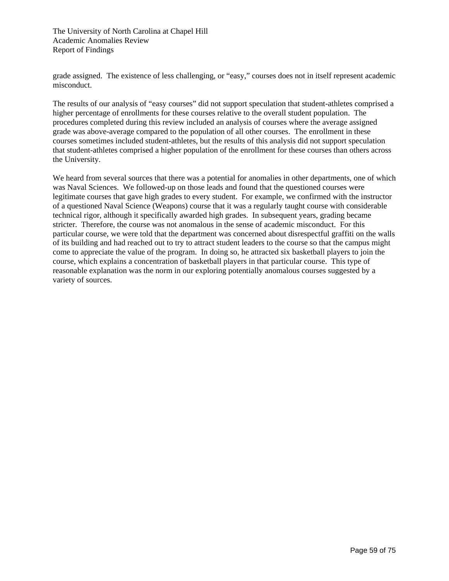grade assigned. The existence of less challenging, or "easy," courses does not in itself represent academic misconduct.

The results of our analysis of "easy courses" did not support speculation that student-athletes comprised a higher percentage of enrollments for these courses relative to the overall student population. The procedures completed during this review included an analysis of courses where the average assigned grade was above-average compared to the population of all other courses. The enrollment in these courses sometimes included student-athletes, but the results of this analysis did not support speculation that student-athletes comprised a higher population of the enrollment for these courses than others across the University.

We heard from several sources that there was a potential for anomalies in other departments, one of which was Naval Sciences. We followed-up on those leads and found that the questioned courses were legitimate courses that gave high grades to every student. For example, we confirmed with the instructor of a questioned Naval Science (Weapons) course that it was a regularly taught course with considerable technical rigor, although it specifically awarded high grades. In subsequent years, grading became stricter. Therefore, the course was not anomalous in the sense of academic misconduct. For this particular course, we were told that the department was concerned about disrespectful graffiti on the walls of its building and had reached out to try to attract student leaders to the course so that the campus might come to appreciate the value of the program. In doing so, he attracted six basketball players to join the course, which explains a concentration of basketball players in that particular course. This type of reasonable explanation was the norm in our exploring potentially anomalous courses suggested by a variety of sources.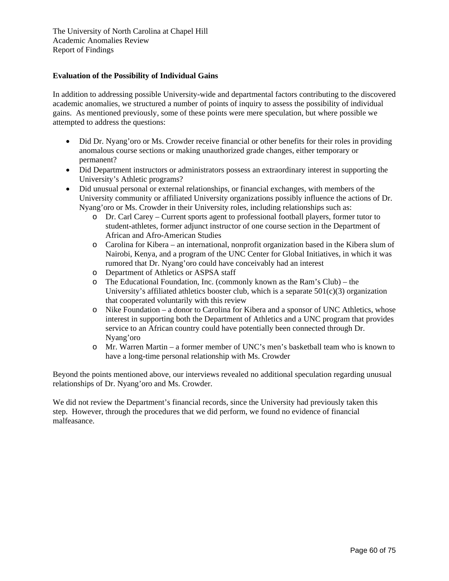### **Evaluation of the Possibility of Individual Gains**

In addition to addressing possible University-wide and departmental factors contributing to the discovered academic anomalies, we structured a number of points of inquiry to assess the possibility of individual gains. As mentioned previously, some of these points were mere speculation, but where possible we attempted to address the questions:

- Did Dr. Nyang'oro or Ms. Crowder receive financial or other benefits for their roles in providing anomalous course sections or making unauthorized grade changes, either temporary or permanent?
- Did Department instructors or administrators possess an extraordinary interest in supporting the University's Athletic programs?
- Did unusual personal or external relationships, or financial exchanges, with members of the University community or affiliated University organizations possibly influence the actions of Dr. Nyang'oro or Ms. Crowder in their University roles, including relationships such as:
	- o Dr. Carl Carey Current sports agent to professional football players, former tutor to student-athletes, former adjunct instructor of one course section in the Department of African and Afro-American Studies
	- o Carolina for Kibera an international, nonprofit organization based in the Kibera slum of Nairobi, Kenya, and a program of the UNC Center for Global Initiatives, in which it was rumored that Dr. Nyang'oro could have conceivably had an interest
	- o Department of Athletics or ASPSA staff
	- o The Educational Foundation, Inc. (commonly known as the Ram's Club) the University's affiliated athletics booster club, which is a separate  $501(c)(3)$  organization that cooperated voluntarily with this review
	- o Nike Foundation a donor to Carolina for Kibera and a sponsor of UNC Athletics, whose interest in supporting both the Department of Athletics and a UNC program that provides service to an African country could have potentially been connected through Dr. Nyang'oro
	- o Mr. Warren Martin a former member of UNC's men's basketball team who is known to have a long-time personal relationship with Ms. Crowder

Beyond the points mentioned above, our interviews revealed no additional speculation regarding unusual relationships of Dr. Nyang'oro and Ms. Crowder.

We did not review the Department's financial records, since the University had previously taken this step. However, through the procedures that we did perform, we found no evidence of financial malfeasance.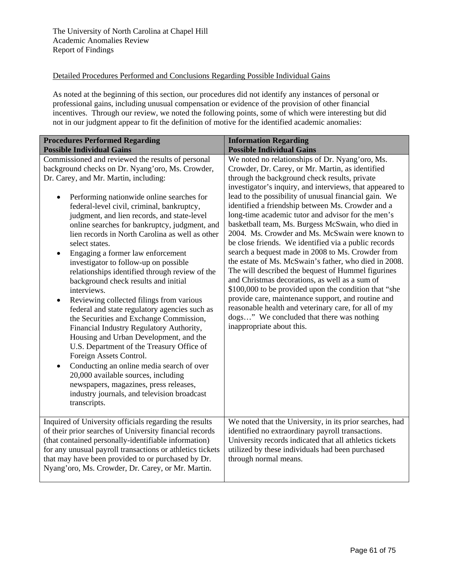### Detailed Procedures Performed and Conclusions Regarding Possible Individual Gains

As noted at the beginning of this section, our procedures did not identify any instances of personal or professional gains, including unusual compensation or evidence of the provision of other financial incentives. Through our review, we noted the following points, some of which were interesting but did not in our judgment appear to fit the definition of motive for the identified academic anomalies:

| <b>Procedures Performed Regarding</b><br><b>Possible Individual Gains</b>                                                                                                                                                                                                                                                                                                                                                                                                                                                                                                                                                                                                                                                                                                                                                                                                                                                                                                                                                                                                                                             | <b>Information Regarding</b><br><b>Possible Individual Gains</b>                                                                                                                                                                                                                                                                                                                                                                                                                                                                                                                                                                                                                                                                                                                                                                                                                                                                                                                                                            |
|-----------------------------------------------------------------------------------------------------------------------------------------------------------------------------------------------------------------------------------------------------------------------------------------------------------------------------------------------------------------------------------------------------------------------------------------------------------------------------------------------------------------------------------------------------------------------------------------------------------------------------------------------------------------------------------------------------------------------------------------------------------------------------------------------------------------------------------------------------------------------------------------------------------------------------------------------------------------------------------------------------------------------------------------------------------------------------------------------------------------------|-----------------------------------------------------------------------------------------------------------------------------------------------------------------------------------------------------------------------------------------------------------------------------------------------------------------------------------------------------------------------------------------------------------------------------------------------------------------------------------------------------------------------------------------------------------------------------------------------------------------------------------------------------------------------------------------------------------------------------------------------------------------------------------------------------------------------------------------------------------------------------------------------------------------------------------------------------------------------------------------------------------------------------|
| Commissioned and reviewed the results of personal<br>background checks on Dr. Nyang'oro, Ms. Crowder,<br>Dr. Carey, and Mr. Martin, including:<br>Performing nationwide online searches for<br>$\bullet$<br>federal-level civil, criminal, bankruptcy,<br>judgment, and lien records, and state-level<br>online searches for bankruptcy, judgment, and<br>lien records in North Carolina as well as other<br>select states.<br>Engaging a former law enforcement<br>investigator to follow-up on possible<br>relationships identified through review of the<br>background check results and initial<br>interviews.<br>Reviewing collected filings from various<br>federal and state regulatory agencies such as<br>the Securities and Exchange Commission,<br>Financial Industry Regulatory Authority,<br>Housing and Urban Development, and the<br>U.S. Department of the Treasury Office of<br>Foreign Assets Control.<br>Conducting an online media search of over<br>20,000 available sources, including<br>newspapers, magazines, press releases,<br>industry journals, and television broadcast<br>transcripts. | We noted no relationships of Dr. Nyang'oro, Ms.<br>Crowder, Dr. Carey, or Mr. Martin, as identified<br>through the background check results, private<br>investigator's inquiry, and interviews, that appeared to<br>lead to the possibility of unusual financial gain. We<br>identified a friendship between Ms. Crowder and a<br>long-time academic tutor and advisor for the men's<br>basketball team, Ms. Burgess McSwain, who died in<br>2004. Ms. Crowder and Ms. McSwain were known to<br>be close friends. We identified via a public records<br>search a bequest made in 2008 to Ms. Crowder from<br>the estate of Ms. McSwain's father, who died in 2008.<br>The will described the bequest of Hummel figurines<br>and Christmas decorations, as well as a sum of<br>\$100,000 to be provided upon the condition that "she<br>provide care, maintenance support, and routine and<br>reasonable health and veterinary care, for all of my<br>dogs" We concluded that there was nothing<br>inappropriate about this. |
| Inquired of University officials regarding the results<br>of their prior searches of University financial records<br>(that contained personally-identifiable information)<br>for any unusual payroll transactions or athletics tickets<br>that may have been provided to or purchased by Dr.<br>Nyang'oro, Ms. Crowder, Dr. Carey, or Mr. Martin.                                                                                                                                                                                                                                                                                                                                                                                                                                                                                                                                                                                                                                                                                                                                                                     | We noted that the University, in its prior searches, had<br>identified no extraordinary payroll transactions.<br>University records indicated that all athletics tickets<br>utilized by these individuals had been purchased<br>through normal means.                                                                                                                                                                                                                                                                                                                                                                                                                                                                                                                                                                                                                                                                                                                                                                       |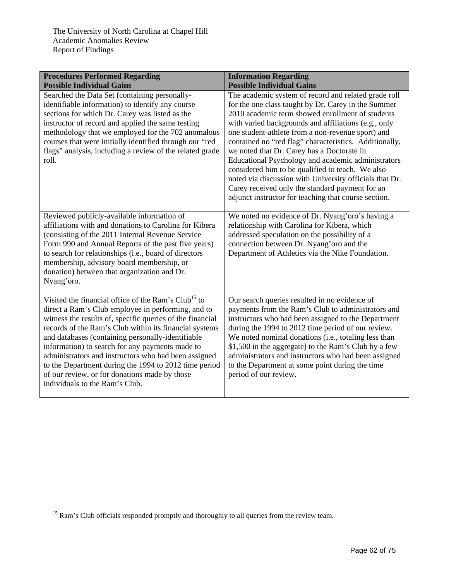| <b>Procedures Performed Regarding</b>                                                                                                                                                                                                                                                                                                                                                                                                                                                                                                                    | <b>Information Regarding</b>                                                                                                                                                                                                                                                                                                                                                                                                                                                                                                                                                                                                                                         |
|----------------------------------------------------------------------------------------------------------------------------------------------------------------------------------------------------------------------------------------------------------------------------------------------------------------------------------------------------------------------------------------------------------------------------------------------------------------------------------------------------------------------------------------------------------|----------------------------------------------------------------------------------------------------------------------------------------------------------------------------------------------------------------------------------------------------------------------------------------------------------------------------------------------------------------------------------------------------------------------------------------------------------------------------------------------------------------------------------------------------------------------------------------------------------------------------------------------------------------------|
| <b>Possible Individual Gains</b>                                                                                                                                                                                                                                                                                                                                                                                                                                                                                                                         | <b>Possible Individual Gains</b>                                                                                                                                                                                                                                                                                                                                                                                                                                                                                                                                                                                                                                     |
| Searched the Data Set (containing personally-<br>identifiable information) to identify any course<br>sections for which Dr. Carey was listed as the<br>instructor of record and applied the same testing<br>methodology that we employed for the 702 anomalous<br>courses that were initially identified through our "red<br>flags" analysis, including a review of the related grade<br>roll.                                                                                                                                                           | The academic system of record and related grade roll<br>for the one class taught by Dr. Carey in the Summer<br>2010 academic term showed enrollment of students<br>with varied backgrounds and affiliations (e.g., only<br>one student-athlete from a non-revenue sport) and<br>contained no "red flag" characteristics. Additionally,<br>we noted that Dr. Carey has a Doctorate in<br>Educational Psychology and academic administrators<br>considered him to be qualified to teach. We also<br>noted via discussion with University officials that Dr.<br>Carey received only the standard payment for an<br>adjunct instructor for teaching that course section. |
| Reviewed publicly-available information of<br>affiliations with and donations to Carolina for Kibera<br>(consisting of the 2011 Internal Revenue Service<br>Form 990 and Annual Reports of the past five years)<br>to search for relationships (i.e., board of directors<br>membership, advisory board membership, or<br>donation) between that organization and Dr.<br>Nyang'oro.                                                                                                                                                                       | We noted no evidence of Dr. Nyang'oro's having a<br>relationship with Carolina for Kibera, which<br>addressed speculation on the possibility of a<br>connection between Dr. Nyang'oro and the<br>Department of Athletics via the Nike Foundation.                                                                                                                                                                                                                                                                                                                                                                                                                    |
| Visited the financial office of the Ram's Club <sup>15</sup> to<br>direct a Ram's Club employee in performing, and to<br>witness the results of, specific queries of the financial<br>records of the Ram's Club within its financial systems<br>and databases (containing personally-identifiable<br>information) to search for any payments made to<br>administrators and instructors who had been assigned<br>to the Department during the 1994 to 2012 time period<br>of our review, or for donations made by those<br>individuals to the Ram's Club. | Our search queries resulted in no evidence of<br>payments from the Ram's Club to administrators and<br>instructors who had been assigned to the Department<br>during the 1994 to 2012 time period of our review.<br>We noted nominal donations (i.e., totaling less than<br>\$1,500 in the aggregate) to the Ram's Club by a few<br>administrators and instructors who had been assigned<br>to the Department at some point during the time<br>period of our review.                                                                                                                                                                                                 |

l <sup>15</sup> Ram's Club officials responded promptly and thoroughly to all queries from the review team.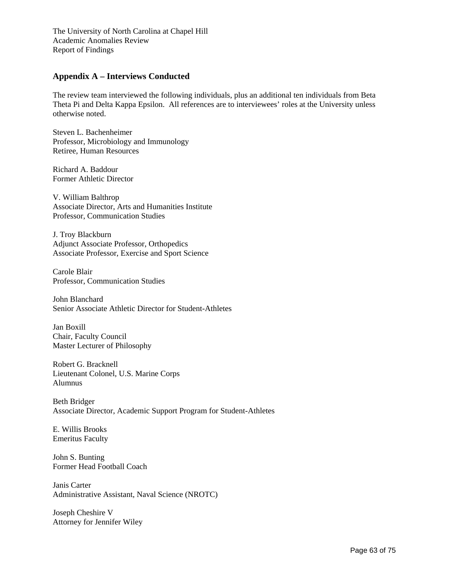## **Appendix A – Interviews Conducted**

The review team interviewed the following individuals, plus an additional ten individuals from Beta Theta Pi and Delta Kappa Epsilon. All references are to interviewees' roles at the University unless otherwise noted.

Steven L. Bachenheimer Professor, Microbiology and Immunology Retiree, Human Resources

Richard A. Baddour Former Athletic Director

V. William Balthrop Associate Director, Arts and Humanities Institute Professor, Communication Studies

J. Troy Blackburn Adjunct Associate Professor, Orthopedics Associate Professor, Exercise and Sport Science

Carole Blair Professor, Communication Studies

John Blanchard Senior Associate Athletic Director for Student-Athletes

Jan Boxill Chair, Faculty Council Master Lecturer of Philosophy

Robert G. Bracknell Lieutenant Colonel, U.S. Marine Corps Alumnus

Beth Bridger Associate Director, Academic Support Program for Student-Athletes

E. Willis Brooks Emeritus Faculty

John S. Bunting Former Head Football Coach

Janis Carter Administrative Assistant, Naval Science (NROTC)

Joseph Cheshire V Attorney for Jennifer Wiley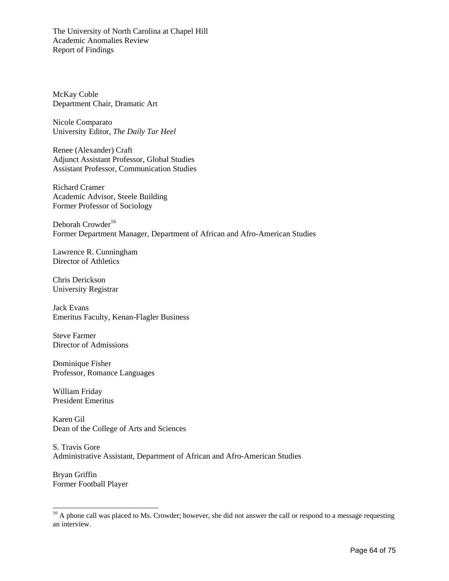McKay Coble Department Chair, Dramatic Art

Nicole Comparato University Editor, *The Daily Tar Heel*

Renee (Alexander) Craft Adjunct Assistant Professor, Global Studies Assistant Professor, Communication Studies

Richard Cramer Academic Advisor, Steele Building Former Professor of Sociology

Deborah Crowder<sup>16</sup> Former Department Manager, Department of African and Afro-American Studies

Lawrence R. Cunningham Director of Athletics

Chris Derickson University Registrar

Jack Evans Emeritus Faculty, Kenan-Flagler Business

Steve Farmer Director of Admissions

Dominique Fisher Professor, Romance Languages

William Friday President Emeritus

Karen Gil Dean of the College of Arts and Sciences

S. Travis Gore Administrative Assistant, Department of African and Afro-American Studies

Bryan Griffin Former Football Player

l

<sup>&</sup>lt;sup>16</sup> A phone call was placed to Ms. Crowder; however, she did not answer the call or respond to a message requesting an interview.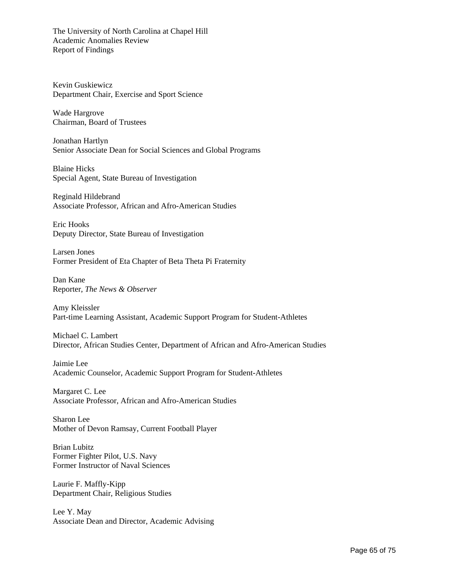Kevin Guskiewicz Department Chair, Exercise and Sport Science

Wade Hargrove Chairman, Board of Trustees

Jonathan Hartlyn Senior Associate Dean for Social Sciences and Global Programs

Blaine Hicks Special Agent, State Bureau of Investigation

Reginald Hildebrand Associate Professor, African and Afro-American Studies

Eric Hooks Deputy Director, State Bureau of Investigation

Larsen Jones Former President of Eta Chapter of Beta Theta Pi Fraternity

Dan Kane Reporter, *The News & Observer*

Amy Kleissler Part-time Learning Assistant, Academic Support Program for Student-Athletes

Michael C. Lambert Director, African Studies Center, Department of African and Afro-American Studies

Jaimie Lee Academic Counselor, Academic Support Program for Student-Athletes

Margaret C. Lee Associate Professor, African and Afro-American Studies

Sharon Lee Mother of Devon Ramsay, Current Football Player

Brian Lubitz Former Fighter Pilot, U.S. Navy Former Instructor of Naval Sciences

Laurie F. Maffly-Kipp Department Chair, Religious Studies

Lee Y. May Associate Dean and Director, Academic Advising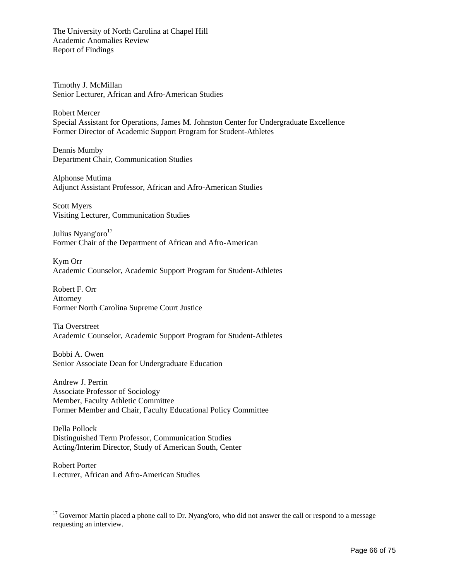Timothy J. McMillan Senior Lecturer, African and Afro-American Studies

Robert Mercer Special Assistant for Operations, James M. Johnston Center for Undergraduate Excellence Former Director of Academic Support Program for Student-Athletes

Dennis Mumby Department Chair, Communication Studies

Alphonse Mutima Adjunct Assistant Professor, African and Afro-American Studies

Scott Myers Visiting Lecturer, Communication Studies

Julius Nyang'oro $17$ Former Chair of the Department of African and Afro-American

Kym Orr Academic Counselor, Academic Support Program for Student-Athletes

Robert F. Orr Attorney Former North Carolina Supreme Court Justice

Tia Overstreet Academic Counselor, Academic Support Program for Student-Athletes

Bobbi A. Owen Senior Associate Dean for Undergraduate Education

Andrew J. Perrin Associate Professor of Sociology Member, Faculty Athletic Committee Former Member and Chair, Faculty Educational Policy Committee

Della Pollock Distinguished Term Professor, Communication Studies Acting/Interim Director, Study of American South, Center

Robert Porter Lecturer, African and Afro-American Studies

l

<sup>&</sup>lt;sup>17</sup> Governor Martin placed a phone call to Dr. Nyang'oro, who did not answer the call or respond to a message requesting an interview.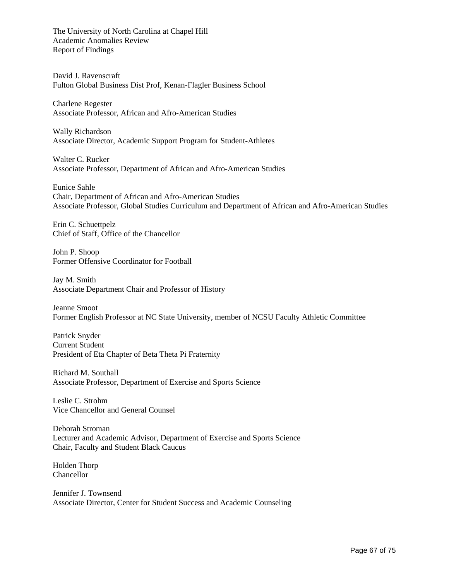David J. Ravenscraft Fulton Global Business Dist Prof, Kenan-Flagler Business School

Charlene Regester Associate Professor, African and Afro-American Studies

Wally Richardson Associate Director, Academic Support Program for Student-Athletes

Walter C. Rucker Associate Professor, Department of African and Afro-American Studies

Eunice Sahle Chair, Department of African and Afro-American Studies Associate Professor, Global Studies Curriculum and Department of African and Afro-American Studies

Erin C. Schuettpelz Chief of Staff, Office of the Chancellor

John P. Shoop Former Offensive Coordinator for Football

Jay M. Smith Associate Department Chair and Professor of History

Jeanne Smoot Former English Professor at NC State University, member of NCSU Faculty Athletic Committee

Patrick Snyder Current Student President of Eta Chapter of Beta Theta Pi Fraternity

Richard M. Southall Associate Professor, Department of Exercise and Sports Science

Leslie C. Strohm Vice Chancellor and General Counsel

Deborah Stroman Lecturer and Academic Advisor, Department of Exercise and Sports Science Chair, Faculty and Student Black Caucus

Holden Thorp Chancellor

Jennifer J. Townsend Associate Director, Center for Student Success and Academic Counseling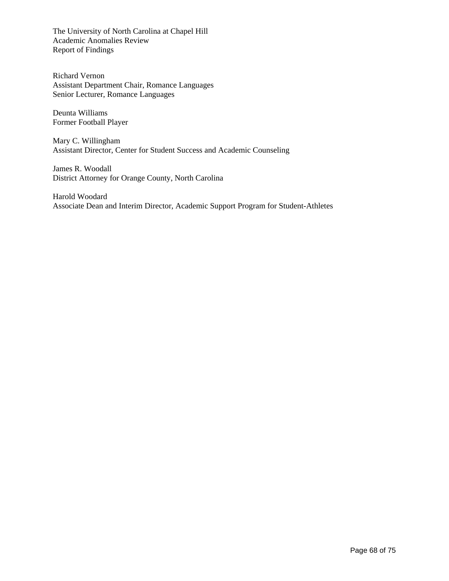Richard Vernon Assistant Department Chair, Romance Languages Senior Lecturer, Romance Languages

Deunta Williams Former Football Player

Mary C. Willingham Assistant Director, Center for Student Success and Academic Counseling

James R. Woodall District Attorney for Orange County, North Carolina

Harold Woodard Associate Dean and Interim Director, Academic Support Program for Student-Athletes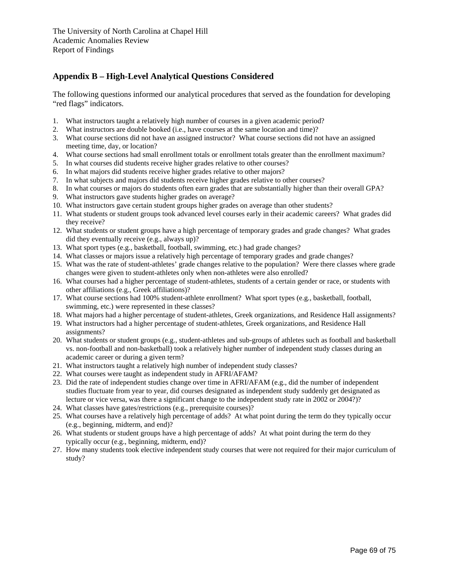# **Appendix B – High-Level Analytical Questions Considered**

The following questions informed our analytical procedures that served as the foundation for developing "red flags" indicators.

- 1. What instructors taught a relatively high number of courses in a given academic period?
- 2. What instructors are double booked (i.e., have courses at the same location and time)?
- 3. What course sections did not have an assigned instructor? What course sections did not have an assigned meeting time, day, or location?
- 4. What course sections had small enrollment totals or enrollment totals greater than the enrollment maximum?
- 5. In what courses did students receive higher grades relative to other courses?
- 6. In what majors did students receive higher grades relative to other majors?
- 7. In what subjects and majors did students receive higher grades relative to other courses?
- 8. In what courses or majors do students often earn grades that are substantially higher than their overall GPA?
- 9. What instructors gave students higher grades on average?
- 10. What instructors gave certain student groups higher grades on average than other students?
- 11. What students or student groups took advanced level courses early in their academic careers? What grades did they receive?
- 12. What students or student groups have a high percentage of temporary grades and grade changes? What grades did they eventually receive (e.g., always up)?
- 13. What sport types (e.g., basketball, football, swimming, etc.) had grade changes?
- 14. What classes or majors issue a relatively high percentage of temporary grades and grade changes?
- 15. What was the rate of student-athletes' grade changes relative to the population? Were there classes where grade changes were given to student-athletes only when non-athletes were also enrolled?
- 16. What courses had a higher percentage of student-athletes, students of a certain gender or race, or students with other affiliations (e.g., Greek affiliations)?
- 17. What course sections had 100% student-athlete enrollment? What sport types (e.g., basketball, football, swimming, etc.) were represented in these classes?
- 18. What majors had a higher percentage of student-athletes, Greek organizations, and Residence Hall assignments?
- 19. What instructors had a higher percentage of student-athletes, Greek organizations, and Residence Hall assignments?
- 20. What students or student groups (e.g., student-athletes and sub-groups of athletes such as football and basketball vs. non-football and non-basketball) took a relatively higher number of independent study classes during an academic career or during a given term?
- 21. What instructors taught a relatively high number of independent study classes?
- 22. What courses were taught as independent study in AFRI/AFAM?
- 23. Did the rate of independent studies change over time in AFRI/AFAM (e.g., did the number of independent studies fluctuate from year to year, did courses designated as independent study suddenly get designated as lecture or vice versa, was there a significant change to the independent study rate in 2002 or 2004?)?
- 24. What classes have gates/restrictions (e.g., prerequisite courses)?
- 25. What courses have a relatively high percentage of adds? At what point during the term do they typically occur (e.g., beginning, midterm, and end)?
- 26. What students or student groups have a high percentage of adds? At what point during the term do they typically occur (e.g., beginning, midterm, end)?
- 27. How many students took elective independent study courses that were not required for their major curriculum of study?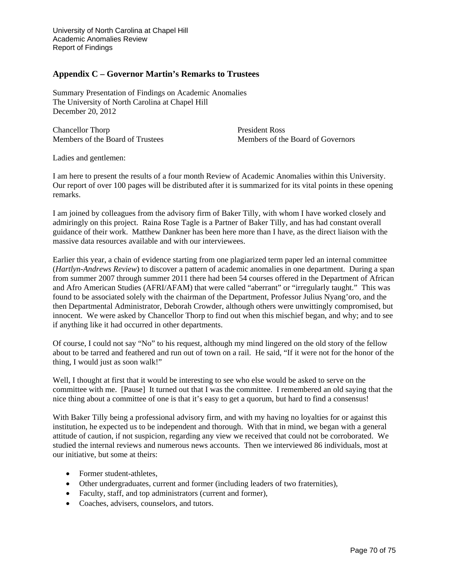University of North Carolina at Chapel Hill Academic Anomalies Review Report of Findings

#### **Appendix C – Governor Martin's Remarks to Trustees**

Summary Presentation of Findings on Academic Anomalies The University of North Carolina at Chapel Hill December 20, 2012

Chancellor Thorp President Ross

Members of the Board of Trustees Members of the Board of Governors

Ladies and gentlemen:

I am here to present the results of a four month Review of Academic Anomalies within this University. Our report of over 100 pages will be distributed after it is summarized for its vital points in these opening remarks.

I am joined by colleagues from the advisory firm of Baker Tilly, with whom I have worked closely and admiringly on this project. Raina Rose Tagle is a Partner of Baker Tilly, and has had constant overall guidance of their work. Matthew Dankner has been here more than I have, as the direct liaison with the massive data resources available and with our interviewees.

Earlier this year, a chain of evidence starting from one plagiarized term paper led an internal committee (*Hartlyn-Andrews Review*) to discover a pattern of academic anomalies in one department. During a span from summer 2007 through summer 2011 there had been 54 courses offered in the Department of African and Afro American Studies (AFRI/AFAM) that were called "aberrant" or "irregularly taught." This was found to be associated solely with the chairman of the Department, Professor Julius Nyang'oro, and the then Departmental Administrator, Deborah Crowder, although others were unwittingly compromised, but innocent. We were asked by Chancellor Thorp to find out when this mischief began, and why; and to see if anything like it had occurred in other departments.

Of course, I could not say "No" to his request, although my mind lingered on the old story of the fellow about to be tarred and feathered and run out of town on a rail. He said, "If it were not for the honor of the thing, I would just as soon walk!"

Well, I thought at first that it would be interesting to see who else would be asked to serve on the committee with me. [Pause] It turned out that I was the committee. I remembered an old saying that the nice thing about a committee of one is that it's easy to get a quorum, but hard to find a consensus!

With Baker Tilly being a professional advisory firm, and with my having no loyalties for or against this institution, he expected us to be independent and thorough. With that in mind, we began with a general attitude of caution, if not suspicion, regarding any view we received that could not be corroborated. We studied the internal reviews and numerous news accounts. Then we interviewed 86 individuals, most at our initiative, but some at theirs:

- Former student-athletes,
- Other undergraduates, current and former (including leaders of two fraternities),
- Faculty, staff, and top administrators (current and former),
- Coaches, advisers, counselors, and tutors.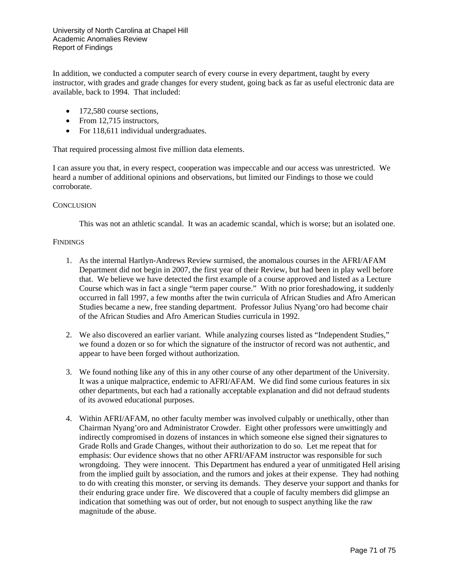In addition, we conducted a computer search of every course in every department, taught by every instructor, with grades and grade changes for every student, going back as far as useful electronic data are available, back to 1994. That included:

- $\bullet$  172,580 course sections,
- From 12,715 instructors,
- For 118,611 individual undergraduates.

That required processing almost five million data elements.

I can assure you that, in every respect, cooperation was impeccable and our access was unrestricted. We heard a number of additional opinions and observations, but limited our Findings to those we could corroborate.

#### **CONCLUSION**

This was not an athletic scandal. It was an academic scandal, which is worse; but an isolated one.

#### **FINDINGS**

- 1. As the internal Hartlyn-Andrews Review surmised, the anomalous courses in the AFRI/AFAM Department did not begin in 2007, the first year of their Review, but had been in play well before that. We believe we have detected the first example of a course approved and listed as a Lecture Course which was in fact a single "term paper course." With no prior foreshadowing, it suddenly occurred in fall 1997, a few months after the twin curricula of African Studies and Afro American Studies became a new, free standing department. Professor Julius Nyang'oro had become chair of the African Studies and Afro American Studies curricula in 1992.
- 2. We also discovered an earlier variant. While analyzing courses listed as "Independent Studies," we found a dozen or so for which the signature of the instructor of record was not authentic, and appear to have been forged without authorization.
- 3. We found nothing like any of this in any other course of any other department of the University. It was a unique malpractice, endemic to AFRI/AFAM. We did find some curious features in six other departments, but each had a rationally acceptable explanation and did not defraud students of its avowed educational purposes.
- 4. Within AFRI/AFAM, no other faculty member was involved culpably or unethically, other than Chairman Nyang'oro and Administrator Crowder. Eight other professors were unwittingly and indirectly compromised in dozens of instances in which someone else signed their signatures to Grade Rolls and Grade Changes, without their authorization to do so. Let me repeat that for emphasis: Our evidence shows that no other AFRI/AFAM instructor was responsible for such wrongdoing. They were innocent. This Department has endured a year of unmitigated Hell arising from the implied guilt by association, and the rumors and jokes at their expense. They had nothing to do with creating this monster, or serving its demands. They deserve your support and thanks for their enduring grace under fire. We discovered that a couple of faculty members did glimpse an indication that something was out of order, but not enough to suspect anything like the raw magnitude of the abuse.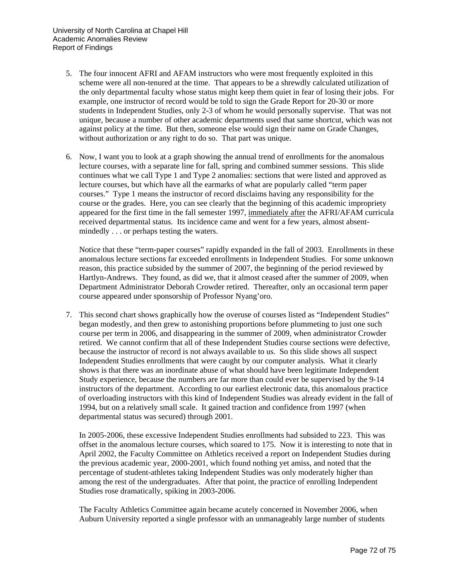- 5. The four innocent AFRI and AFAM instructors who were most frequently exploited in this scheme were all non-tenured at the time. That appears to be a shrewdly calculated utilization of the only departmental faculty whose status might keep them quiet in fear of losing their jobs. For example, one instructor of record would be told to sign the Grade Report for 20-30 or more students in Independent Studies, only 2-3 of whom he would personally supervise. That was not unique, because a number of other academic departments used that same shortcut, which was not against policy at the time. But then, someone else would sign their name on Grade Changes, without authorization or any right to do so. That part was unique.
- 6. Now, I want you to look at a graph showing the annual trend of enrollments for the anomalous lecture courses, with a separate line for fall, spring and combined summer sessions. This slide continues what we call Type 1 and Type 2 anomalies: sections that were listed and approved as lecture courses, but which have all the earmarks of what are popularly called "term paper courses." Type 1 means the instructor of record disclaims having any responsibility for the course or the grades. Here, you can see clearly that the beginning of this academic impropriety appeared for the first time in the fall semester 1997, immediately after the AFRI/AFAM curricula received departmental status. Its incidence came and went for a few years, almost absentmindedly . . . or perhaps testing the waters.

Notice that these "term-paper courses" rapidly expanded in the fall of 2003. Enrollments in these anomalous lecture sections far exceeded enrollments in Independent Studies. For some unknown reason, this practice subsided by the summer of 2007, the beginning of the period reviewed by Hartlyn-Andrews. They found, as did we, that it almost ceased after the summer of 2009, when Department Administrator Deborah Crowder retired. Thereafter, only an occasional term paper course appeared under sponsorship of Professor Nyang'oro.

7. This second chart shows graphically how the overuse of courses listed as "Independent Studies" began modestly, and then grew to astonishing proportions before plummeting to just one such course per term in 2006, and disappearing in the summer of 2009, when administrator Crowder retired. We cannot confirm that all of these Independent Studies course sections were defective, because the instructor of record is not always available to us. So this slide shows all suspect Independent Studies enrollments that were caught by our computer analysis. What it clearly shows is that there was an inordinate abuse of what should have been legitimate Independent Study experience, because the numbers are far more than could ever be supervised by the 9-14 instructors of the department. According to our earliest electronic data, this anomalous practice of overloading instructors with this kind of Independent Studies was already evident in the fall of 1994, but on a relatively small scale. It gained traction and confidence from 1997 (when departmental status was secured) through 2001.

In 2005-2006, these excessive Independent Studies enrollments had subsided to 223. This was offset in the anomalous lecture courses, which soared to 175. Now it is interesting to note that in April 2002, the Faculty Committee on Athletics received a report on Independent Studies during the previous academic year, 2000-2001, which found nothing yet amiss, and noted that the percentage of student-athletes taking Independent Studies was only moderately higher than among the rest of the undergraduates. After that point, the practice of enrolling Independent Studies rose dramatically, spiking in 2003-2006.

The Faculty Athletics Committee again became acutely concerned in November 2006, when Auburn University reported a single professor with an unmanageably large number of students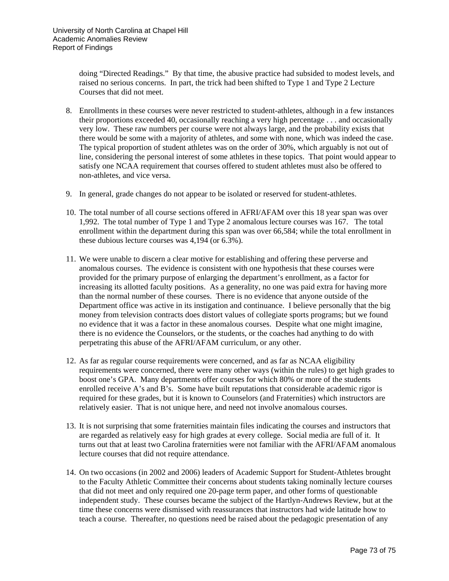doing "Directed Readings." By that time, the abusive practice had subsided to modest levels, and raised no serious concerns. In part, the trick had been shifted to Type 1 and Type 2 Lecture Courses that did not meet.

- 8. Enrollments in these courses were never restricted to student-athletes, although in a few instances their proportions exceeded 40, occasionally reaching a very high percentage . . . and occasionally very low. These raw numbers per course were not always large, and the probability exists that there would be some with a majority of athletes, and some with none, which was indeed the case. The typical proportion of student athletes was on the order of 30%, which arguably is not out of line, considering the personal interest of some athletes in these topics. That point would appear to satisfy one NCAA requirement that courses offered to student athletes must also be offered to non-athletes, and vice versa.
- 9. In general, grade changes do not appear to be isolated or reserved for student-athletes.
- 10. The total number of all course sections offered in AFRI/AFAM over this 18 year span was over 1,992. The total number of Type 1 and Type 2 anomalous lecture courses was 167. The total enrollment within the department during this span was over 66,584; while the total enrollment in these dubious lecture courses was 4,194 (or 6.3%).
- 11. We were unable to discern a clear motive for establishing and offering these perverse and anomalous courses. The evidence is consistent with one hypothesis that these courses were provided for the primary purpose of enlarging the department's enrollment, as a factor for increasing its allotted faculty positions. As a generality, no one was paid extra for having more than the normal number of these courses. There is no evidence that anyone outside of the Department office was active in its instigation and continuance. I believe personally that the big money from television contracts does distort values of collegiate sports programs; but we found no evidence that it was a factor in these anomalous courses. Despite what one might imagine, there is no evidence the Counselors, or the students, or the coaches had anything to do with perpetrating this abuse of the AFRI/AFAM curriculum, or any other.
- 12. As far as regular course requirements were concerned, and as far as NCAA eligibility requirements were concerned, there were many other ways (within the rules) to get high grades to boost one's GPA. Many departments offer courses for which 80% or more of the students enrolled receive A's and B's. Some have built reputations that considerable academic rigor is required for these grades, but it is known to Counselors (and Fraternities) which instructors are relatively easier. That is not unique here, and need not involve anomalous courses.
- 13. It is not surprising that some fraternities maintain files indicating the courses and instructors that are regarded as relatively easy for high grades at every college. Social media are full of it. It turns out that at least two Carolina fraternities were not familiar with the AFRI/AFAM anomalous lecture courses that did not require attendance.
- 14. On two occasions (in 2002 and 2006) leaders of Academic Support for Student-Athletes brought to the Faculty Athletic Committee their concerns about students taking nominally lecture courses that did not meet and only required one 20-page term paper, and other forms of questionable independent study. These courses became the subject of the Hartlyn-Andrews Review, but at the time these concerns were dismissed with reassurances that instructors had wide latitude how to teach a course. Thereafter, no questions need be raised about the pedagogic presentation of any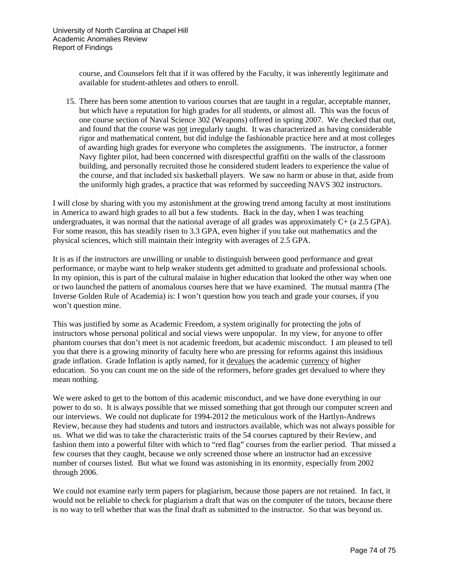course, and Counselors felt that if it was offered by the Faculty, it was inherently legitimate and available for student-athletes and others to enroll.

15. There has been some attention to various courses that are taught in a regular, acceptable manner, but which have a reputation for high grades for all students, or almost all. This was the focus of one course section of Naval Science 302 (Weapons) offered in spring 2007. We checked that out, and found that the course was not irregularly taught. It was characterized as having considerable rigor and mathematical content, but did indulge the fashionable practice here and at most colleges of awarding high grades for everyone who completes the assignments. The instructor, a former Navy fighter pilot, had been concerned with disrespectful graffiti on the walls of the classroom building, and personally recruited those he considered student leaders to experience the value of the course, and that included six basketball players. We saw no harm or abuse in that, aside from the uniformly high grades, a practice that was reformed by succeeding NAVS 302 instructors.

I will close by sharing with you my astonishment at the growing trend among faculty at most institutions in America to award high grades to all but a few students. Back in the day, when I was teaching undergraduates, it was normal that the national average of all grades was approximately C+ (a 2.5 GPA). For some reason, this has steadily risen to 3.3 GPA, even higher if you take out mathematics and the physical sciences, which still maintain their integrity with averages of 2.5 GPA.

It is as if the instructors are unwilling or unable to distinguish between good performance and great performance, or maybe want to help weaker students get admitted to graduate and professional schools. In my opinion, this is part of the cultural malaise in higher education that looked the other way when one or two launched the pattern of anomalous courses here that we have examined. The mutual mantra (The Inverse Golden Rule of Academia) is: I won't question how you teach and grade your courses, if you won't question mine.

This was justified by some as Academic Freedom, a system originally for protecting the jobs of instructors whose personal political and social views were unpopular. In my view, for anyone to offer phantom courses that don't meet is not academic freedom, but academic misconduct. I am pleased to tell you that there is a growing minority of faculty here who are pressing for reforms against this insidious grade inflation. Grade Inflation is aptly named, for it devalues the academic currency of higher education. So you can count me on the side of the reformers, before grades get devalued to where they mean nothing.

We were asked to get to the bottom of this academic misconduct, and we have done everything in our power to do so. It is always possible that we missed something that got through our computer screen and our interviews. We could not duplicate for 1994-2012 the meticulous work of the Hartlyn-Andrews Review, because they had students and tutors and instructors available, which was not always possible for us. What we did was to take the characteristic traits of the 54 courses captured by their Review, and fashion them into a powerful filter with which to "red flag" courses from the earlier period. That missed a few courses that they caught, because we only screened those where an instructor had an excessive number of courses listed. But what we found was astonishing in its enormity, especially from 2002 through 2006.

We could not examine early term papers for plagiarism, because those papers are not retained. In fact, it would not be reliable to check for plagiarism a draft that was on the computer of the tutors, because there is no way to tell whether that was the final draft as submitted to the instructor. So that was beyond us.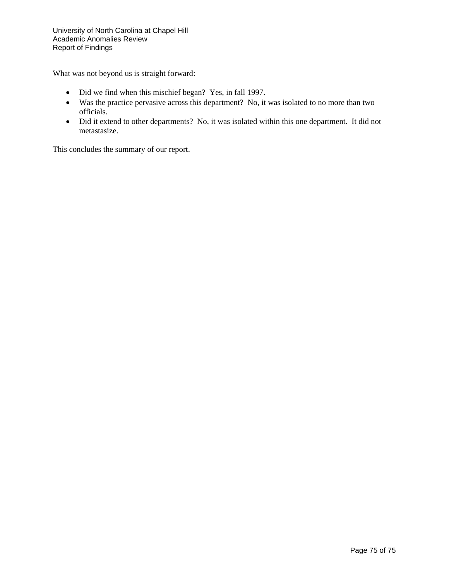What was not beyond us is straight forward:

- Did we find when this mischief began? Yes, in fall 1997.
- Was the practice pervasive across this department? No, it was isolated to no more than two officials.
- Did it extend to other departments? No, it was isolated within this one department. It did not metastasize.

This concludes the summary of our report.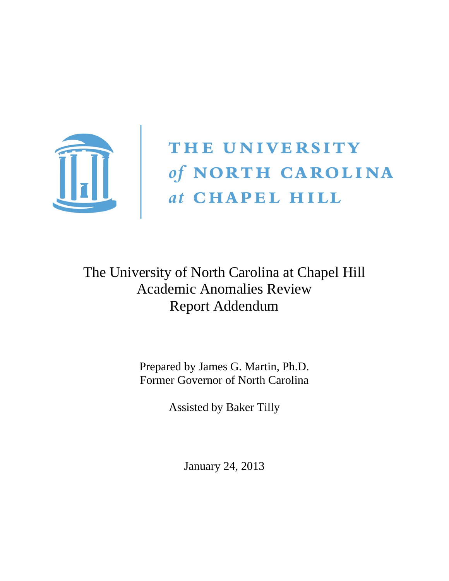

# THE UNIVERSITY of NORTH CAROLINA<br>
at CHAPEL HILL

# The University of North Carolina at Chapel Hill Academic Anomalies Review Report Addendum

Prepared by James G. Martin, Ph.D. Former Governor of North Carolina

Assisted by Baker Tilly

January 24, 2013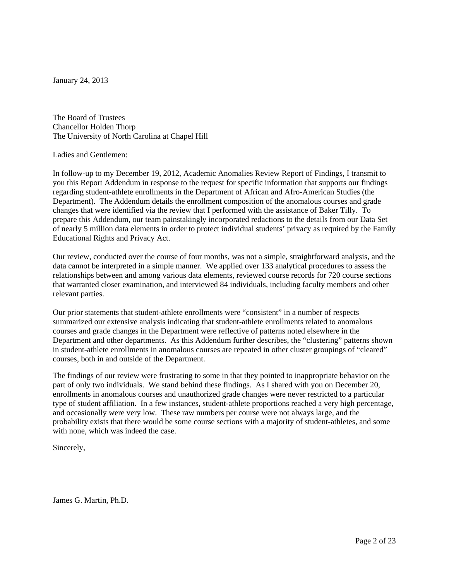January 24, 2013

The Board of Trustees Chancellor Holden Thorp The University of North Carolina at Chapel Hill

Ladies and Gentlemen:

In follow-up to my December 19, 2012, Academic Anomalies Review Report of Findings, I transmit to you this Report Addendum in response to the request for specific information that supports our findings regarding student-athlete enrollments in the Department of African and Afro-American Studies (the Department). The Addendum details the enrollment composition of the anomalous courses and grade changes that were identified via the review that I performed with the assistance of Baker Tilly. To prepare this Addendum, our team painstakingly incorporated redactions to the details from our Data Set of nearly 5 million data elements in order to protect individual students' privacy as required by the Family Educational Rights and Privacy Act.

Our review, conducted over the course of four months, was not a simple, straightforward analysis, and the data cannot be interpreted in a simple manner. We applied over 133 analytical procedures to assess the relationships between and among various data elements, reviewed course records for 720 course sections that warranted closer examination, and interviewed 84 individuals, including faculty members and other relevant parties.

Our prior statements that student-athlete enrollments were "consistent" in a number of respects summarized our extensive analysis indicating that student-athlete enrollments related to anomalous courses and grade changes in the Department were reflective of patterns noted elsewhere in the Department and other departments. As this Addendum further describes, the "clustering" patterns shown in student-athlete enrollments in anomalous courses are repeated in other cluster groupings of "cleared" courses, both in and outside of the Department.

The findings of our review were frustrating to some in that they pointed to inappropriate behavior on the part of only two individuals. We stand behind these findings. As I shared with you on December 20, enrollments in anomalous courses and unauthorized grade changes were never restricted to a particular type of student affiliation. In a few instances, student-athlete proportions reached a very high percentage, and occasionally were very low. These raw numbers per course were not always large, and the probability exists that there would be some course sections with a majority of student-athletes, and some with none, which was indeed the case.

Sincerely,

James G. Martin, Ph.D.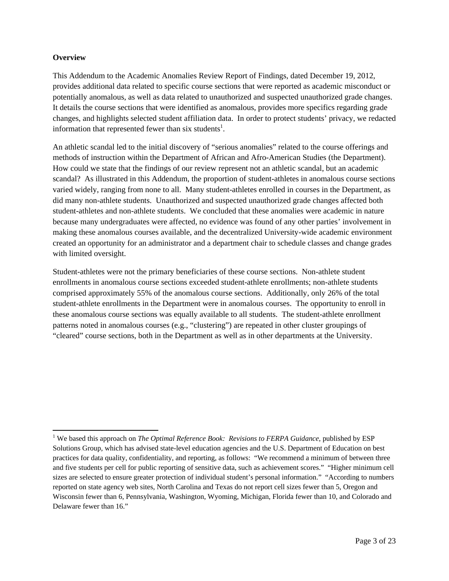#### **Overview**

This Addendum to the Academic Anomalies Review Report of Findings, dated December 19, 2012, provides additional data related to specific course sections that were reported as academic misconduct or potentially anomalous, as well as data related to unauthorized and suspected unauthorized grade changes. It details the course sections that were identified as anomalous, provides more specifics regarding grade changes, and highlights selected student affiliation data. In order to protect students' privacy, we redacted information that represented fewer than six students<sup>1</sup>.

An athletic scandal led to the initial discovery of "serious anomalies" related to the course offerings and methods of instruction within the Department of African and Afro-American Studies (the Department). How could we state that the findings of our review represent not an athletic scandal, but an academic scandal? As illustrated in this Addendum, the proportion of student-athletes in anomalous course sections varied widely, ranging from none to all. Many student-athletes enrolled in courses in the Department, as did many non-athlete students. Unauthorized and suspected unauthorized grade changes affected both student-athletes and non-athlete students. We concluded that these anomalies were academic in nature because many undergraduates were affected, no evidence was found of any other parties' involvement in making these anomalous courses available, and the decentralized University-wide academic environment created an opportunity for an administrator and a department chair to schedule classes and change grades with limited oversight.

Student-athletes were not the primary beneficiaries of these course sections. Non-athlete student enrollments in anomalous course sections exceeded student-athlete enrollments; non-athlete students comprised approximately 55% of the anomalous course sections. Additionally, only 26% of the total student-athlete enrollments in the Department were in anomalous courses. The opportunity to enroll in these anomalous course sections was equally available to all students. The student-athlete enrollment patterns noted in anomalous courses (e.g., "clustering") are repeated in other cluster groupings of "cleared" course sections, both in the Department as well as in other departments at the University.

<sup>&</sup>lt;sup>1</sup> We based this approach on *The Optimal Reference Book: Revisions to FERPA Guidance*, published by ESP Solutions Group, which has advised state-level education agencies and the U.S. Department of Education on best practices for data quality, confidentiality, and reporting, as follows: "We recommend a minimum of between three and five students per cell for public reporting of sensitive data, such as achievement scores." "Higher minimum cell sizes are selected to ensure greater protection of individual student's personal information." "According to numbers reported on state agency web sites, North Carolina and Texas do not report cell sizes fewer than 5, Oregon and Wisconsin fewer than 6, Pennsylvania, Washington, Wyoming, Michigan, Florida fewer than 10, and Colorado and Delaware fewer than 16."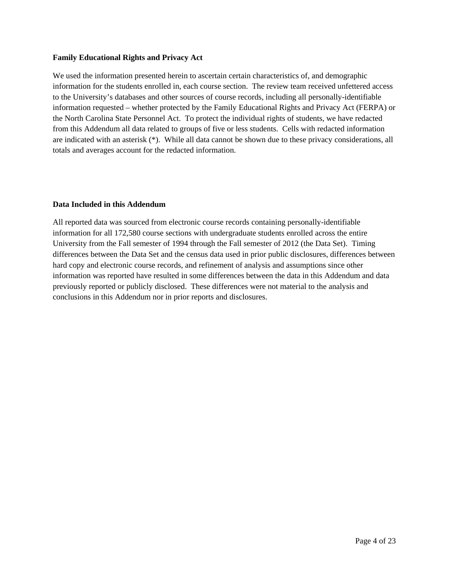#### **Family Educational Rights and Privacy Act**

We used the information presented herein to ascertain certain characteristics of, and demographic information for the students enrolled in, each course section. The review team received unfettered access to the University's databases and other sources of course records, including all personally-identifiable information requested – whether protected by the Family Educational Rights and Privacy Act (FERPA) or the North Carolina State Personnel Act. To protect the individual rights of students, we have redacted from this Addendum all data related to groups of five or less students. Cells with redacted information are indicated with an asterisk (\*). While all data cannot be shown due to these privacy considerations, all totals and averages account for the redacted information.

#### **Data Included in this Addendum**

All reported data was sourced from electronic course records containing personally-identifiable information for all 172,580 course sections with undergraduate students enrolled across the entire University from the Fall semester of 1994 through the Fall semester of 2012 (the Data Set). Timing differences between the Data Set and the census data used in prior public disclosures, differences between hard copy and electronic course records, and refinement of analysis and assumptions since other information was reported have resulted in some differences between the data in this Addendum and data previously reported or publicly disclosed. These differences were not material to the analysis and conclusions in this Addendum nor in prior reports and disclosures.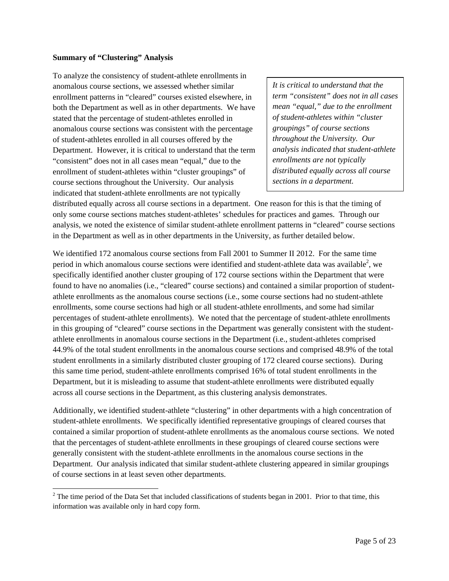#### **Summary of "Clustering" Analysis**

To analyze the consistency of student-athlete enrollments in anomalous course sections, we assessed whether similar enrollment patterns in "cleared" courses existed elsewhere, in both the Department as well as in other departments. We have stated that the percentage of student-athletes enrolled in anomalous course sections was consistent with the percentage of student-athletes enrolled in all courses offered by the Department. However, it is critical to understand that the term "consistent" does not in all cases mean "equal," due to the enrollment of student-athletes within "cluster groupings" of course sections throughout the University. Our analysis indicated that student-athlete enrollments are not typically

*It is critical to understand that the term "consistent" does not in all cases mean "equal," due to the enrollment of student-athletes within "cluster groupings" of course sections throughout the University. Our analysis indicated that student-athlete enrollments are not typically distributed equally across all course sections in a department.* 

distributed equally across all course sections in a department. One reason for this is that the timing of only some course sections matches student-athletes' schedules for practices and games. Through our analysis, we noted the existence of similar student-athlete enrollment patterns in "cleared" course sections in the Department as well as in other departments in the University, as further detailed below.

We identified 172 anomalous course sections from Fall 2001 to Summer II 2012. For the same time period in which anomalous course sections were identified and student-athlete data was available<sup>2</sup>, we specifically identified another cluster grouping of 172 course sections within the Department that were found to have no anomalies (i.e., "cleared" course sections) and contained a similar proportion of studentathlete enrollments as the anomalous course sections (i.e., some course sections had no student-athlete enrollments, some course sections had high or all student-athlete enrollments, and some had similar percentages of student-athlete enrollments). We noted that the percentage of student-athlete enrollments in this grouping of "cleared" course sections in the Department was generally consistent with the studentathlete enrollments in anomalous course sections in the Department (i.e., student-athletes comprised 44.9% of the total student enrollments in the anomalous course sections and comprised 48.9% of the total student enrollments in a similarly distributed cluster grouping of 172 cleared course sections). During this same time period, student-athlete enrollments comprised 16% of total student enrollments in the Department, but it is misleading to assume that student-athlete enrollments were distributed equally across all course sections in the Department, as this clustering analysis demonstrates.

Additionally, we identified student-athlete "clustering" in other departments with a high concentration of student-athlete enrollments. We specifically identified representative groupings of cleared courses that contained a similar proportion of student-athlete enrollments as the anomalous course sections. We noted that the percentages of student-athlete enrollments in these groupings of cleared course sections were generally consistent with the student-athlete enrollments in the anomalous course sections in the Department. Our analysis indicated that similar student-athlete clustering appeared in similar groupings of course sections in at least seven other departments.

<sup>&</sup>lt;sup>2</sup> The time period of the Data Set that included classifications of students began in 2001. Prior to that time, this information was available only in hard copy form.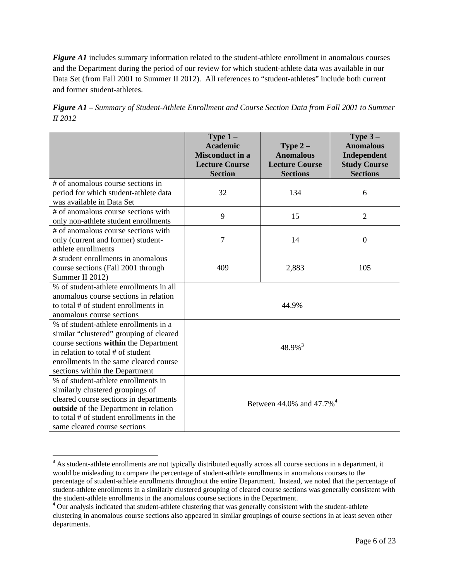*Figure A1* includes summary information related to the student-athlete enrollment in anomalous courses and the Department during the period of our review for which student-athlete data was available in our Data Set (from Fall 2001 to Summer II 2012). All references to "student-athletes" include both current and former student-athletes.

| <b>Figure A1</b> – Summary of Student-Athlete Enrollment and Course Section Data from Fall 2001 to Summer |  |  |
|-----------------------------------------------------------------------------------------------------------|--|--|
| <i>II</i> 2012                                                                                            |  |  |

|                                                                    | Type $1-$<br><b>Academic</b><br><b>Misconduct in a</b><br><b>Lecture Course</b><br><b>Section</b> | Type $2-$<br><b>Anomalous</b><br><b>Lecture Course</b><br><b>Sections</b> | Type $3-$<br><b>Anomalous</b><br>Independent<br><b>Study Course</b><br><b>Sections</b> |  |  |
|--------------------------------------------------------------------|---------------------------------------------------------------------------------------------------|---------------------------------------------------------------------------|----------------------------------------------------------------------------------------|--|--|
| # of anomalous course sections in                                  |                                                                                                   |                                                                           |                                                                                        |  |  |
| period for which student-athlete data<br>was available in Data Set | 32                                                                                                | 134                                                                       | 6                                                                                      |  |  |
| # of anomalous course sections with                                | 9                                                                                                 | 15                                                                        | $\overline{2}$                                                                         |  |  |
| only non-athlete student enrollments                               |                                                                                                   |                                                                           |                                                                                        |  |  |
| # of anomalous course sections with                                |                                                                                                   |                                                                           |                                                                                        |  |  |
| only (current and former) student-                                 | 7                                                                                                 | 14                                                                        | $\overline{0}$                                                                         |  |  |
| athlete enrollments                                                |                                                                                                   |                                                                           |                                                                                        |  |  |
| # student enrollments in anomalous                                 |                                                                                                   |                                                                           | 105                                                                                    |  |  |
| course sections (Fall 2001 through<br>Summer II 2012)              | 409                                                                                               | 2,883                                                                     |                                                                                        |  |  |
| % of student-athlete enrollments in all                            |                                                                                                   |                                                                           |                                                                                        |  |  |
| anomalous course sections in relation                              |                                                                                                   |                                                                           |                                                                                        |  |  |
| to total # of student enrollments in                               |                                                                                                   | 44.9%                                                                     |                                                                                        |  |  |
| anomalous course sections                                          |                                                                                                   |                                                                           |                                                                                        |  |  |
| % of student-athlete enrollments in a                              |                                                                                                   |                                                                           |                                                                                        |  |  |
| similar "clustered" grouping of cleared                            |                                                                                                   |                                                                           |                                                                                        |  |  |
| course sections within the Department                              |                                                                                                   | $48.9\%$ <sup>3</sup>                                                     |                                                                                        |  |  |
| in relation to total # of student                                  |                                                                                                   |                                                                           |                                                                                        |  |  |
| enrollments in the same cleared course                             |                                                                                                   |                                                                           |                                                                                        |  |  |
| sections within the Department                                     |                                                                                                   |                                                                           |                                                                                        |  |  |
| % of student-athlete enrollments in                                |                                                                                                   |                                                                           |                                                                                        |  |  |
| similarly clustered groupings of                                   | Between $44.0\%$ and $47.7\%$ <sup>4</sup>                                                        |                                                                           |                                                                                        |  |  |
| cleared course sections in departments                             |                                                                                                   |                                                                           |                                                                                        |  |  |
| outside of the Department in relation                              |                                                                                                   |                                                                           |                                                                                        |  |  |
| to total # of student enrollments in the                           |                                                                                                   |                                                                           |                                                                                        |  |  |
| same cleared course sections                                       |                                                                                                   |                                                                           |                                                                                        |  |  |

<sup>&</sup>lt;sup>3</sup> As student-athlete enrollments are not typically distributed equally across all course sections in a department, it would be misleading to compare the percentage of student-athlete enrollments in anomalous courses to the percentage of student-athlete enrollments throughout the entire Department. Instead, we noted that the percentage of student-athlete enrollments in a similarly clustered grouping of cleared course sections was generally consistent with the student-athlete enrollments in the anomalous course sections in the Department. <sup>4</sup> Our analysis indicated that student-athlete clustering that was generally consistent with the student-athlete

clustering in anomalous course sections also appeared in similar groupings of course sections in at least seven other departments.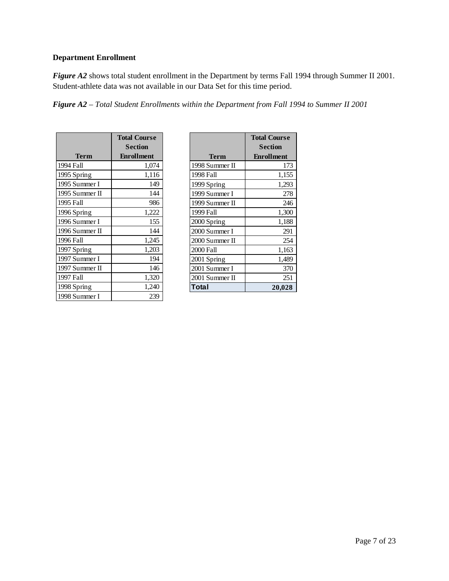# **Department Enrollment**

*Figure A2* shows total student enrollment in the Department by terms Fall 1994 through Summer II 2001. Student-athlete data was not available in our Data Set for this time period.

*Figure A2 – Total Student Enrollments within the Department from Fall 1994 to Summer II 2001* 

|                | <b>Total Course</b> |
|----------------|---------------------|
|                | Section             |
| Term           | <b>Enrollment</b>   |
| 1994 Fall      | 1,074               |
| 1995 Spring    | 1,116               |
| 1995 Summer I  | 149                 |
| 1995 Summer II | 144                 |
| 1995 Fall      | 986                 |
| 1996 Spring    | 1,222               |
| 1996 Summer I  | 155                 |
| 1996 Summer II | 144                 |
| 1996 Fall      | 1,245               |
| 1997 Spring    | 1,203               |
| 1997 Summer I  | 194                 |
| 1997 Summer II | 146                 |
| 1997 Fall      | 1,320               |
| 1998 Spring    | 1,240               |
| 1998 Summer I  | 239                 |

|                | <b>Total Course</b> |
|----------------|---------------------|
|                | <b>Section</b>      |
| <b>Term</b>    | <b>Enrollment</b>   |
| 1998 Summer II | 173                 |
| 1998 Fall      | 1,155               |
| 1999 Spring    | 1,293               |
| 1999 Summer I  | 278                 |
| 1999 Summer II | 246                 |
| 1999 Fall      | 1,300               |
| 2000 Spring    | 1,188               |
| 2000 Summer I  | 291                 |
| 2000 Summer II | 254                 |
| 2000 Fall      | 1,163               |
| 2001 Spring    | 1,489               |
| 2001 Summer I  | 370                 |
| 2001 Summer II | 251                 |
| Total          | 20,028              |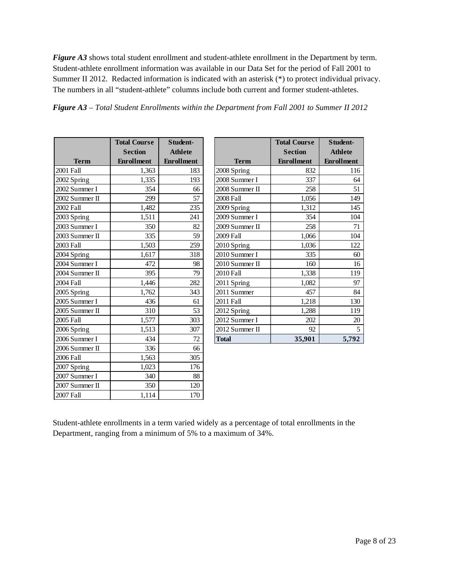*Figure A3* shows total student enrollment and student-athlete enrollment in the Department by term. Student-athlete enrollment information was available in our Data Set for the period of Fall 2001 to Summer II 2012. Redacted information is indicated with an asterisk (\*) to protect individual privacy. The numbers in all "student-athlete" columns include both current and former student-athletes.

|                | <b>Total Course</b><br><b>Section</b> | Student-<br><b>Athlete</b> |
|----------------|---------------------------------------|----------------------------|
| <b>Term</b>    | <b>Enrollment</b>                     | <b>Enrollment</b>          |
| 2001 Fall      | 1,363                                 | 183                        |
| 2002 Spring    | 1,335                                 | 193                        |
| 2002 Summer I  | 354                                   | 66                         |
| 2002 Summer II | 299                                   | 57                         |
| 2002 Fall      | 1,482                                 | 235                        |
| 2003 Spring    | 1,511                                 | 241                        |
| 2003 Summer I  | 350                                   | 82                         |
| 2003 Summer II | 335                                   | 59                         |
| 2003 Fall      | 1,503                                 | 259                        |
| 2004 Spring    | 1,617                                 | 318                        |
| 2004 Summer I  | 472                                   | 98                         |
| 2004 Summer II | 395                                   | 79                         |
| 2004 Fall      | 1,446                                 | 282                        |
| 2005 Spring    | 1,762                                 | 343                        |
| 2005 Summer I  | 436                                   | 61                         |
| 2005 Summer II | 310                                   | 53                         |
| 2005 Fall      | 1,577                                 | 303                        |
| 2006 Spring    | 1,513                                 | 307                        |
| 2006 Summer I  | 434                                   | 72                         |
| 2006 Summer II | 336                                   | 66                         |
| 2006 Fall      | 1,563                                 | 305                        |
| 2007 Spring    | 1,023                                 | 176                        |
| 2007 Summer I  | 340                                   | 88                         |
| 2007 Summer II | 350                                   | 120                        |
| 2007 Fall      | 1,114                                 | 170                        |

|                | <b>Total Course</b> | Student-          |  |  |
|----------------|---------------------|-------------------|--|--|
|                | <b>Section</b>      | <b>Athlete</b>    |  |  |
| <b>Term</b>    | <b>Enrollment</b>   | <b>Enrollment</b> |  |  |
| 2008 Spring    | 832                 | 116               |  |  |
| 2008 Summer I  | 337                 | 64                |  |  |
| 2008 Summer II | 258                 | 51                |  |  |
| 2008 Fall      | 1,056               | 149               |  |  |
| 2009 Spring    | 1,312               | 145               |  |  |
| 2009 Summer I  | 354                 | 104               |  |  |
| 2009 Summer II | 258                 | 71                |  |  |
| 2009 Fall      | 1,066               | 104               |  |  |
| 2010 Spring    | 1,036               | 122               |  |  |
| 2010 Summer I  | 335                 | 60                |  |  |
| 2010 Summer II | 160                 | 16                |  |  |
| 2010 Fall      | 1,338               | 119               |  |  |
| 2011 Spring    | 1,082               | 97                |  |  |
| 2011 Summer    | 457                 | 84                |  |  |
| 2011 Fall      | 1,218               | 130               |  |  |
| 2012 Spring    | 1,288               | 119               |  |  |
| 2012 Summer I  | 202                 | 20                |  |  |
| 2012 Summer II | 92                  | 5                 |  |  |
| <b>Total</b>   | 35,901              | 5,792             |  |  |

Student-athlete enrollments in a term varied widely as a percentage of total enrollments in the Department, ranging from a minimum of 5% to a maximum of 34%.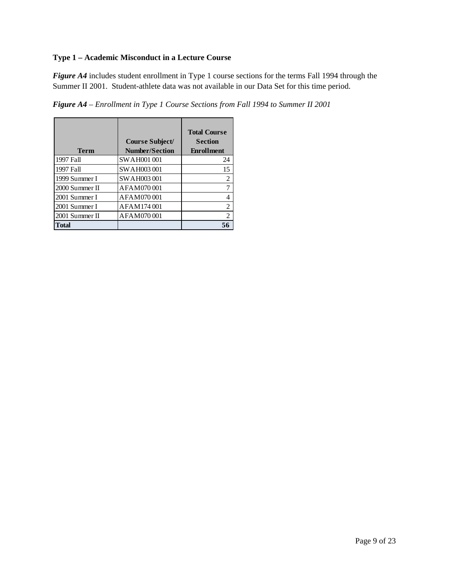# **Type 1 – Academic Misconduct in a Lecture Course**

*Figure A4* includes student enrollment in Type 1 course sections for the terms Fall 1994 through the Summer II 2001. Student-athlete data was not available in our Data Set for this time period.

*Figure A4 – Enrollment in Type 1 Course Sections from Fall 1994 to Summer II 2001* 

|                | Course Subject/       | <b>Total Course</b><br><b>Section</b> |
|----------------|-----------------------|---------------------------------------|
| Term           | <b>Number/Section</b> | <b>Enrollment</b>                     |
| 1997 Fall      | <b>SWAH001001</b>     | 24                                    |
| 1997 Fall      | SWAH003001            | 15                                    |
| 1999 Summer I  | <b>SWAH003001</b>     | 2                                     |
| 2000 Summer II | AFAM070001            |                                       |
| 2001 Summer I  | AFAM070001            |                                       |
| 2001 Summer I  | AFAM174001            | 2                                     |
| 2001 Summer II | AFAM070001            | 2                                     |
| Total          |                       |                                       |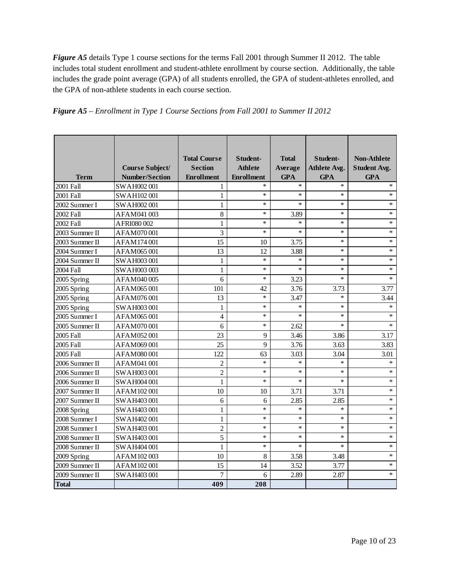*Figure A5* details Type 1 course sections for the terms Fall 2001 through Summer II 2012. The table includes total student enrollment and student-athlete enrollment by course section. Additionally, the table includes the grade point average (GPA) of all students enrolled, the GPA of student-athletes enrolled, and the GPA of non-athlete students in each course section.

|                |                       | <b>Total Course</b> | Student-          | <b>Total</b> | Student-            | <b>Non-Athlete</b>  |
|----------------|-----------------------|---------------------|-------------------|--------------|---------------------|---------------------|
|                | Course Subject/       | <b>Section</b>      | <b>Athlete</b>    | Average      | <b>Athlete Avg.</b> | <b>Student Avg.</b> |
| <b>Term</b>    | <b>Number/Section</b> | <b>Enrollment</b>   | <b>Enrollment</b> | <b>GPA</b>   | <b>GPA</b>          | <b>GPA</b>          |
| 2001 Fall      | SWAH002001            | 1                   | $\ast$            | $\ast$       | $\ast$              | $\star$             |
| 2001 Fall      | SWAH102001            | $\mathbf{1}$        | $\ast$            | $\ast$       | $\ast$              | $\ast$              |
| 2002 Summer I  | SWAH002001            | $\mathbf{1}$        | $\ast$            | $\ast$       | $\ast$              | $*$                 |
| 2002 Fall      | AFAM041003            | 8                   | $\ast$            | 3.89         | $\ast$              | $\ast$              |
| 2002 Fall      | AFRI080 002           | $\mathbf{1}$        | $\ast$            | $\ast$       | $\ast$              | $\ast$              |
| 2003 Summer II | AFAM070001            | 3                   | $\ast$            | $\ast$       | $\ast$              | $\ast$              |
| 2003 Summer II | AFAM174001            | 15                  | 10                | 3.75         | $\ast$              | $\ast$              |
| 2004 Summer I  | AFAM065001            | 13                  | 12                | 3.88         | $\ast$              | $\ast$              |
| 2004 Summer II | SWAH003001            | $\mathbf{1}$        | $\ast$            | $\ast$       | $\ast$              | $\ast$              |
| 2004 Fall      | SWAH003003            | 1                   | $\ast$            | $\ast$       | $\ast$              | $\ast$              |
| 2005 Spring    | AFAM040005            | 6                   | $\ast$            | 3.23         | $\ast$              | $\ast$              |
| 2005 Spring    | AFAM065001            | 101                 | 42                | 3.76         | 3.73                | 3.77                |
| 2005 Spring    | AFAM076001            | 13                  | $\ast$            | 3.47         | $\ast$              | 3.44                |
| 2005 Spring    | SWAH003001            | $\mathbf{1}$        | $\ast$            | $\ast$       | $\ast$              | $\ast$              |
| 2005 Summer I  | AFAM065001            | $\overline{4}$      | $\ast$            | $\ast$       | $\ast$              | $\ast$              |
| 2005 Summer II | AFAM070001            | 6                   | $\ast$            | 2.62         | $\ast$              | $\ast$              |
| 2005 Fall      | AFAM052001            | 23                  | 9                 | 3.46         | 3.86                | 3.17                |
| 2005 Fall      | AFAM069001            | 25                  | 9                 | 3.76         | 3.63                | 3.83                |
| 2005 Fall      | AFAM080001            | 122                 | 63                | 3.03         | 3.04                | 3.01                |
| 2006 Summer II | AFAM041001            | $\overline{c}$      | $\ast$            | $\ast$       | $\ast$              | $\ast$              |
| 2006 Summer II | SWAH003001            | $\overline{c}$      | $\ast$            | $\ast$       | $\ast$              | $\ast$              |
| 2006 Summer II | SWAH004001            | $\mathbf{1}$        | $\ast$            | $\ast$       | $\ast$              | $\ast$              |
| 2007 Summer II | AFAM102001            | 10                  | 10                | 3.71         | 3.71                | $\ast$              |
| 2007 Summer II | SWAH403001            | 6                   | 6                 | 2.85         | 2.85                | $\ast$              |
| 2008 Spring    | SWAH403001            | $\mathbf{1}$        | $\ast$            | $\ast$       | $\ast$              | $\ast$              |
| 2008 Summer I  | SWAH402001            | $\mathbf{1}$        | $\ast$            | $\ast$       | $\ast$              | $\ast$              |
| 2008 Summer I  | SWAH403001            | $\overline{c}$      | $\ast$            | $\ast$       | $\ast$              | $\ast$              |
| 2008 Summer II | SWAH403001            | 5                   | $\ast$            | $\ast$       | $\star$             | $\ast$              |
| 2008 Summer II | SWAH404001            | 1                   | $\ast$            | $\ast$       | $\ast$              | $\ast$              |
| 2009 Spring    | AFAM102003            | 10                  | 8                 | 3.58         | 3.48                | $\ast$              |
| 2009 Summer II | AFAM102001            | 15                  | 14                | 3.52         | 3.77                | $\ast$              |
| 2009 Summer II | SWAH403 001           | 7                   | 6                 | 2.89         | 2.87                | $\ast$              |
| <b>Total</b>   |                       | 409                 | 208               |              |                     |                     |

*Figure A5 – Enrollment in Type 1 Course Sections from Fall 2001 to Summer II 2012*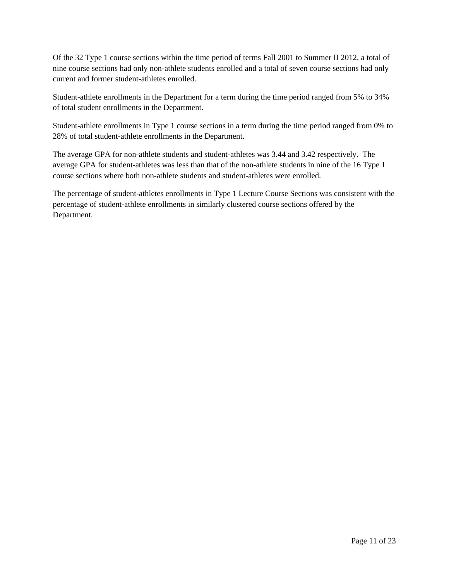Of the 32 Type 1 course sections within the time period of terms Fall 2001 to Summer II 2012, a total of nine course sections had only non-athlete students enrolled and a total of seven course sections had only current and former student-athletes enrolled.

Student-athlete enrollments in the Department for a term during the time period ranged from 5% to 34% of total student enrollments in the Department.

Student-athlete enrollments in Type 1 course sections in a term during the time period ranged from 0% to 28% of total student-athlete enrollments in the Department.

The average GPA for non-athlete students and student-athletes was 3.44 and 3.42 respectively. The average GPA for student-athletes was less than that of the non-athlete students in nine of the 16 Type 1 course sections where both non-athlete students and student-athletes were enrolled.

The percentage of student-athletes enrollments in Type 1 Lecture Course Sections was consistent with the percentage of student-athlete enrollments in similarly clustered course sections offered by the Department.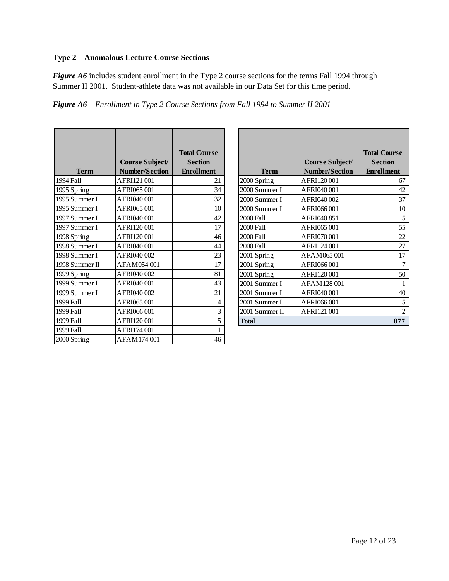# **Type 2 – Anomalous Lecture Course Sections**

*Figure A6* includes student enrollment in the Type 2 course sections for the terms Fall 1994 through Summer II 2001. Student-athlete data was not available in our Data Set for this time period.

*Figure A6 – Enrollment in Type 2 Course Sections from Fall 1994 to Summer II 2001* 

|                |                                                 | <b>Total Course</b><br><b>Section</b> |
|----------------|-------------------------------------------------|---------------------------------------|
| <b>Term</b>    | <b>Course Subject/</b><br><b>Number/Section</b> | <b>Enrollment</b>                     |
| 1994 Fall      | AFRI121 001                                     | 21                                    |
| 1995 Spring    | AFRI065001                                      | 34                                    |
| 1995 Summer I  | AFRI040 001                                     | 32                                    |
| 1995 Summer I  | AFRI065001                                      | 10                                    |
| 1997 Summer I  | AFRI040 001                                     | 42                                    |
| 1997 Summer I  | AFRI120001                                      | 17                                    |
| 1998 Spring    | AFRI120001                                      | 46                                    |
| 1998 Summer I  | AFRI040 001                                     | 44                                    |
| 1998 Summer I  | AFRI040 002                                     | 23                                    |
| 1998 Summer II | AFAM054001                                      | 17                                    |
| 1999 Spring    | AFRI040 002                                     | 81                                    |
| 1999 Summer I  | AFRI040 001                                     | 43                                    |
| 1999 Summer I  | AFRI040 002                                     | 21                                    |
| 1999 Fall      | AFRI065001                                      | 4                                     |
| 1999 Fall      | AFRI066001                                      | 3                                     |
| 1999 Fall      | AFRI120001                                      | 5                                     |
| 1999 Fall      | AFRI174001                                      | 1                                     |
| 2000 Spring    | AFAM174001                                      | 46                                    |

|                |                       | <b>Total Course</b> |
|----------------|-----------------------|---------------------|
|                | Course Subject/       | <b>Section</b>      |
| Term           | <b>Number/Section</b> | <b>Enrollment</b>   |
| 2000 Spring    | AFRI120001            | 67                  |
| 2000 Summer I  | AFRI040 001           | 42                  |
| 2000 Summer I  | AFRI040 002           | 37                  |
| 2000 Summer I  | AFRI066 001           | 10                  |
| 2000 Fall      | AFRI040 851           | 5                   |
| 2000 Fall      | AFRI065 001           | 55                  |
| 2000 Fall      | AFRI070 001           | 22                  |
| 2000 Fall      | AFRI124 001           | 27                  |
| 2001 Spring    | AFAM065001            | 17                  |
| 2001 Spring    | AFRI066001            | 7                   |
| 2001 Spring    | AFRI120001            | 50                  |
| 2001 Summer I  | AFAM128001            | 1                   |
| 2001 Summer I  | AFRI040 001           | 40                  |
| 2001 Summer I  | AFRI066001            | 5                   |
| 2001 Summer II | AFRI121 001           | 2                   |
| <b>Total</b>   |                       | 877                 |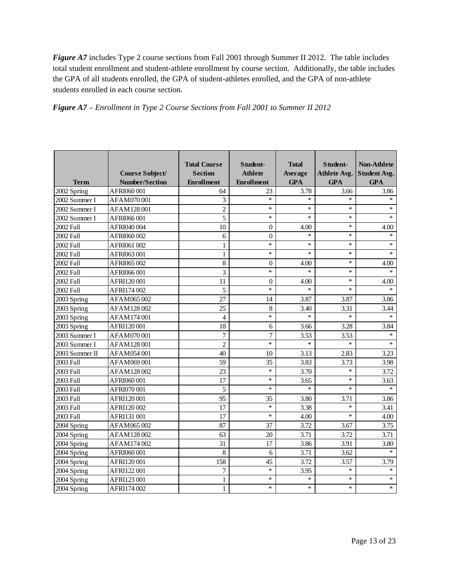*Figure A7* includes Type 2 course sections from Fall 2001 through Summer II 2012. The table includes total student enrollment and student-athlete enrollment by course section. Additionally, the table includes the GPA of all students enrolled, the GPA of student-athletes enrolled, and the GPA of non-athlete students enrolled in each course section.

|  |  |  | Figure A7 – Enrollment in Type 2 Course Sections from Fall 2001 to Summer II 2012 |
|--|--|--|-----------------------------------------------------------------------------------|
|  |  |  |                                                                                   |

| <b>Term</b>    | Course Subject/<br><b>Number/Section</b> | <b>Total Course</b><br><b>Section</b><br><b>Enrollment</b> | Student-<br><b>Athlete</b><br><b>Enrollment</b> | <b>Total</b><br>Average<br><b>GPA</b> | Student-<br><b>Athlete Avg.</b><br><b>GPA</b> | <b>Non-Athlete</b><br><b>Student Avg.</b><br><b>GPA</b> |
|----------------|------------------------------------------|------------------------------------------------------------|-------------------------------------------------|---------------------------------------|-----------------------------------------------|---------------------------------------------------------|
| 2002 Spring    | AFRI060001                               | 64                                                         | 23                                              | 3.78                                  | 3.66                                          | 3.86                                                    |
| 2002 Summer I  | AFAM070001                               | 3                                                          | $\ast$                                          | $\ast$                                | $\star$                                       | $\ast$                                                  |
| 2002 Summer I  | AFAM128001                               | $\overline{2}$                                             | $\ast$                                          | *.                                    | $\ast$                                        | $\ast$                                                  |
| 2002 Summer I  | AFRI066001                               | 5                                                          | $\ast$                                          | $\ast$                                | $\ast$                                        | $\ast$                                                  |
| 2002 Fall      | AFRI040 004                              | 10                                                         | $\boldsymbol{0}$                                | 4.00                                  | $\ast$                                        | 4.00                                                    |
| 2002 Fall      | AFRI060002                               | 6                                                          | $\theta$                                        | $\ast$                                | $\ast$                                        | $\ast$                                                  |
| 2002 Fall      | AFRI061002                               | 1                                                          | $\ast$                                          | $\ast$                                | $\ast$                                        | $\ast$                                                  |
| 2002 Fall      | AFRI063001                               | 1                                                          | $\ast$                                          | $\ast$                                | $\ast$                                        | $\ast$                                                  |
| 2002 Fall      | AFRI065002                               | 8                                                          | $\boldsymbol{0}$                                | 4.00                                  | $\ast$                                        | 4.00                                                    |
| 2002 Fall      | AFRI066001                               | 3                                                          | $\ast$                                          | $\ast$                                | $\ast$                                        | $\star$                                                 |
| 2002 Fall      | AFRI120001                               | 11                                                         | $\boldsymbol{0}$                                | 4.00                                  | $\ast$                                        | 4.00                                                    |
| 2002 Fall      | AFRI174002                               | 5                                                          | $\ast$                                          | $\star$                               | $\ast$                                        | $\star$                                                 |
| 2003 Spring    | AFAM065002                               | 27                                                         | 14                                              | 3.87                                  | 3.87                                          | 3.86                                                    |
| 2003 Spring    | AFAM128002                               | 25                                                         | 8                                               | 3.40                                  | 3.31                                          | 3.44                                                    |
| 2003 Spring    | AFAM174001                               | $\overline{4}$                                             | $\ast$                                          | $\ast$                                | $\ast$                                        | $\ast$                                                  |
| 2003 Spring    | AFRI120001                               | 18                                                         | 6                                               | 3.66                                  | 3.28                                          | 3.84                                                    |
| 2003 Summer I  | AFAM070001                               | 7                                                          | $\tau$                                          | 3.53                                  | 3.53                                          | $\ast$                                                  |
| 2003 Summer I  | AFAM128001                               | $\overline{2}$                                             | $\ast$                                          | $\ast$                                | $\ast$                                        | $\ast$                                                  |
| 2003 Summer II | AFAM054001                               | 40                                                         | 10                                              | 3.13                                  | 2.83                                          | 3.23                                                    |
| 2003 Fall      | AFAM069001                               | 59                                                         | 35                                              | 3.83                                  | 3.73                                          | 3.98                                                    |
| 2003 Fall      | AFAM128002                               | 23                                                         | $\ast$                                          | 3.70                                  | $\ast$                                        | 3.72                                                    |
| 2003 Fall      | AFRI060001                               | 17                                                         | $\ast$                                          | 3.65                                  | $\ast$                                        | 3.63                                                    |
| 2003 Fall      | AFRI070001                               | 5                                                          | $\ast$                                          | *                                     | $\ast$                                        | $\ast$                                                  |
| 2003 Fall      | AFRI120001                               | 95                                                         | 35                                              | 3.80                                  | 3.71                                          | 3.86                                                    |
| 2003 Fall      | AFRI120002                               | 17                                                         | $\ast$                                          | 3.38                                  | $\ast$                                        | 3.41                                                    |
| 2003 Fall      | AFRI131 001                              | 17                                                         | $\ast$                                          | 4.00                                  | $\ast$                                        | 4.00                                                    |
| 2004 Spring    | AFAM065002                               | 87                                                         | 37                                              | 3.72                                  | 3.67                                          | 3.75                                                    |
| 2004 Spring    | AFAM128002                               | 63                                                         | 20                                              | 3.71                                  | 3.72                                          | 3.71                                                    |
| 2004 Spring    | AFAM174002                               | 31                                                         | 17                                              | 3.86                                  | 3.91                                          | 3.80                                                    |
| 2004 Spring    | AFRI060001                               | 8                                                          | 6                                               | 3.71                                  | 3.62                                          | $\ast$                                                  |
| 2004 Spring    | AFRI120001                               | 158                                                        | 45                                              | 3.72                                  | 3.57                                          | 3.79                                                    |
| 2004 Spring    | AFRI122001                               | $\overline{7}$                                             | $\ast$                                          | 3.95                                  | $\ast$                                        | $\ast$                                                  |
| 2004 Spring    | AFRI123001                               | $\mathbf{1}$                                               | $\ast$                                          | *                                     | $\ast$                                        | $\ast$                                                  |
| 2004 Spring    | AFRI174 002                              | 1                                                          | $\ast$                                          | $\ast$                                | $\ast$                                        | $\ast$                                                  |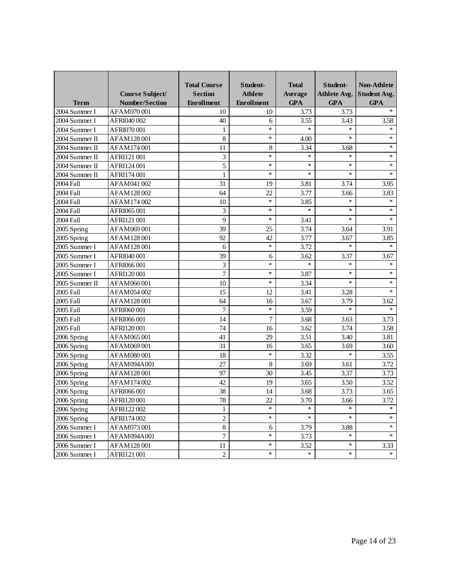| <b>Term</b>    | Course Subject/<br><b>Number/Section</b> | <b>Total Course</b><br><b>Section</b><br><b>Enrollment</b> | Student-<br><b>Athlete</b><br><b>Enrollment</b> | <b>Total</b><br>Average<br><b>GPA</b> | Student-<br>Athlete Avg.<br><b>GPA</b> | <b>Non-Athlete</b><br><b>Student Avg.</b><br><b>GPA</b> |
|----------------|------------------------------------------|------------------------------------------------------------|-------------------------------------------------|---------------------------------------|----------------------------------------|---------------------------------------------------------|
| 2004 Summer I  | AFAM070001                               | 10                                                         | 10                                              | 3.73                                  | 3.73                                   | $\ast$                                                  |
| 2004 Summer I  | AFRI040 002                              | 40                                                         | 6                                               | 3.55                                  | 3.43                                   | 3.58                                                    |
| 2004 Summer I  | AFRI070001                               | 1                                                          | $\ast$                                          | $\star$                               | $\ast$                                 | $\ast$                                                  |
| 2004 Summer II | AFAM128001                               | 8                                                          | $\ast$                                          | 4.00                                  | $\ast$                                 | $\ast$                                                  |
| 2004 Summer II | AFAM174001                               | 11                                                         | 8                                               | 3.34                                  | 3.68                                   | $\ast$                                                  |
| 2004 Summer II | AFRI121 001                              | 3                                                          | *                                               | $\ast$                                | *                                      | $\ast$                                                  |
| 2004 Summer II | AFRI124 001                              | 5                                                          | $\ast$                                          | $\ast$                                | $\ast$                                 | $\ast$                                                  |
| 2004 Summer II | AFRI174 001                              | 1                                                          | $\ast$                                          | $\ast$                                | $\ast$                                 | $\ast$                                                  |
| 2004 Fall      | AFAM041002                               | 31                                                         | 19                                              | 3.81                                  | 3.74                                   | 3.95                                                    |
| 2004 Fall      | AFAM128002                               | 64                                                         | 22                                              | 3.77                                  | 3.66                                   | 3.83                                                    |
| 2004 Fall      | AFAM174002                               | 10                                                         | $\ast$                                          | 3.85                                  | $\ast$                                 | $\ast$                                                  |
| 2004 Fall      | AFRI065001                               | 3                                                          | $\ast$                                          | $\ast$                                | $\ast$                                 | $\ast$                                                  |
| 2004 Fall      | AFRI121 001                              | 9                                                          | $\ast$                                          | 3.41                                  | $\ast$                                 | $\ast$                                                  |
| 2005 Spring    | AFAM069001                               | 39                                                         | 25                                              | 3.74                                  | 3.64                                   | 3.91                                                    |
| 2005 Spring    | AFAM128001                               | 92                                                         | 42                                              | 3.77                                  | 3.67                                   | 3.85                                                    |
| 2005 Summer I  | AFAM128001                               | 6                                                          | $\star$                                         | 3.72                                  | $\ast$                                 | $\ast$                                                  |
| 2005 Summer I  | AFRI040 001                              | 39                                                         | 6                                               | 3.62                                  | 3.37                                   | 3.67                                                    |
| 2005 Summer I  | AFRI066001                               | 3                                                          | $\ast$                                          | $\ast$                                | $\ast$                                 | $\ast$                                                  |
| 2005 Summer I  | AFRI120001                               | 7                                                          | $\ast$                                          | 3.87                                  | $\ast$                                 | $\ast$                                                  |
| 2005 Summer II | AFAM066001                               | 10                                                         | $\ast$                                          | 3.34                                  | $\ast$                                 | $\ast$                                                  |
| 2005 Fall      | AFAM054002                               | 15                                                         | 12                                              | 3.41                                  | 3.28                                   | $\ast$                                                  |
| 2005 Fall      | AFAM128001                               | 64                                                         | 16                                              | 3.67                                  | 3.79                                   | 3.62                                                    |
| 2005 Fall      | AFRI060001                               | $\overline{7}$                                             | $\star$                                         | 3.59                                  | $\ast$                                 | $\ast$                                                  |
| 2005 Fall      | AFRI066001                               | 14                                                         | $\overline{7}$                                  | 3.68                                  | 3.63                                   | 3.73                                                    |
| 2005 Fall      | AFRI120001                               | 74                                                         | 16                                              | 3.62                                  | 3.74                                   | 3.58                                                    |
| 2006 Spring    | AFAM065001                               | 41                                                         | 29                                              | 3.51                                  | 3.40                                   | 3.81                                                    |
| 2006 Spring    | AFAM069001                               | 31                                                         | 16                                              | 3.65                                  | 3.69                                   | 3.60                                                    |
| 2006 Spring    | AFAM080001                               | 18                                                         | $\ast$                                          | 3.32                                  | $\ast$                                 | 3.55                                                    |
| 2006 Spring    | AFAM094A001                              | 27                                                         | 8                                               | 3.69                                  | 3.61                                   | 3.72                                                    |
| 2006 Spring    | AFAM128001                               | 97                                                         | 30                                              | 3.45                                  | 3.37                                   | 3.73                                                    |
| 2006 Spring    | AFAM174002                               | 42                                                         | 19                                              | 3.65                                  | 3.50                                   | 3.52                                                    |
| 2006 Spring    | AFRI066001                               | 38                                                         | 14                                              | 3.68                                  | 3.73                                   | 3.65                                                    |
| 2006 Spring    | AFRI120001                               | 78                                                         | 22                                              | 3.70                                  | 3.66                                   | 3.72                                                    |
| 2006 Spring    | AFRI122 002                              | 1                                                          | $\ast$                                          | $\ast$                                | $\ast$                                 | $\ast$                                                  |
| 2006 Spring    | AFRI174 002                              | $\sqrt{2}$                                                 | $\ast$                                          | $\ast$                                | $\ast$                                 | $\ast$                                                  |
| 2006 Summer I  | AFAM073001                               | $\,8\,$                                                    | 6                                               | 3.79                                  | 3.88                                   | $*$                                                     |
| 2006 Summer I  | AFAM094A001                              | $\boldsymbol{7}$                                           | $\ast$                                          | 3.73                                  | $\ast$                                 | $*$                                                     |
| 2006 Summer I  | AFAM128001                               | 11                                                         | $\ast$                                          | 3.52                                  | $\ast$                                 | 3.33                                                    |
| 2006 Summer I  | AFRI121 001                              | $\overline{c}$                                             | $\ast$                                          | $\ast$                                | $\ast$                                 | $\ast$                                                  |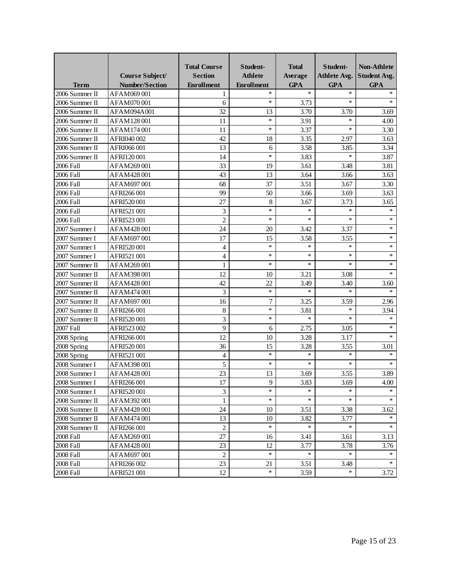|                | <b>Course Subject/</b> | <b>Total Course</b><br><b>Section</b> | Student-<br><b>Athlete</b> | <b>Total</b><br>Average | Student-<br><b>Athlete Avg.</b> | <b>Non-Athlete</b><br><b>Student Avg.</b> |
|----------------|------------------------|---------------------------------------|----------------------------|-------------------------|---------------------------------|-------------------------------------------|
| <b>Term</b>    | <b>Number/Section</b>  | <b>Enrollment</b>                     | <b>Enrollment</b>          | <b>GPA</b>              | <b>GPA</b>                      | <b>GPA</b>                                |
| 2006 Summer II | AFAM069001             |                                       | $\ast$                     | $\ast$                  | $\ast$                          | $\ast$                                    |
| 2006 Summer II | AFAM070001             | 6                                     | $\ast$                     | 3.73                    | $\ast$                          | $\ast$                                    |
| 2006 Summer II | AFAM094A001            | 32                                    | 13                         | 3.70                    | 3.70                            | 3.69                                      |
| 2006 Summer II | AFAM128001             | 11                                    | $\ast$                     | 3.91                    | $\ast$                          | 4.00                                      |
| 2006 Summer II | AFAM174001             | 11                                    | $\ast$                     | 3.37                    | $\ast$                          | 3.30                                      |
| 2006 Summer II | AFRI040 002            | 42                                    | 18                         | 3.35                    | 2.97                            | 3.63                                      |
| 2006 Summer II | AFRI066001             | 13                                    | 6                          | 3.58                    | 3.85                            | 3.34                                      |
| 2006 Summer II | AFRI120001             | 14                                    | $\star$                    | 3.83                    | $\ast$                          | 3.87                                      |
| 2006 Fall      | AFAM269001             | 33                                    | 19                         | 3.61                    | 3.48                            | 3.81                                      |
| 2006 Fall      | AFAM428001             | 43                                    | 13                         | 3.64                    | 3.66                            | 3.63                                      |
| 2006 Fall      | AFAM697001             | 68                                    | 37                         | 3.51                    | 3.67                            | 3.30                                      |
| 2006 Fall      | AFRI266001             | 99                                    | 50                         | 3.66                    | 3.69                            | 3.63                                      |
| 2006 Fall      | AFRI520001             | 27                                    | 8                          | 3.67                    | 3.73                            | 3.65                                      |
| 2006 Fall      | AFRI521 001            | 3                                     | $\ast$                     | $\ast$                  | $\ast$                          | $\ast$                                    |
| 2006 Fall      | AFRI523001             | $\overline{2}$                        | $\ast$                     | $\ast$                  | $\ast$                          | $\ast$                                    |
| 2007 Summer I  | AFAM428001             | 24                                    | 20                         | 3.42                    | 3.37                            | $\ast$                                    |
| 2007 Summer I  | AFAM697001             | 17                                    | 15                         | 3.58                    | 3.55                            | $\ast$                                    |
| 2007 Summer I  | AFRI520001             | 4                                     | $\star$                    | $\ast$                  | $\ast$                          | $\ast$                                    |
| 2007 Summer I  | AFRI521 001            | 4                                     | $\ast$                     | $\ast$                  | $\ast$                          | $\ast$                                    |
| 2007 Summer II | AFAM269001             | 1                                     | $\ast$                     | $\ast$                  | $\ast$                          | $\ast$                                    |
| 2007 Summer II | AFAM398001             | 12                                    | 10                         | 3.21                    | 3.08                            | $\ast$                                    |
| 2007 Summer II | AFAM428001             | 42                                    | 22                         | 3.49                    | 3.40                            | 3.60                                      |
| 2007 Summer II | AFAM474001             | 3                                     | $\star$                    | $\ast$                  | $\ast$                          | $\ast$                                    |
| 2007 Summer II | AFAM697001             | 16                                    | 7                          | 3.25                    | 3.59                            | 2.96                                      |
| 2007 Summer II | AFRI266001             | 8                                     | $\ast$                     | 3.81                    | $\ast$                          | 3.94                                      |
| 2007 Summer II | AFRI520001             | 3                                     | $\ast$                     | $\ast$                  | $\ast$                          | $\ast$                                    |
| 2007 Fall      | AFRI523002             | 9                                     | 6                          | 2.75                    | 3.05                            | $\ast$                                    |
| 2008 Spring    | AFRI266001             | 12                                    | 10                         | 3.28                    | 3.17                            | $\ast$                                    |
| 2008 Spring    | AFRI520001             | 36                                    | 15                         | 3.28                    | 3.55                            | 3.01                                      |
| 2008 Spring    | AFRI521 001            | 4                                     | $\ast$                     | *                       | $\ast$                          | $\ast$                                    |
| 2008 Summer I  | AFAM398001             | 5                                     | $\ast$                     | $\ast$                  | $\ast$                          | $\ast$                                    |
| 2008 Summer I  | AFAM428001             | 23                                    | 13                         | 3.69                    | 3.55                            | 3.89                                      |
| 2008 Summer I  | AFRI266 001            | $\overline{17}$                       | 9                          | 3.83                    | 3.69                            | 4.00                                      |
| 2008 Summer I  | AFRI520001             | 3                                     | *                          | $\ast$                  |                                 | $\ast$                                    |
| 2008 Summer II | AFAM392001             | 1                                     | $\ast$                     | $\ast$                  | $\ast$                          | $\ast$                                    |
| 2008 Summer II | AFAM428001             | 24                                    | 10                         | 3.51                    | 3.38                            | 3.62                                      |
| 2008 Summer II | AFAM474001             | 13                                    | 10                         | 3.82                    | 3.77                            | $\ast$                                    |
| 2008 Summer II | AFRI266 001            | $\overline{2}$                        | $\ast$                     | $\ast$                  | $\ast$                          | $\ast$                                    |
| 2008 Fall      | AFAM269001             | 27                                    | 16                         | 3.41                    | 3.61                            | 3.13                                      |
| 2008 Fall      | AFAM428001             | 23                                    | 12                         | 3.77                    | 3.78                            | 3.76                                      |
| 2008 Fall      | AFAM697001             | $\overline{c}$                        | $\ast$                     | $\ast$                  | $\ast$                          | $\ast$                                    |
| 2008 Fall      | AFRI266002             | 23                                    | 21                         | 3.51                    | 3.48                            | $\approx$                                 |
| 2008 Fall      | AFRI521 001            | 12                                    | $\ast$                     | 3.59                    | $\ast$                          | 3.72                                      |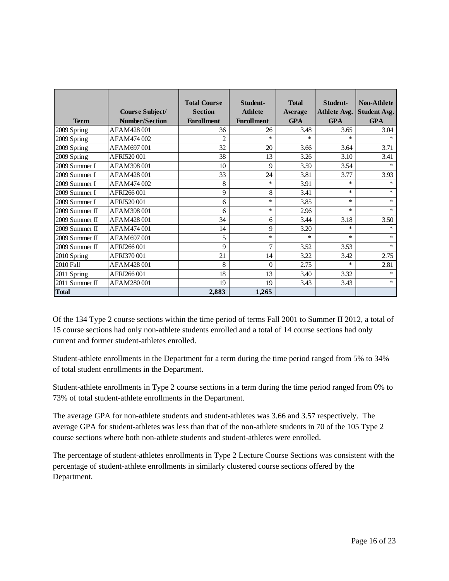| <b>Term</b>    | Course Subject/<br><b>Number/Section</b> | <b>Total Course</b><br><b>Section</b><br><b>Enrollment</b> | Student-<br><b>Athlete</b><br><b>Enrollment</b> | <b>Total</b><br><b>Average</b><br><b>GPA</b> | Student-<br>Athlete Avg.<br><b>GPA</b> | <b>Non-Athlete</b><br><b>Student Avg.</b><br><b>GPA</b> |
|----------------|------------------------------------------|------------------------------------------------------------|-------------------------------------------------|----------------------------------------------|----------------------------------------|---------------------------------------------------------|
| 2009 Spring    | AFAM428001                               | 36                                                         | 26                                              | 3.48                                         | 3.65                                   | 3.04                                                    |
| 2009 Spring    | AFAM474002                               | $\overline{2}$                                             | $\star$                                         | $\star$                                      | $\ast$                                 | $\ast$                                                  |
| 2009 Spring    | AFAM697001                               | 32                                                         | 20                                              | 3.66                                         | 3.64                                   | 3.71                                                    |
| 2009 Spring    | AFRI520001                               | 38                                                         | 13                                              | 3.26                                         | 3.10                                   | 3.41                                                    |
| 2009 Summer I  | AFAM398001                               | 10                                                         | 9                                               | 3.59                                         | 3.54                                   | $\ast$                                                  |
| 2009 Summer I  | AFAM428001                               | 33                                                         | 24                                              | 3.81                                         | 3.77                                   | 3.93                                                    |
| 2009 Summer I  | AFAM474002                               | 8                                                          | $\ast$                                          | 3.91                                         | $\ast$                                 | $\ast$                                                  |
| 2009 Summer I  | AFRI266001                               | 9                                                          | 8                                               | 3.41                                         | $\ast$                                 | $\ast$                                                  |
| 2009 Summer I  | AFRI520001                               | 6                                                          | $\ast$                                          | 3.85                                         | $\ast$                                 | *                                                       |
| 2009 Summer II | AFAM398001                               | 6                                                          | $\ast$                                          | 2.96                                         | $\ast$                                 | $\ast$                                                  |
| 2009 Summer II | AFAM428001                               | 34                                                         | 6                                               | 3.44                                         | 3.18                                   | 3.50                                                    |
| 2009 Summer II | AFAM474001                               | 14                                                         | 9                                               | 3.20                                         | $\ast$                                 | $\ast$                                                  |
| 2009 Summer II | AFAM697001                               | 5                                                          | $\ast$                                          | $\star$                                      | $\ast$                                 | $\ast$                                                  |
| 2009 Summer II | AFRI266001                               | 9                                                          | $\overline{7}$                                  | 3.52                                         | 3.53                                   | $\ast$                                                  |
| 2010 Spring    | AFRI370001                               | 21                                                         | 14                                              | 3.22                                         | 3.42                                   | 2.75                                                    |
| 2010 Fall      | AFAM428001                               | 8                                                          | $\theta$                                        | 2.75                                         | $\ast$                                 | 2.81                                                    |
| 2011 Spring    | AFRI266001                               | 18                                                         | 13                                              | 3.40                                         | 3.32                                   | $\ast$                                                  |
| 2011 Summer II | AFAM280001                               | 19                                                         | 19                                              | 3.43                                         | 3.43                                   | *                                                       |
| <b>Total</b>   |                                          | 2,883                                                      | 1,265                                           |                                              |                                        |                                                         |

Of the 134 Type 2 course sections within the time period of terms Fall 2001 to Summer II 2012, a total of 15 course sections had only non-athlete students enrolled and a total of 14 course sections had only current and former student-athletes enrolled.

Student-athlete enrollments in the Department for a term during the time period ranged from 5% to 34% of total student enrollments in the Department.

Student-athlete enrollments in Type 2 course sections in a term during the time period ranged from 0% to 73% of total student-athlete enrollments in the Department.

The average GPA for non-athlete students and student-athletes was 3.66 and 3.57 respectively. The average GPA for student-athletes was less than that of the non-athlete students in 70 of the 105 Type 2 course sections where both non-athlete students and student-athletes were enrolled.

The percentage of student-athletes enrollments in Type 2 Lecture Course Sections was consistent with the percentage of student-athlete enrollments in similarly clustered course sections offered by the Department.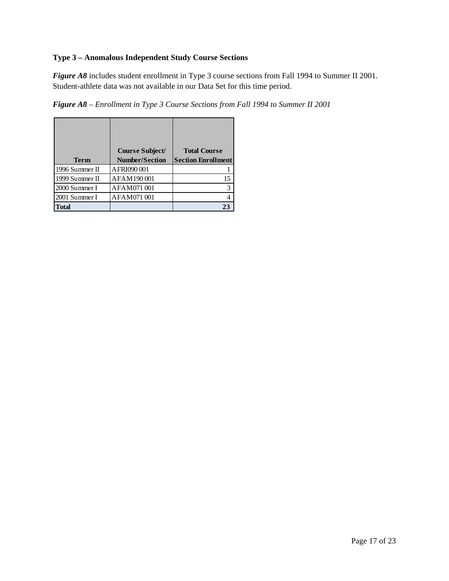# **Type 3 – Anomalous Independent Study Course Sections**

*Figure A8* includes student enrollment in Type 3 course sections from Fall 1994 to Summer II 2001. Student-athlete data was not available in our Data Set for this time period.

*Figure A8 – Enrollment in Type 3 Course Sections from Fall 1994 to Summer II 2001* 

|                | Course Subject/       | <b>Total Course</b>       |
|----------------|-----------------------|---------------------------|
| <b>Term</b>    | <b>Number/Section</b> | <b>Section Enrollment</b> |
| 1996 Summer II | AFRI090001            |                           |
| 1999 Summer II | AFAM190001            | 15                        |
| 2000 Summer I  | AFAM071001            | 3                         |
| 2001 Summer I  | AFAM071001            |                           |
| Total          |                       | 23                        |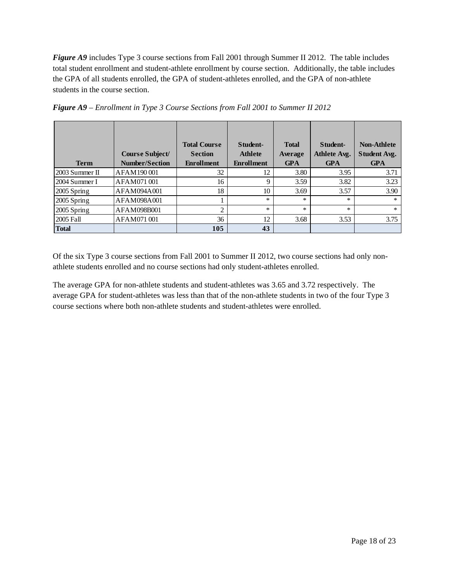*Figure A9* includes Type 3 course sections from Fall 2001 through Summer II 2012. The table includes total student enrollment and student-athlete enrollment by course section. Additionally, the table includes the GPA of all students enrolled, the GPA of student-athletes enrolled, and the GPA of non-athlete students in the course section.

|                  | Course Subject/       | <b>Total Course</b><br><b>Section</b> | Student-<br><b>Athlete</b> | <b>Total</b><br>Average | Student-<br><b>Athlete Avg.</b> | <b>Non-Athlete</b><br><b>Student Avg.</b> |
|------------------|-----------------------|---------------------------------------|----------------------------|-------------------------|---------------------------------|-------------------------------------------|
| <b>Term</b>      | <b>Number/Section</b> | <b>Enrollment</b>                     | <b>Enrollment</b>          | <b>GPA</b>              | <b>GPA</b>                      | <b>GPA</b>                                |
| $2003$ Summer II | AFAM190001            | 32                                    | 12                         | 3.80                    | 3.95                            | 3.71                                      |
| 2004 Summer I    | AFAM071001            | 16                                    | $\mathbf Q$                | 3.59                    | 3.82                            | 3.23                                      |
| 2005 Spring      | AFAM094A001           | 18                                    | 10                         | 3.69                    | 3.57                            | 3.90                                      |
| 2005 Spring      | AFAM098A001           |                                       | $\ast$                     | $\ast$                  | *                               | $\ast$                                    |
| 2005 Spring      | AFAM098B001           | $\overline{2}$                        | $\ast$                     | $\ast$                  | $\ast$                          | $\ast$                                    |
| 2005 Fall        | AFAM071001            | 36                                    | 12                         | 3.68                    | 3.53                            | 3.75                                      |
| <b>Total</b>     |                       | 105                                   | 43                         |                         |                                 |                                           |

*Figure A9 – Enrollment in Type 3 Course Sections from Fall 2001 to Summer II 2012*

Of the six Type 3 course sections from Fall 2001 to Summer II 2012, two course sections had only nonathlete students enrolled and no course sections had only student-athletes enrolled.

The average GPA for non-athlete students and student-athletes was 3.65 and 3.72 respectively. The average GPA for student-athletes was less than that of the non-athlete students in two of the four Type 3 course sections where both non-athlete students and student-athletes were enrolled.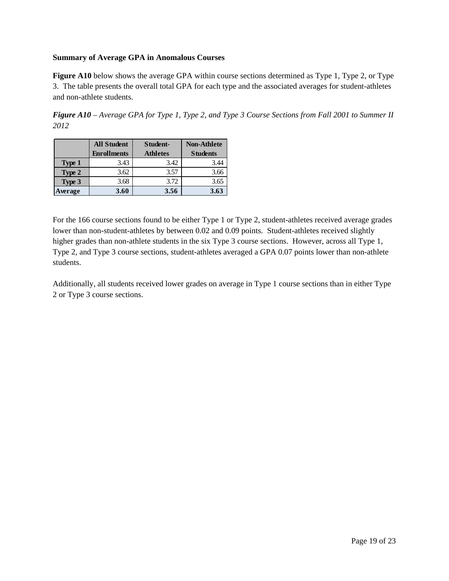#### **Summary of Average GPA in Anomalous Courses**

**Figure A10** below shows the average GPA within course sections determined as Type 1, Type 2, or Type 3. The table presents the overall total GPA for each type and the associated averages for student-athletes and non-athlete students.

*Figure A10 – Average GPA for Type 1, Type 2, and Type 3 Course Sections from Fall 2001 to Summer II 2012* 

|               | <b>All Student</b> | Student-        | <b>Non-Athlete</b> |
|---------------|--------------------|-----------------|--------------------|
|               | <b>Enrollments</b> | <b>Athletes</b> | <b>Students</b>    |
| <b>Type 1</b> | 3.43               | 3.42            | 3.44               |
| Type 2        | 3.62               | 3.57            | 3.66               |
| Type 3        | 3.68               | 3.72            | 3.65               |
| Average       | 3.60               | 3.56            | 3.63               |

For the 166 course sections found to be either Type 1 or Type 2, student-athletes received average grades lower than non-student-athletes by between 0.02 and 0.09 points. Student-athletes received slightly higher grades than non-athlete students in the six Type 3 course sections. However, across all Type 1, Type 2, and Type 3 course sections, student-athletes averaged a GPA 0.07 points lower than non-athlete students.

Additionally, all students received lower grades on average in Type 1 course sections than in either Type 2 or Type 3 course sections.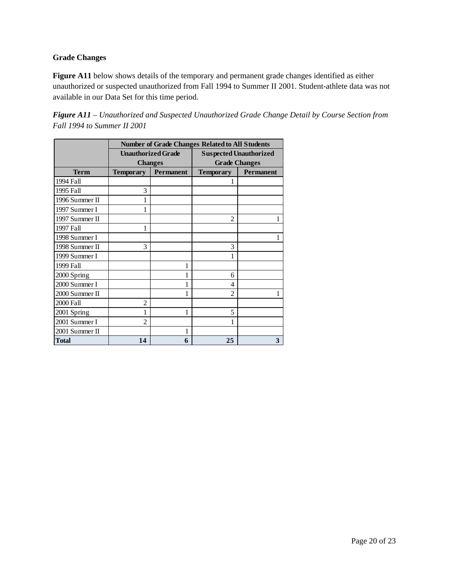# **Grade Changes**

**Figure A11** below shows details of the temporary and permanent grade changes identified as either unauthorized or suspected unauthorized from Fall 1994 to Summer II 2001. Student-athlete data was not available in our Data Set for this time period.

*Figure A11 – Unauthorized and Suspected Unauthorized Grade Change Detail by Course Section from Fall 1994 to Summer II 2001* 

|                | <b>Number of Grade Changes Related to All Students</b> |                           |                               |                  |  |  |  |
|----------------|--------------------------------------------------------|---------------------------|-------------------------------|------------------|--|--|--|
|                |                                                        | <b>Unauthorized Grade</b> | <b>Suspected Unauthorized</b> |                  |  |  |  |
|                |                                                        | <b>Changes</b>            | <b>Grade Changes</b>          |                  |  |  |  |
| <b>Term</b>    | <b>Permanent</b><br><b>Temporary</b>                   |                           | <b>Temporary</b>              | <b>Permanent</b> |  |  |  |
| 1994 Fall      |                                                        |                           |                               |                  |  |  |  |
| 1995 Fall      | 3                                                      |                           |                               |                  |  |  |  |
| 1996 Summer II | 1                                                      |                           |                               |                  |  |  |  |
| 1997 Summer I  | 1                                                      |                           |                               |                  |  |  |  |
| 1997 Summer II |                                                        |                           | 2                             | 1                |  |  |  |
| 1997 Fall      | 1                                                      |                           |                               |                  |  |  |  |
| 1998 Summer I  |                                                        |                           |                               |                  |  |  |  |
| 1998 Summer II | 3                                                      |                           | 3                             |                  |  |  |  |
| 1999 Summer I  |                                                        |                           | 1                             |                  |  |  |  |
| 1999 Fall      |                                                        | 1                         |                               |                  |  |  |  |
| 2000 Spring    |                                                        |                           | 6                             |                  |  |  |  |
| 2000 Summer I  |                                                        |                           | 4                             |                  |  |  |  |
| 2000 Summer II |                                                        | 1                         | $\overline{c}$                | 1                |  |  |  |
| 2000 Fall      | $\overline{c}$                                         |                           |                               |                  |  |  |  |
| 2001 Spring    |                                                        | 1                         | 5                             |                  |  |  |  |
| 2001 Summer I  | $\mathfrak{D}$                                         |                           | 1                             |                  |  |  |  |
| 2001 Summer II |                                                        | 1                         |                               |                  |  |  |  |
| <b>Total</b>   | 14                                                     | 6                         | 25                            | 3                |  |  |  |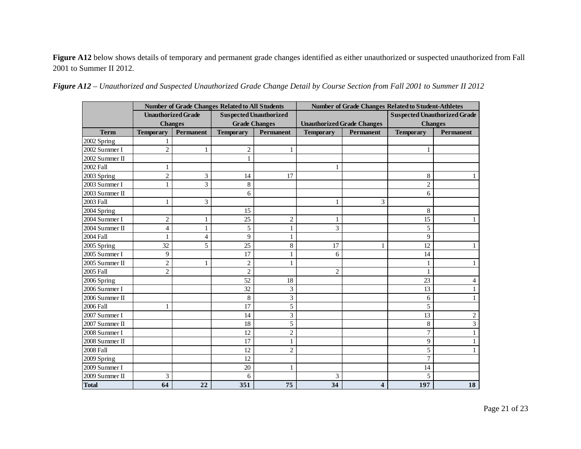Figure A12 below shows details of temporary and permanent grade changes identified as either unauthorized or suspected unauthorized from Fall 2001 to Summer II 2012.

|                | <b>Number of Grade Changes Related to All Students</b> |                           | <b>Number of Grade Changes Related to Student-Athletes</b> |                               |                                   |                         |                                     |                  |
|----------------|--------------------------------------------------------|---------------------------|------------------------------------------------------------|-------------------------------|-----------------------------------|-------------------------|-------------------------------------|------------------|
|                |                                                        | <b>Unauthorized Grade</b> |                                                            | <b>Suspected Unauthorized</b> |                                   |                         | <b>Suspected Unauthorized Grade</b> |                  |
|                |                                                        | <b>Changes</b>            | <b>Grade Changes</b>                                       |                               | <b>Unauthorized Grade Changes</b> |                         | <b>Changes</b>                      |                  |
| <b>Term</b>    | <b>Temporary</b>                                       | Permanent                 | <b>Temporary</b>                                           | <b>Permanent</b>              | <b>Temporary</b>                  | <b>Permanent</b>        | <b>Temporary</b>                    | <b>Permanent</b> |
| 2002 Spring    | 1                                                      |                           |                                                            |                               |                                   |                         |                                     |                  |
| 2002 Summer I  | $\overline{2}$                                         | 1                         | $\mathbf{2}$                                               | 1                             |                                   |                         | 1                                   |                  |
| 2002 Summer II |                                                        |                           |                                                            |                               |                                   |                         |                                     |                  |
| 2002 Fall      | 1                                                      |                           |                                                            |                               |                                   |                         |                                     |                  |
| 2003 Spring    | $\overline{2}$                                         | 3                         | 14                                                         | 17                            |                                   |                         | 8                                   |                  |
| 2003 Summer I  | 1                                                      | 3                         | 8                                                          |                               |                                   |                         | $\overline{2}$                      |                  |
| 2003 Summer II |                                                        |                           | 6                                                          |                               |                                   |                         | 6                                   |                  |
| 2003 Fall      | 1                                                      | 3                         |                                                            |                               | 1                                 | 3                       |                                     |                  |
| 2004 Spring    |                                                        |                           | 15                                                         |                               |                                   |                         | $\,8$                               |                  |
| 2004 Summer I  | $\overline{2}$                                         | 1                         | 25                                                         | $\overline{2}$                | 1                                 |                         | 15                                  |                  |
| 2004 Summer II | $\overline{4}$                                         | 1                         | 5                                                          | 1                             | 3                                 |                         | 5                                   |                  |
| 2004 Fall      | $\mathbf{1}$                                           | 4                         | 9                                                          | 1                             |                                   |                         | 9                                   |                  |
| 2005 Spring    | 32                                                     | 5                         | 25                                                         | 8                             | 17                                | 1                       | 12                                  |                  |
| 2005 Summer I  | 9                                                      |                           | 17                                                         |                               | 6                                 |                         | 14                                  |                  |
| 2005 Summer II | $\overline{c}$                                         | 1                         | $\overline{2}$                                             | 1                             |                                   |                         |                                     |                  |
| 2005 Fall      | $\overline{c}$                                         |                           | $\overline{2}$                                             |                               | $\overline{2}$                    |                         |                                     |                  |
| 2006 Spring    |                                                        |                           | 52                                                         | 18                            |                                   |                         | 23                                  | $\overline{4}$   |
| 2006 Summer I  |                                                        |                           | 32                                                         | 3                             |                                   |                         | 13                                  |                  |
| 2006 Summer II |                                                        |                           | 8                                                          | 3                             |                                   |                         | 6                                   |                  |
| 2006 Fall      |                                                        |                           | 17                                                         | 5                             |                                   |                         | 5                                   |                  |
| 2007 Summer I  |                                                        |                           | 14                                                         | 3                             |                                   |                         | 13                                  | 2                |
| 2007 Summer II |                                                        |                           | 18                                                         | 5                             |                                   |                         | 8                                   | 3                |
| 2008 Summer I  |                                                        |                           | 12                                                         | $\overline{2}$                |                                   |                         | 7                                   |                  |
| 2008 Summer II |                                                        |                           | 17                                                         | 1                             |                                   |                         | 9                                   |                  |
| 2008 Fall      |                                                        |                           | 12                                                         | $\overline{2}$                |                                   |                         | 5                                   |                  |
| 2009 Spring    |                                                        |                           | 12                                                         |                               |                                   |                         | 7                                   |                  |
| 2009 Summer I  |                                                        |                           | 20                                                         | 1                             |                                   |                         | 14                                  |                  |
| 2009 Summer II | 3                                                      |                           | 6                                                          |                               | 3                                 |                         | 5                                   |                  |
| <b>Total</b>   | 64                                                     | 22                        | 351                                                        | 75                            | 34                                | $\overline{\mathbf{4}}$ | 197                                 | 18               |

|  |  |  | Figure A12 – Unauthorized and Suspected Unauthorized Grade Change Detail by Course Section from Fall 2001 to Summer II 2012 |
|--|--|--|-----------------------------------------------------------------------------------------------------------------------------|
|--|--|--|-----------------------------------------------------------------------------------------------------------------------------|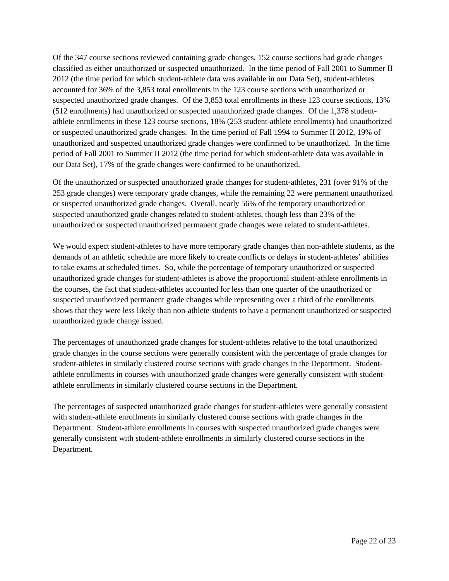Of the 347 course sections reviewed containing grade changes, 152 course sections had grade changes classified as either unauthorized or suspected unauthorized. In the time period of Fall 2001 to Summer II 2012 (the time period for which student-athlete data was available in our Data Set), student-athletes accounted for 36% of the 3,853 total enrollments in the 123 course sections with unauthorized or suspected unauthorized grade changes. Of the 3,853 total enrollments in these 123 course sections, 13% (512 enrollments) had unauthorized or suspected unauthorized grade changes. Of the 1,378 studentathlete enrollments in these 123 course sections, 18% (253 student-athlete enrollments) had unauthorized or suspected unauthorized grade changes. In the time period of Fall 1994 to Summer II 2012, 19% of unauthorized and suspected unauthorized grade changes were confirmed to be unauthorized. In the time period of Fall 2001 to Summer II 2012 (the time period for which student-athlete data was available in our Data Set), 17% of the grade changes were confirmed to be unauthorized.

Of the unauthorized or suspected unauthorized grade changes for student-athletes, 231 (over 91% of the 253 grade changes) were temporary grade changes, while the remaining 22 were permanent unauthorized or suspected unauthorized grade changes. Overall, nearly 56% of the temporary unauthorized or suspected unauthorized grade changes related to student-athletes, though less than 23% of the unauthorized or suspected unauthorized permanent grade changes were related to student-athletes.

We would expect student-athletes to have more temporary grade changes than non-athlete students, as the demands of an athletic schedule are more likely to create conflicts or delays in student-athletes' abilities to take exams at scheduled times. So, while the percentage of temporary unauthorized or suspected unauthorized grade changes for student-athletes is above the proportional student-athlete enrollments in the courses, the fact that student-athletes accounted for less than one quarter of the unauthorized or suspected unauthorized permanent grade changes while representing over a third of the enrollments shows that they were less likely than non-athlete students to have a permanent unauthorized or suspected unauthorized grade change issued.

The percentages of unauthorized grade changes for student-athletes relative to the total unauthorized grade changes in the course sections were generally consistent with the percentage of grade changes for student-athletes in similarly clustered course sections with grade changes in the Department. Studentathlete enrollments in courses with unauthorized grade changes were generally consistent with studentathlete enrollments in similarly clustered course sections in the Department.

The percentages of suspected unauthorized grade changes for student-athletes were generally consistent with student-athlete enrollments in similarly clustered course sections with grade changes in the Department. Student-athlete enrollments in courses with suspected unauthorized grade changes were generally consistent with student-athlete enrollments in similarly clustered course sections in the Department.